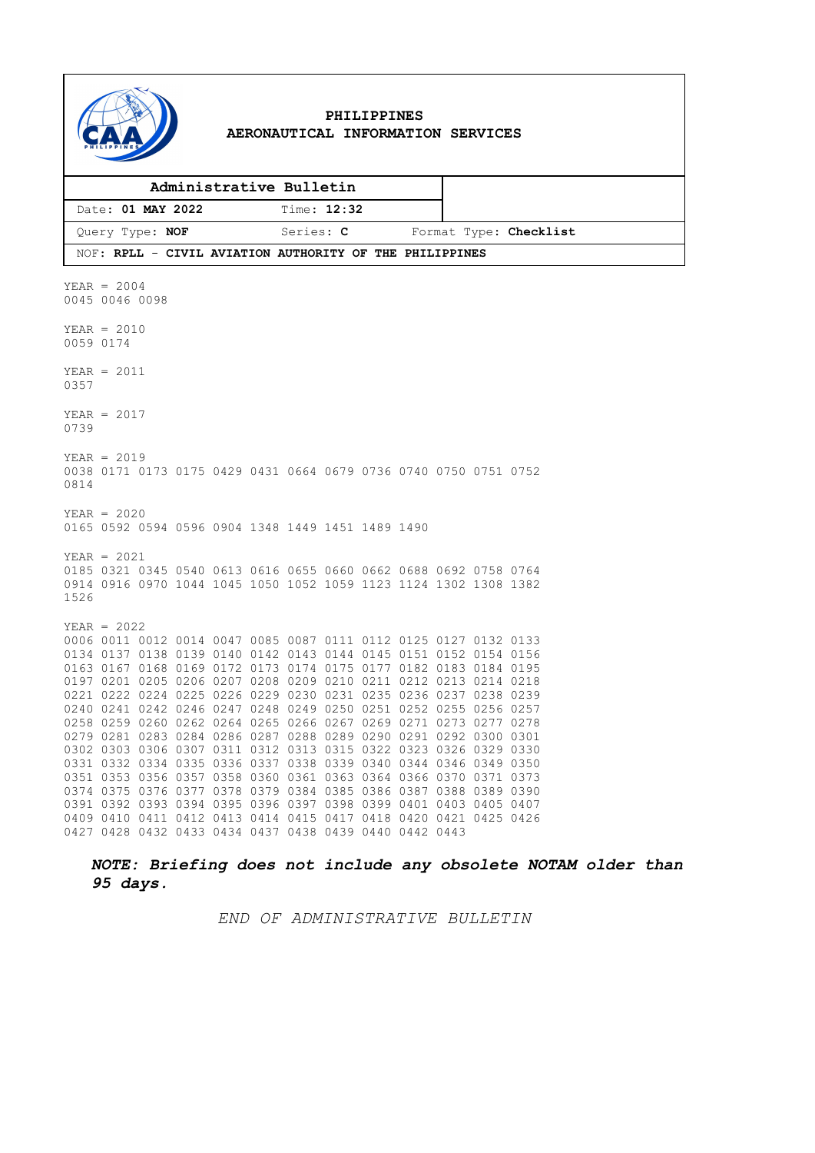

#### **PHILIPPINES AERONAUTICAL INFORMATION SERVICES**

| Administrative Bulletin                                 |             |                        |
|---------------------------------------------------------|-------------|------------------------|
| Date: 01 MAY 2022                                       | Time: 12:32 |                        |
| Query Type: NOF                                         | Series: C   | Format Type: Checklist |
| NOF: RPLL - CIVIL AVIATION AUTHORITY OF THE PHILIPPINES |             |                        |

*NOTE: Briefing does not include any obsolete NOTAM older than 95 days.*

*END OF ADMINISTRATIVE BULLETIN*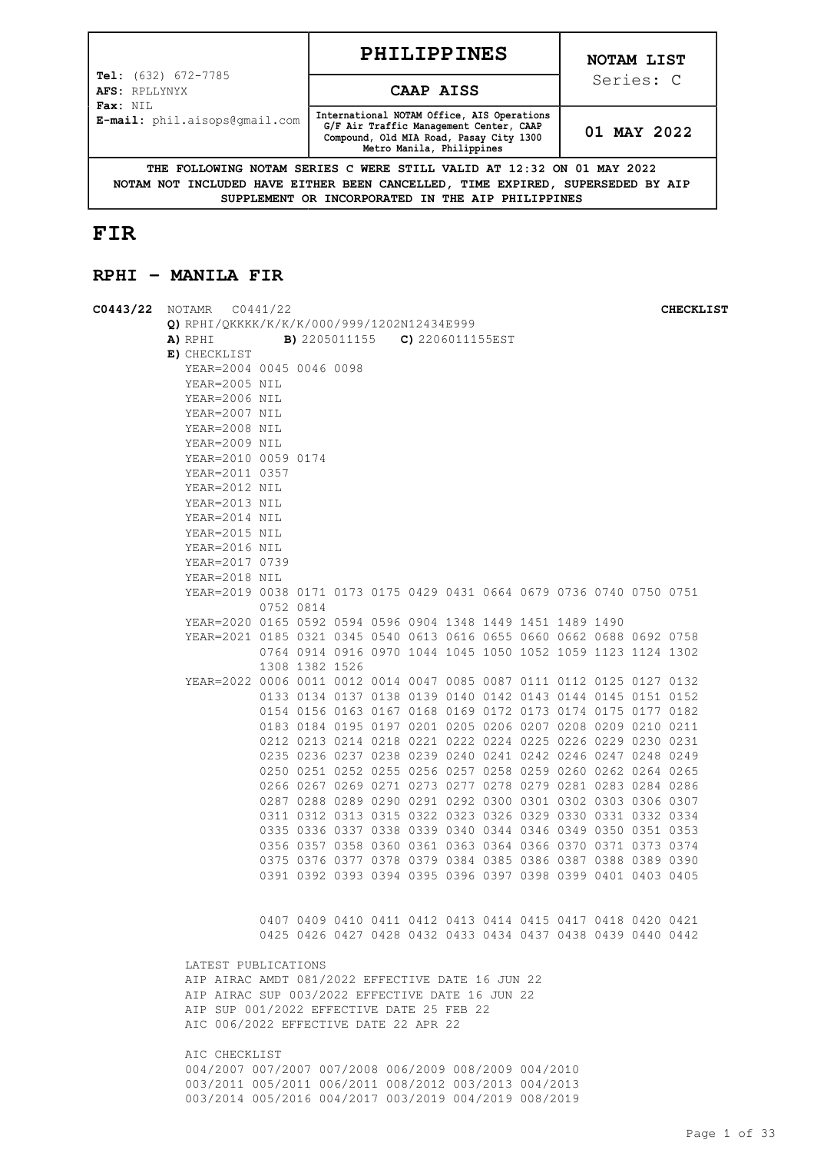| Page 1 of 33 |  |  |
|--------------|--|--|

|                                                                                                                                                         | <b>PHILIPPINES</b>                                                                                                                                            | NOTAM LIST  |  |  |  |  |
|---------------------------------------------------------------------------------------------------------------------------------------------------------|---------------------------------------------------------------------------------------------------------------------------------------------------------------|-------------|--|--|--|--|
| <b>Tel:</b> $(632)$ $672-7785$<br>AFS: RPLLYNYX<br>Fax: NIL                                                                                             | CAAP AISS                                                                                                                                                     | Series: C   |  |  |  |  |
| E-mail: phil.aisops@qmail.com                                                                                                                           | International NOTAM Office, AIS Operations<br>G/F Air Traffic Management Center, CAAP<br>Compound, Old MIA Road, Pasay City 1300<br>Metro Manila, Philippines | 01 MAY 2022 |  |  |  |  |
| THE FOLLOWING NOTAM SERIES C WERE STILL VALID AT 12:32 ON 01 MAY 2022<br>NOTAM NOT INCLUDED HAVE EITHER BEEN CANCELLED, TIME EXPIRED, SUPERSEDED BY AIP |                                                                                                                                                               |             |  |  |  |  |

**SUPPLEMENT OR INCORPORATED IN THE AIP PHILIPPINES**

# **FIR**

## **RPHI - MANILA FIR**

| $CO443/22$ NOTAMR $CO441/22$                                          |                                              |                                                             |  |  |  |  | <b>CHECKLIST</b>                                            |
|-----------------------------------------------------------------------|----------------------------------------------|-------------------------------------------------------------|--|--|--|--|-------------------------------------------------------------|
| Q) RPHI/QKKKK/K/K/K/000/999/1202N12434E999                            |                                              |                                                             |  |  |  |  |                                                             |
| A) RPHI                                                               | <b>B)</b> 2205011155 <b>C)</b> 2206011155EST |                                                             |  |  |  |  |                                                             |
| E) CHECKLIST                                                          |                                              |                                                             |  |  |  |  |                                                             |
| YEAR=2004 0045 0046 0098                                              |                                              |                                                             |  |  |  |  |                                                             |
| YEAR=2005 NIL                                                         |                                              |                                                             |  |  |  |  |                                                             |
| YEAR=2006 NIL                                                         |                                              |                                                             |  |  |  |  |                                                             |
| YEAR=2007 NIL                                                         |                                              |                                                             |  |  |  |  |                                                             |
| YEAR=2008 NIL                                                         |                                              |                                                             |  |  |  |  |                                                             |
| YEAR=2009 NIL                                                         |                                              |                                                             |  |  |  |  |                                                             |
| YEAR=2010 0059 0174                                                   |                                              |                                                             |  |  |  |  |                                                             |
| YEAR=2011 0357                                                        |                                              |                                                             |  |  |  |  |                                                             |
| YEAR=2012 NIL                                                         |                                              |                                                             |  |  |  |  |                                                             |
| YEAR=2013 NIL                                                         |                                              |                                                             |  |  |  |  |                                                             |
| YEAR=2014 NIL                                                         |                                              |                                                             |  |  |  |  |                                                             |
| YEAR=2015 NIL                                                         |                                              |                                                             |  |  |  |  |                                                             |
| YEAR=2016 NIL                                                         |                                              |                                                             |  |  |  |  |                                                             |
| YEAR=2017 0739                                                        |                                              |                                                             |  |  |  |  |                                                             |
| YEAR=2018 NIL                                                         |                                              |                                                             |  |  |  |  |                                                             |
| YEAR=2019 0038 0171 0173 0175 0429 0431 0664 0679 0736 0740 0750 0751 |                                              |                                                             |  |  |  |  |                                                             |
|                                                                       |                                              | 0752 0814                                                   |  |  |  |  |                                                             |
| YEAR=2020 0165 0592 0594 0596 0904 1348 1449 1451 1489 1490           |                                              |                                                             |  |  |  |  |                                                             |
| YEAR=2021 0185 0321 0345 0540 0613 0616 0655 0660 0662 0688 0692 0758 |                                              |                                                             |  |  |  |  |                                                             |
|                                                                       |                                              | 0764 0914 0916 0970 1044 1045 1050 1052 1059 1123 1124 1302 |  |  |  |  |                                                             |
|                                                                       |                                              | 1308 1382 1526                                              |  |  |  |  |                                                             |
| YEAR=2022 0006 0011 0012 0014 0047 0085 0087 0111 0112 0125 0127 0132 |                                              |                                                             |  |  |  |  |                                                             |
|                                                                       |                                              | 0133 0134 0137 0138 0139 0140 0142 0143 0144 0145 0151 0152 |  |  |  |  |                                                             |
|                                                                       |                                              | 0154 0156 0163 0167 0168 0169 0172 0173 0174 0175 0177 0182 |  |  |  |  |                                                             |
|                                                                       |                                              | 0183 0184 0195 0197 0201 0205 0206 0207 0208 0209 0210 0211 |  |  |  |  |                                                             |
|                                                                       |                                              |                                                             |  |  |  |  |                                                             |
|                                                                       |                                              | 0212 0213 0214 0218 0221 0222 0224 0225 0226 0229 0230 0231 |  |  |  |  |                                                             |
|                                                                       |                                              | 0235 0236 0237 0238 0239 0240 0241 0242 0246 0247 0248 0249 |  |  |  |  |                                                             |
|                                                                       |                                              | 0250 0251 0252 0255 0256 0257 0258 0259 0260 0262 0264 0265 |  |  |  |  |                                                             |
|                                                                       |                                              | 0266 0267 0269 0271 0273 0277 0278 0279 0281 0283 0284 0286 |  |  |  |  |                                                             |
|                                                                       |                                              | 0287 0288 0289 0290 0291 0292 0300 0301 0302 0303 0306 0307 |  |  |  |  |                                                             |
|                                                                       |                                              | 0311 0312 0313 0315 0322 0323 0326 0329 0330 0331 0332 0334 |  |  |  |  |                                                             |
|                                                                       |                                              | 0335 0336 0337 0338 0339 0340 0344 0346 0349 0350 0351 0353 |  |  |  |  |                                                             |
|                                                                       |                                              | 0356 0357 0358 0360 0361 0363 0364 0366 0370 0371 0373 0374 |  |  |  |  |                                                             |
|                                                                       |                                              | 0375 0376 0377 0378 0379 0384 0385 0386 0387 0388 0389 0390 |  |  |  |  |                                                             |
|                                                                       |                                              | 0391 0392 0393 0394 0395 0396 0397 0398 0399 0401 0403 0405 |  |  |  |  |                                                             |
|                                                                       |                                              |                                                             |  |  |  |  |                                                             |
|                                                                       |                                              |                                                             |  |  |  |  |                                                             |
|                                                                       |                                              | 0407 0409 0410 0411 0412 0413 0414 0415 0417 0418 0420 0421 |  |  |  |  |                                                             |
|                                                                       |                                              |                                                             |  |  |  |  | 0425 0426 0427 0428 0432 0433 0434 0437 0438 0439 0440 0442 |
|                                                                       |                                              |                                                             |  |  |  |  |                                                             |
| LATEST PUBLICATIONS                                                   |                                              |                                                             |  |  |  |  |                                                             |
| AIP AIRAC AMDT 081/2022 EFFECTIVE DATE 16 JUN 22                      |                                              |                                                             |  |  |  |  |                                                             |
| AIP AIRAC SUP 003/2022 EFFECTIVE DATE 16 JUN 22                       |                                              |                                                             |  |  |  |  |                                                             |
| AIP SUP 001/2022 EFFECTIVE DATE 25 FEB 22                             |                                              |                                                             |  |  |  |  |                                                             |
| AIC 006/2022 EFFECTIVE DATE 22 APR 22                                 |                                              |                                                             |  |  |  |  |                                                             |
|                                                                       |                                              |                                                             |  |  |  |  |                                                             |
| AIC CHECKLIST                                                         |                                              |                                                             |  |  |  |  |                                                             |
| 004/2007 007/2007 007/2008 006/2009 008/2009 004/2010                 |                                              |                                                             |  |  |  |  |                                                             |
| 003/2011 005/2011 006/2011 008/2012 003/2013 004/2013                 |                                              |                                                             |  |  |  |  |                                                             |
| 003/2014 005/2016 004/2017 003/2019 004/2019 008/2019                 |                                              |                                                             |  |  |  |  |                                                             |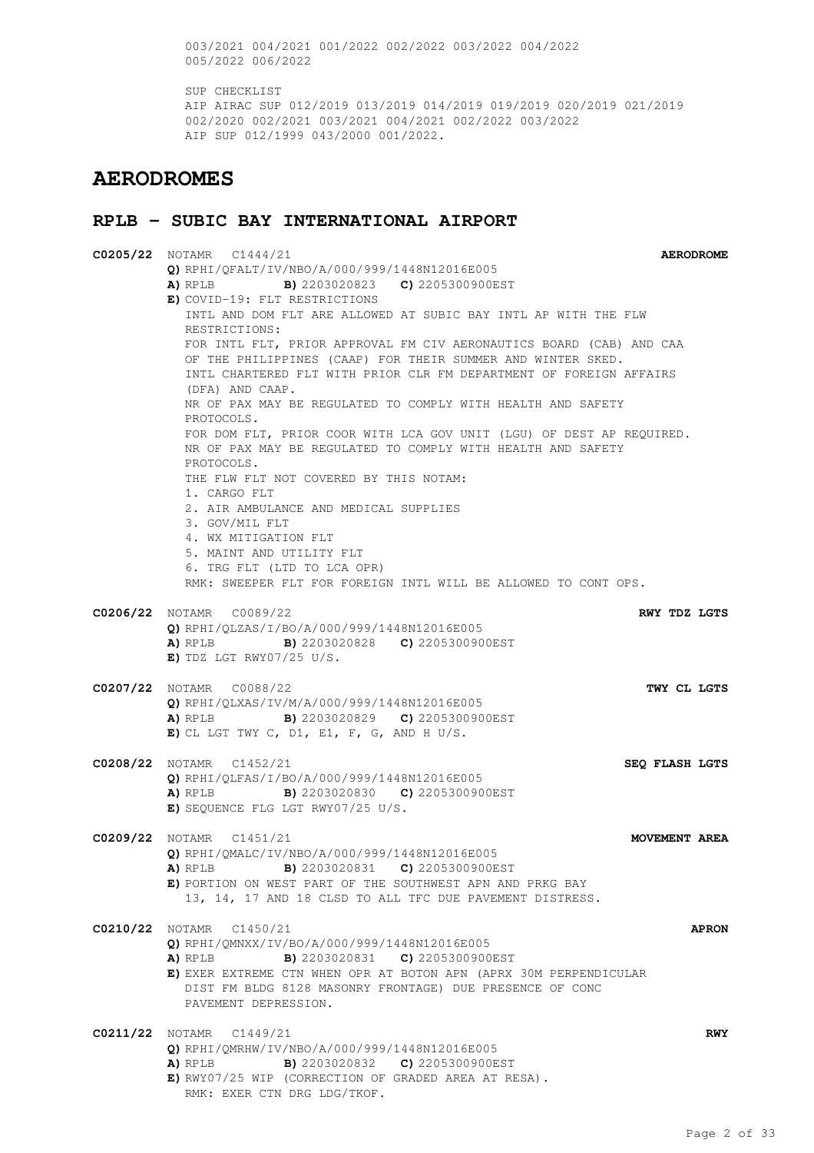003/2021 004/2021 001/2022 002/2022 003/2022 004/2022 005/2022 006/2022

SUP CHECKLIST AIP AIRAC SUP 012/2019 013/2019 014/2019 019/2019 020/2019 021/2019 002/2020 002/2021 003/2021 004/2021 002/2022 003/2022 AIP SUP 012/1999 043/2000 001/2022.

## **AERODROMES**

#### **RPLB - SUBIC BAY INTERNATIONAL AIRPORT**

**C0205/22** NOTAMR C1444/21 **AERODROME Q)** RPHI/QFALT/IV/NBO/A/000/999/1448N12016E005 **A)** RPLB **B)** 2203020823 **C)** 2205300900EST **E)** COVID-19: FLT RESTRICTIONS INTL AND DOM FLT ARE ALLOWED AT SUBIC BAY INTL AP WITH THE FLW RESTRICTIONS: FOR INTL FLT, PRIOR APPROVAL FM CIV AERONAUTICS BOARD (CAB) AND CAA OF THE PHILIPPINES (CAAP) FOR THEIR SUMMER AND WINTER SKED. INTL CHARTERED FLT WITH PRIOR CLR FM DEPARTMENT OF FOREIGN AFFAIRS (DFA) AND CAAP. NR OF PAX MAY BE REGULATED TO COMPLY WITH HEALTH AND SAFETY PROTOCOLS. FOR DOM FLT, PRIOR COOR WITH LCA GOV UNIT (LGU) OF DEST AP REQUIRED. NR OF PAX MAY BE REGULATED TO COMPLY WITH HEALTH AND SAFETY PROTOCOLS. THE FLW FLT NOT COVERED BY THIS NOTAM: 1. CARGO FLT 2. AIR AMBULANCE AND MEDICAL SUPPLIES 3. GOV/MIL FLT 4. WX MITIGATION FLT 5. MAINT AND UTILITY FLT 6. TRG FLT (LTD TO LCA OPR) RMK: SWEEPER FLT FOR FOREIGN INTL WILL BE ALLOWED TO CONT OPS. **C0206/22** NOTAMR C0089/22 **RWY TDZ LGTS Q)** RPHI/QLZAS/I/BO/A/000/999/1448N12016E005 **A)** RPLB **B)** 2203020828 **C)** 2205300900EST **E)** TDZ LGT RWY07/25 U/S. **C0207/22** NOTAMR C0088/22 **TWY CL LGTS Q)** RPHI/QLXAS/IV/M/A/000/999/1448N12016E005 **A)** RPLB **B)** 2203020829 **C)** 2205300900EST **E)** CL LGT TWY C, D1, E1, F, G, AND H U/S. **C0208/22** NOTAMR C1452/21 **SEQ FLASH LGTS Q)** RPHI/QLFAS/I/BO/A/000/999/1448N12016E005 **A)** RPLB **B)** 2203020830 **C)** 2205300900EST **E)** SEQUENCE FLG LGT RWY07/25 U/S. **C0209/22** NOTAMR C1451/21 **MOVEMENT AREA Q)** RPHI/QMALC/IV/NBO/A/000/999/1448N12016E005 **A)** RPLB **B)** 2203020831 **C)** 2205300900EST **E)** PORTION ON WEST PART OF THE SOUTHWEST APN AND PRKG BAY 13, 14, 17 AND 18 CLSD TO ALL TFC DUE PAVEMENT DISTRESS. **C0210/22** NOTAMR C1450/21 **APRON Q)** RPHI/QMNXX/IV/BO/A/000/999/1448N12016E005 **A)** RPLB **B)** 2203020831 **C)** 2205300900EST **E)** EXER EXTREME CTN WHEN OPR AT BOTON APN (APRX 30M PERPENDICULAR DIST FM BLDG 8128 MASONRY FRONTAGE) DUE PRESENCE OF CONC PAVEMENT DEPRESSION. **C0211/22** NOTAMR C1449/21 **RWY Q)** RPHI/QMRHW/IV/NBO/A/000/999/1448N12016E005 **A)** RPLB **B)** 2203020832 **C)** 2205300900EST **E)** RWY07/25 WIP (CORRECTION OF GRADED AREA AT RESA). RMK: EXER CTN DRG LDG/TKOF.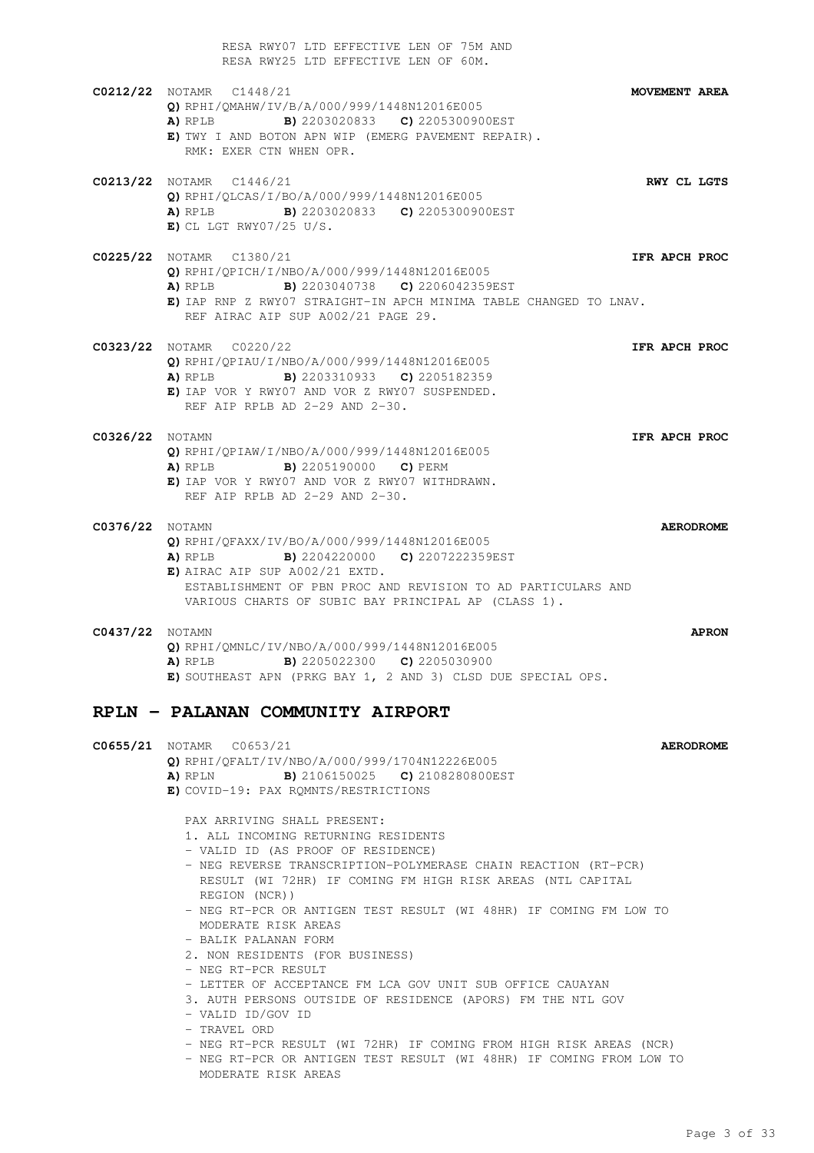RESA RWY07 LTD EFFECTIVE LEN OF 75M AND RESA RWY25 LTD EFFECTIVE LEN OF 60M. **C0212/22** NOTAMR C1448/21 **MOVEMENT AREA Q)** RPHI/QMAHW/IV/B/A/000/999/1448N12016E005 **A)** RPLB **B)** 2203020833 **C)** 2205300900EST **E)** TWY I AND BOTON APN WIP (EMERG PAVEMENT REPAIR). RMK: EXER CTN WHEN OPR. **C0213/22** NOTAMR C1446/21 **RWY CL LGTS Q)** RPHI/QLCAS/I/BO/A/000/999/1448N12016E005 **A)** RPLB **B)** 2203020833 **C)** 2205300900EST **E)** CL LGT RWY07/25 U/S. **C0225/22** NOTAMR C1380/21 **IFR APCH PROC Q)** RPHI/QPICH/I/NBO/A/000/999/1448N12016E005 **A)** RPLB **B)** 2203040738 **C)** 2206042359EST **E)** IAP RNP Z RWY07 STRAIGHT-IN APCH MINIMA TABLE CHANGED TO LNAV. REF AIRAC AIP SUP A002/21 PAGE 29. **C0323/22** NOTAMR C0220/22 **IFR APCH PROC Q)** RPHI/QPIAU/I/NBO/A/000/999/1448N12016E005 **A)** RPLB **B)** 2203310933 **C)** 2205182359 **E)** IAP VOR Y RWY07 AND VOR Z RWY07 SUSPENDED. REF AIP RPLB AD 2-29 AND 2-30. **C0326/22** NOTAMN **IFR APCH PROC Q)** RPHI/QPIAW/I/NBO/A/000/999/1448N12016E005 **A)** RPLB **B)** 2205190000 **C)** PERM **E)** IAP VOR Y RWY07 AND VOR Z RWY07 WITHDRAWN. REF AIP RPLB AD 2-29 AND 2-30. **C0376/22** NOTAMN **AERODROME Q)** RPHI/QFAXX/IV/BO/A/000/999/1448N12016E005 **A)** RPLB **B)** 2204220000 **C)** 2207222359EST **E)** AIRAC AIP SUP A002/21 EXTD. ESTABLISHMENT OF PBN PROC AND REVISION TO AD PARTICULARS AND VARIOUS CHARTS OF SUBIC BAY PRINCIPAL AP (CLASS 1). **C0437/22** NOTAMN **APRON Q)** RPHI/QMNLC/IV/NBO/A/000/999/1448N12016E005 **A)** RPLB **B)** 2205022300 **C)** 2205030900 **E)** SOUTHEAST APN (PRKG BAY 1, 2 AND 3) CLSD DUE SPECIAL OPS. **RPLN - PALANAN COMMUNITY AIRPORT C0655/21** NOTAMR C0653/21 **AERODROME Q)** RPHI/QFALT/IV/NBO/A/000/999/1704N12226E005 **A)** RPLN **B)** 2106150025 **C)** 2108280800EST **E)** COVID-19: PAX RQMNTS/RESTRICTIONS

PAX ARRIVING SHALL PRESENT:

1. ALL INCOMING RETURNING RESIDENTS

- VALID ID (AS PROOF OF RESIDENCE)
- NEG REVERSE TRANSCRIPTION-POLYMERASE CHAIN REACTION (RT-PCR) RESULT (WI 72HR) IF COMING FM HIGH RISK AREAS (NTL CAPITAL REGION (NCR))
- NEG RT-PCR OR ANTIGEN TEST RESULT (WI 48HR) IF COMING FM LOW TO MODERATE RISK AREAS
- BALIK PALANAN FORM
- 2. NON RESIDENTS (FOR BUSINESS)
- NEG RT-PCR RESULT
- LETTER OF ACCEPTANCE FM LCA GOV UNIT SUB OFFICE CAUAYAN
- 3. AUTH PERSONS OUTSIDE OF RESIDENCE (APORS) FM THE NTL GOV
- VALID ID/GOV ID
- TRAVEL ORD
- NEG RT-PCR RESULT (WI 72HR) IF COMING FROM HIGH RISK AREAS (NCR)
- NEG RT-PCR OR ANTIGEN TEST RESULT (WI 48HR) IF COMING FROM LOW TO MODERATE RISK AREAS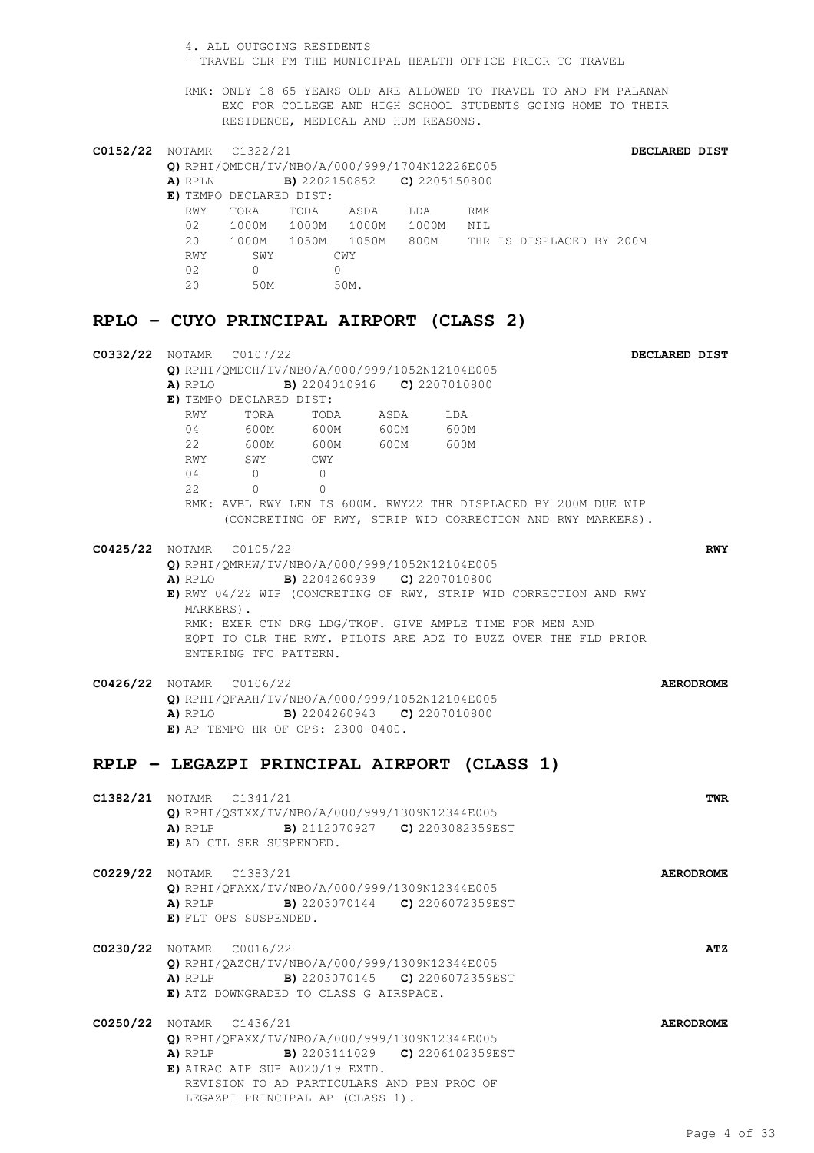| 4. ALL OUTGOING RESIDENTS<br>- TRAVEL CLR FM THE MUNICIPAL HEALTH OFFICE PRIOR TO TRAVEL                                                                                                                                                                                                                                                                                      |            |
|-------------------------------------------------------------------------------------------------------------------------------------------------------------------------------------------------------------------------------------------------------------------------------------------------------------------------------------------------------------------------------|------------|
| RMK: ONLY 18-65 YEARS OLD ARE ALLOWED TO TRAVEL TO AND FM PALANAN<br>EXC FOR COLLEGE AND HIGH SCHOOL STUDENTS GOING HOME TO THEIR<br>RESIDENCE, MEDICAL AND HUM REASONS.                                                                                                                                                                                                      |            |
| <b>C0152/22</b> NOTAMR C1322/21<br>DECLARED DIST                                                                                                                                                                                                                                                                                                                              |            |
| Q) RPHI/QMDCH/IV/NBO/A/000/999/1704N12226E005<br>A) RPLN<br><b>B)</b> 2202150852 <b>C)</b> 2205150800<br>E) TEMPO DECLARED DIST:                                                                                                                                                                                                                                              |            |
| TORA TODA ASDA LDA<br>RWY<br>RMK<br>02 1000M 1000M 1000M 1000M NIL<br>20 1000M 1050M 1050M 800M<br>THR IS DISPLACED BY 200M                                                                                                                                                                                                                                                   |            |
| RWY<br>SWY<br>CWY<br>$\overline{0}$<br>02<br>$\overline{0}$<br>20<br>50M<br>50M.                                                                                                                                                                                                                                                                                              |            |
| RPLO - CUYO PRINCIPAL AIRPORT (CLASS 2)                                                                                                                                                                                                                                                                                                                                       |            |
| <b>C0332/22</b> NOTAMR C0107/22<br>DECLARED DIST                                                                                                                                                                                                                                                                                                                              |            |
| Q) RPHI/OMDCH/IV/NBO/A/000/999/1052N12104E005<br><b>B)</b> 2204010916 <b>C)</b> 2207010800<br>A) RPLO<br>E) TEMPO DECLARED DIST:                                                                                                                                                                                                                                              |            |
| RWY TORA<br>TODA ASDA LDA<br>04 600M 600M 600M 600M                                                                                                                                                                                                                                                                                                                           |            |
| 22 600M 600M 600M 600M<br>SWY<br>RWY<br>CWY<br>$\overline{0}$<br>04<br>$\overline{0}$                                                                                                                                                                                                                                                                                         |            |
| $\overline{0}$<br>22<br>$\Omega$<br>RMK: AVBL RWY LEN IS 600M. RWY22 THR DISPLACED BY 200M DUE WIP<br>(CONCRETING OF RWY, STRIP WID CORRECTION AND RWY MARKERS).                                                                                                                                                                                                              |            |
| C0425/22 NOTAMR C0105/22<br>Q) RPHI/QMRHW/IV/NBO/A/000/999/1052N12104E005<br><b>A)</b> RPLO <b>B)</b> 2204260939 <b>C)</b> 2207010800<br>E) RWY 04/22 WIP (CONCRETING OF RWY, STRIP WID CORRECTION AND RWY<br>MARKERS).<br>RMK: EXER CTN DRG LDG/TKOF. GIVE AMPLE TIME FOR MEN AND<br>EOPT TO CLR THE RWY. PILOTS ARE ADZ TO BUZZ OVER THE FLD PRIOR<br>ENTERING TFC PATTERN. | <b>RWY</b> |
| C0426/22 NOTAMR C0106/22<br><b>AERODROME</b><br>Q) RPHI/QFAAH/IV/NBO/A/000/999/1052N12104E005<br><b>A)</b> RPLO <b>B)</b> 2204260943 <b>C)</b> 2207010800<br>$E$ ) AP TEMPO HR OF OPS: 2300-0400.                                                                                                                                                                             |            |
| RPLP - LEGAZPI PRINCIPAL AIRPORT (CLASS 1)                                                                                                                                                                                                                                                                                                                                    |            |
|                                                                                                                                                                                                                                                                                                                                                                               |            |
| <b>C1382/21</b> NOTAMR C1341/21<br>O) RPHI/OSTXX/IV/NBO/A/000/999/1309N12344E005<br>A) RPLP B) 2112070927 C) 2203082359EST<br>E) AD CTL SER SUSPENDED.                                                                                                                                                                                                                        | TWR        |
| C0229/22 NOTAMR C1383/21<br><b>AERODROME</b><br>Q) RPHI/QFAXX/IV/NBO/A/000/999/1309N12344E005<br><b>A)</b> RPLP <b>B)</b> 2203070144 <b>C)</b> 2206072359EST<br>E) FLT OPS SUSPENDED.                                                                                                                                                                                         |            |
| <b>C0230/22</b> NOTAMR C0016/22<br>Q) RPHI/QAZCH/IV/NBO/A/000/999/1309N12344E005<br>A) RPLP B) 2203070145 C) 2206072359EST<br>E) ATZ DOWNGRADED TO CLASS G AIRSPACE.                                                                                                                                                                                                          | ATZ        |
| C0250/22 NOTAMR C1436/21<br><b>AERODROME</b><br>Q) RPHI/QFAXX/IV/NBO/A/000/999/1309N12344E005<br>A) RPLP B) 2203111029 C) 2206102359EST<br>$E)$ AIRAC AIP SUP A020/19 EXTD.<br>REVISION TO AD PARTICULARS AND PBN PROC OF<br>LEGAZPI PRINCIPAL AP (CLASS 1).                                                                                                                  |            |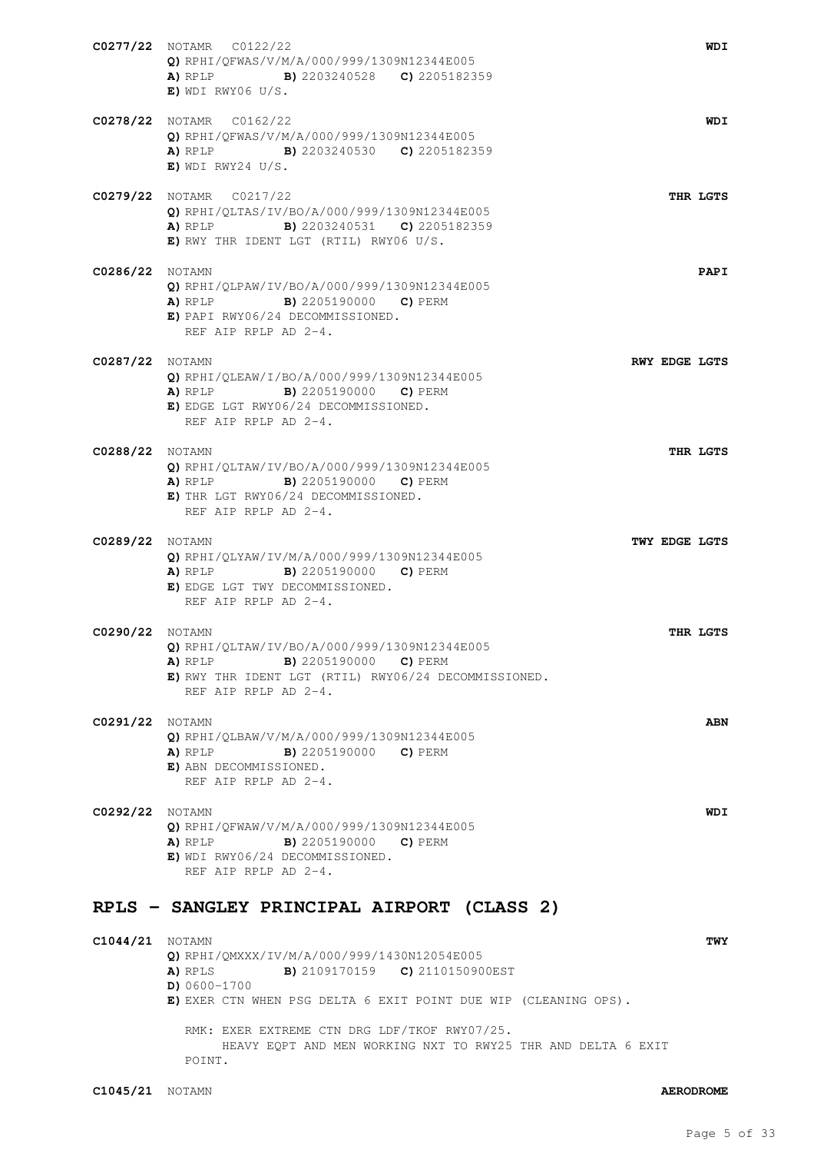|                        | C0277/22 NOTAMR C0122/22<br>Q) RPHI/QFWAS/V/M/A/000/999/1309N12344E005<br><b>A)</b> RPLP <b>B)</b> 2203240528 <b>C)</b> 2205182359<br>$E)$ WDI RWY06 U/S.                                     |  | WDI                  |
|------------------------|-----------------------------------------------------------------------------------------------------------------------------------------------------------------------------------------------|--|----------------------|
|                        | C0278/22 NOTAMR C0162/22<br>Q) RPHI/QFWAS/V/M/A/000/999/1309N12344E005<br><b>A)</b> RPLP <b>B)</b> 2203240530 <b>C)</b> 2205182359<br>$E)$ WDI RWY24 U/S.                                     |  | WDI                  |
|                        | C0279/22 NOTAMR C0217/22<br>Q) RPHI/QLTAS/IV/BO/A/000/999/1309N12344E005<br><b>A)</b> RPLP <b>B)</b> 2203240531 <b>C)</b> 2205182359<br>E) RWY THR IDENT LGT (RTIL) RWY06 U/S.                |  | THR LGTS             |
| <b>C0286/22</b> NOTAMN | Q) RPHI/QLPAW/IV/BO/A/000/999/1309N12344E005<br><b>A)</b> RPLP <b>B)</b> 2205190000 <b>C)</b> PERM<br>E) PAPI RWY06/24 DECOMMISSIONED.<br>REF AIP RPLP AD 2-4.                                |  | PAPI                 |
| <b>C0287/22</b> NOTAMN | $Q$ ) RPHI/QLEAW/I/BO/A/000/999/1309N12344E005<br><b>B)</b> 2205190000 <b>C)</b> PERM<br>A) RPLP<br>E) EDGE LGT RWY06/24 DECOMMISSIONED.<br>REF ATP RPLP AD 2-4.                              |  | <b>RWY EDGE LGTS</b> |
| <b>C0288/22</b> NOTAMN | Q) RPHI/QLTAW/IV/BO/A/000/999/1309N12344E005<br><b>A)</b> RPLP <b>B)</b> 2205190000 <b>C)</b> PERM<br>E) THR LGT RWY06/24 DECOMMISSIONED.<br>REF AIP RPLP AD 2-4.                             |  | THR LGTS             |
| <b>C0289/22</b> NOTAMN | Q) RPHI/QLYAW/IV/M/A/000/999/1309N12344E005<br>A) RPLP<br>B) 2205190000 C) PERM<br>E) EDGE LGT TWY DECOMMISSIONED.<br>REF AIP RPLP AD 2-4.                                                    |  | TWY EDGE LGTS        |
| <b>C0290/22</b> NOTAMN | Q) RPHI/QLTAW/IV/BO/A/000/999/1309N12344E005<br><b>A)</b> RPLP <b>B)</b> 2205190000 <b>C)</b> PERM<br>E) RWY THR IDENT LGT (RTIL) RWY06/24 DECOMMISSIONED.<br>REF AIP RPLP AD 2-4.            |  | THR LGTS             |
| <b>C0291/22</b> NOTAMN | Q) RPHI/QLBAW/V/M/A/000/999/1309N12344E005<br>A) RPLP<br><b>B)</b> 2205190000 <b>C)</b> PERM<br>E) ABN DECOMMISSIONED.<br>REF AIP RPLP AD 2-4.                                                |  | <b>ABN</b>           |
| <b>C0292/22</b> NOTAMN | Q) RPHI/QFWAW/V/M/A/000/999/1309N12344E005<br><b>A)</b> RPLP <b>B)</b> 2205190000 <b>C)</b> PERM<br>E) WDI RWY06/24 DECOMMISSIONED.<br>REF AIP RPLP AD 2-4.                                   |  | WDI                  |
|                        | RPLS - SANGLEY PRINCIPAL AIRPORT (CLASS 2)                                                                                                                                                    |  |                      |
| <b>C1044/21</b> NOTAMN | Q) RPHI/QMXXX/IV/M/A/000/999/1430N12054E005<br><b>B)</b> 2109170159 <b>C)</b> 2110150900EST<br>A) RPLS<br>$D) 0600 - 1700$<br>E) EXER CTN WHEN PSG DELTA 6 EXIT POINT DUE WIP (CLEANING OPS). |  | <b>TWY</b>           |

RMK: EXER EXTREME CTN DRG LDF/TKOF RWY07/25. HEAVY EQPT AND MEN WORKING NXT TO RWY25 THR AND DELTA 6 EXIT POINT.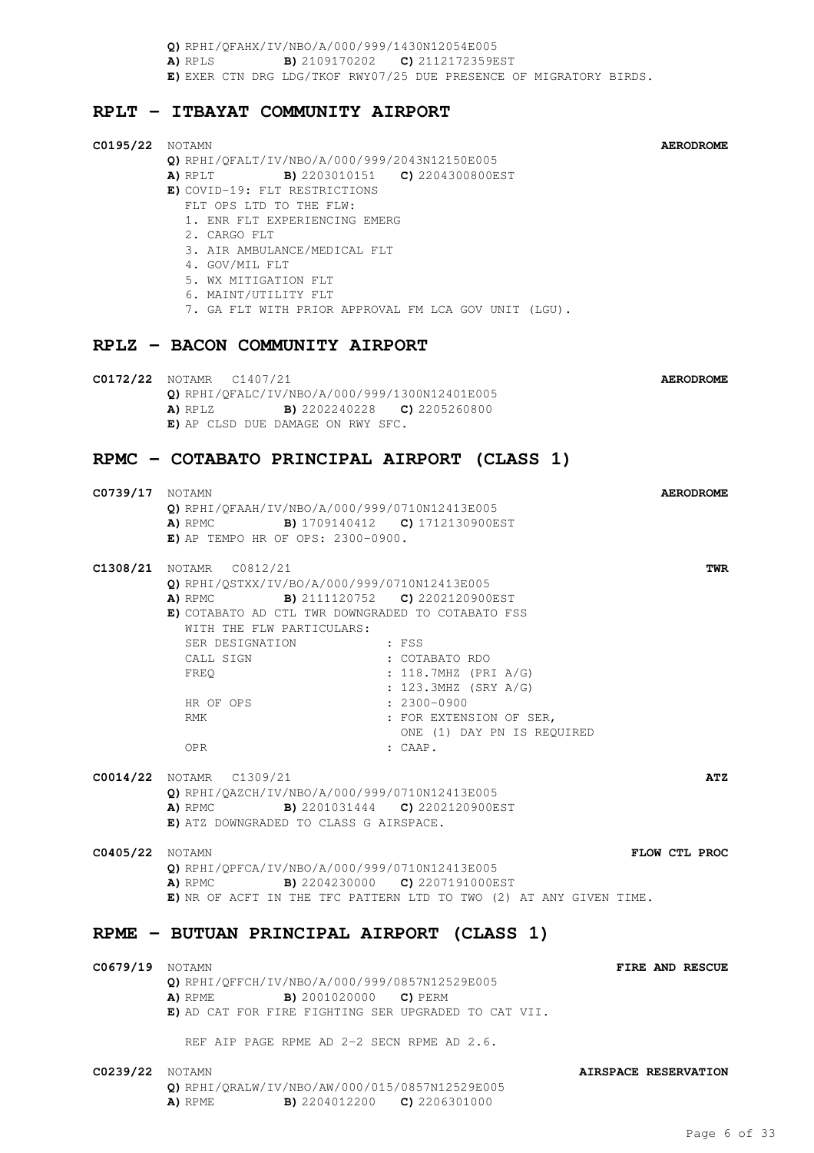**Q)** RPHI/QFAHX/IV/NBO/A/000/999/1430N12054E005 **A)** RPLS **B)** 2109170202 **C)** 2112172359EST **E)** EXER CTN DRG LDG/TKOF RWY07/25 DUE PRESENCE OF MIGRATORY BIRDS.

### **RPLT - ITBAYAT COMMUNITY AIRPORT**

| <b>C0195/22</b> NOTAMN | $Q)$ RPHI/QFALT/IV/NBO/A/000/999/2043N12150E005<br>A) RPLT B) 2203010151 C) 2204300800EST<br>E) COVID-19: FLT RESTRICTIONS<br>FLT OPS LTD TO THE FLW:<br>1. ENR FLT EXPERIENCING EMERG<br>2. CARGO FLT<br>3. AIR AMBULANCE/MEDICAL FLT<br>4. GOV/MIL FLT<br>5. WX MITIGATION FLT<br>6. MAINT/UTILITY FLT<br>7. GA FLT WITH PRIOR APPROVAL FM LCA GOV UNIT (LGU). |                                                                                                                                                                 | <b>AERODROME</b>     |
|------------------------|------------------------------------------------------------------------------------------------------------------------------------------------------------------------------------------------------------------------------------------------------------------------------------------------------------------------------------------------------------------|-----------------------------------------------------------------------------------------------------------------------------------------------------------------|----------------------|
|                        | RPLZ - BACON COMMUNITY AIRPORT                                                                                                                                                                                                                                                                                                                                   |                                                                                                                                                                 |                      |
|                        | C0172/22 NOTAMR C1407/21<br>Q) RPHI/QFALC/IV/NBO/A/000/999/1300N12401E005<br><b>A)</b> RPLZ <b>B)</b> 2202240228 <b>C)</b> 2205260800<br>E) AP CLSD DUE DAMAGE ON RWY SFC.                                                                                                                                                                                       |                                                                                                                                                                 | <b>AERODROME</b>     |
|                        | RPMC - COTABATO PRINCIPAL AIRPORT (CLASS 1)                                                                                                                                                                                                                                                                                                                      |                                                                                                                                                                 |                      |
| <b>C0739/17</b> NOTAMN | O) RPHI/OFAAH/IV/NBO/A/000/999/0710N12413E005<br>A) RPMC B) 1709140412 C) 1712130900EST<br>$E$ ) AP TEMPO HR OF OPS: 2300-0900.                                                                                                                                                                                                                                  |                                                                                                                                                                 | <b>AERODROME</b>     |
|                        | <b>C1308/21</b> NOTAMR C0812/21<br>Q) RPHI/QSTXX/IV/BO/A/000/999/0710N12413E005<br>A) RPMC B) 2111120752 C) 2202120900EST<br>E) COTABATO AD CTL TWR DOWNGRADED TO COTABATO FSS<br>WITH THE FLW PARTICULARS:<br>SER DESIGNATION : FSS<br>CALL SIGN<br>FREQ<br>HR OF OPS<br>RMK<br><b>OPR</b>                                                                      | : COTABATO RDO<br>$: 118.7 \text{MHz}$ (PRI A/G)<br>: 123.3MHZ (SRY A/G)<br>$: 2300 - 0900$<br>: FOR EXTENSION OF SER,<br>ONE (1) DAY PN IS REQUIRED<br>: CAAP. | TWR                  |
|                        | <b>C0014/22</b> NOTAMR C1309/21<br>$Q)$ RPHI/QAZCH/IV/NBO/A/000/999/0710N12413E005<br>A) RPMC<br>E) ATZ DOWNGRADED TO CLASS G AIRSPACE.                                                                                                                                                                                                                          | <b>B)</b> 2201031444 <b>C)</b> 2202120900EST                                                                                                                    | ATZ                  |
| <b>C0405/22</b> NOTAMN | Q) RPHI/QPFCA/IV/NBO/A/000/999/0710N12413E005<br>A) RPMC B) 2204230000 C) 2207191000EST<br>E) NR OF ACFT IN THE TFC PATTERN LTD TO TWO (2) AT ANY GIVEN TIME.                                                                                                                                                                                                    |                                                                                                                                                                 | FLOW CTL PROC        |
|                        | RPME - BUTUAN PRINCIPAL AIRPORT (CLASS 1)                                                                                                                                                                                                                                                                                                                        |                                                                                                                                                                 |                      |
| <b>C0679/19</b> NOTAMN | Q) RPHI/QFFCH/IV/NBO/A/000/999/0857N12529E005<br><b>A)</b> RPME <b>B)</b> 2001020000 <b>C)</b> PERM<br>E) AD CAT FOR FIRE FIGHTING SER UPGRADED TO CAT VII.<br>REF AIP PAGE RPME AD 2-2 SECN RPME AD 2.6.                                                                                                                                                        |                                                                                                                                                                 | FIRE AND RESCUE      |
| <b>C0239/22</b> NOTAMN | Q) RPHI/QRALW/IV/NBO/AW/000/015/0857N12529E005<br>A) RPME                                                                                                                                                                                                                                                                                                        | <b>B)</b> 2204012200 <b>C)</b> 2206301000                                                                                                                       | AIRSPACE RESERVATION |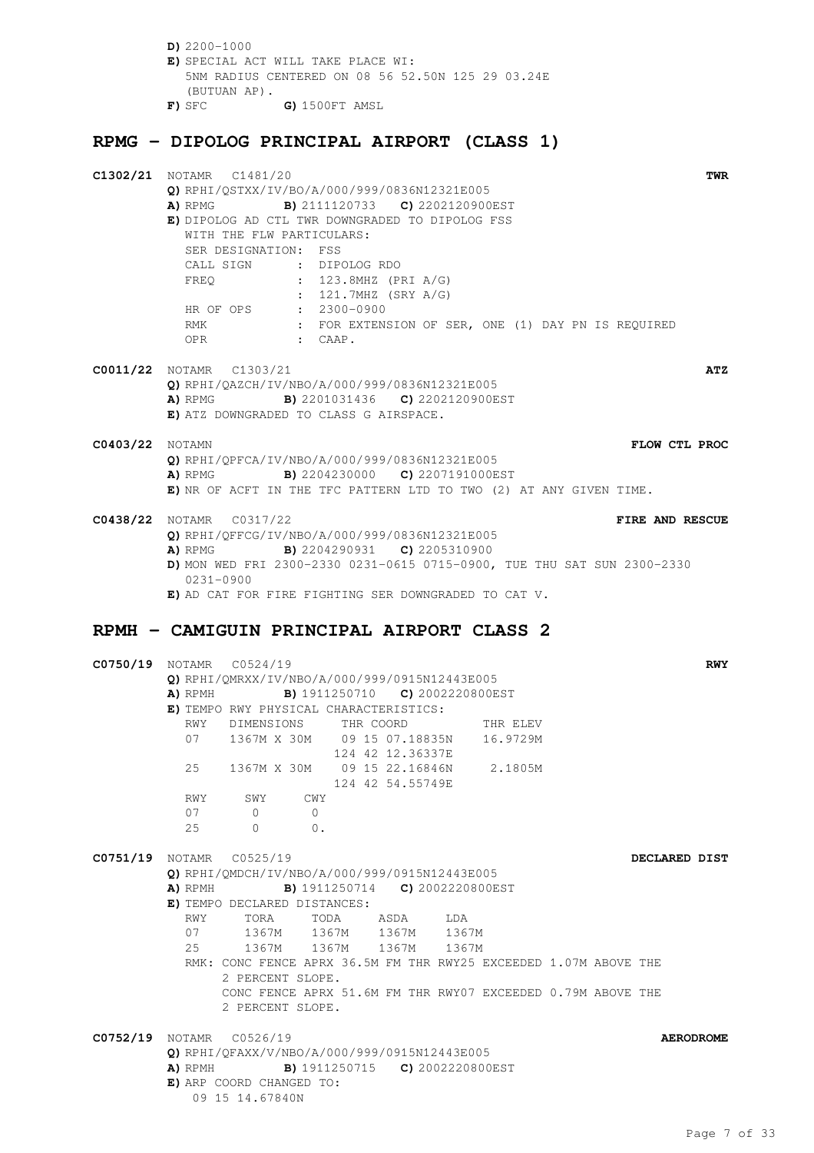**D)** 2200-1000 **E)** SPECIAL ACT WILL TAKE PLACE WI: 5NM RADIUS CENTERED ON 08 56 52.50N 125 29 03.24E (BUTUAN AP). **F)** SFC **G)** 1500FT AMSL

## **RPMG - DIPOLOG PRINCIPAL AIRPORT (CLASS 1)**

|                        | C1302/21 NOTAMR C1481/20<br>TWR                                                         |
|------------------------|-----------------------------------------------------------------------------------------|
|                        | Q) RPHI/QSTXX/IV/BO/A/000/999/0836N12321E005                                            |
|                        | <b>A)</b> RPMG <b>B)</b> 2111120733 <b>C)</b> 2202120900EST                             |
|                        | E) DIPOLOG AD CTL TWR DOWNGRADED TO DIPOLOG FSS                                         |
|                        | WITH THE FLW PARTICULARS:<br>SER DESIGNATION: FSS                                       |
|                        | CALL SIGN : DIPOLOG RDO                                                                 |
|                        | : 123.8MHZ (PRI A/G)<br>FREO                                                            |
|                        | : 121.7MHZ (SRY A/G)                                                                    |
|                        | HR OF OPS : 2300-0900                                                                   |
|                        | : FOR EXTENSION OF SER, ONE (1) DAY PN IS REQUIRED<br>RMK                               |
|                        | $\mathsf{c}$ $\mathsf{c}$ $\mathsf{c}$ $\mathsf{A}\mathsf{A}\mathsf{P}$ .<br>OPR        |
|                        |                                                                                         |
|                        | <b>C0011/22</b> NOTAMR C1303/21<br>ATZ<br>Q) RPHI/QAZCH/IV/NBO/A/000/999/0836N12321E005 |
|                        | A) RPMG B) 2201031436 C) 2202120900EST                                                  |
|                        | E) ATZ DOWNGRADED TO CLASS G AIRSPACE.                                                  |
|                        |                                                                                         |
| <b>C0403/22</b> NOTAMN | FLOW CTL PROC                                                                           |
|                        | Q) RPHI/QPFCA/IV/NBO/A/000/999/0836N12321E005                                           |
|                        | <b>B)</b> 2204230000 <b>C)</b> 2207191000EST<br>A) RPMG                                 |
|                        | E) NR OF ACFT IN THE TFC PATTERN LTD TO TWO (2) AT ANY GIVEN TIME.                      |
|                        | <b>C0438/22</b> NOTAMR C0317/22<br>FIRE AND RESCUE                                      |
|                        | Q) RPHI/QFFCG/IV/NBO/A/000/999/0836N12321E005                                           |
|                        | <b>A)</b> RPMG <b>B)</b> 2204290931 <b>C)</b> 2205310900                                |
|                        | D) MON WED FRI 2300-2330 0231-0615 0715-0900, TUE THU SAT SUN 2300-2330                 |
|                        | 0231-0900                                                                               |
|                        | E) AD CAT FOR FIRE FIGHTING SER DOWNGRADED TO CAT V.                                    |
|                        |                                                                                         |
|                        | RPMH - CAMIGUIN PRINCIPAL AIRPORT CLASS 2                                               |
|                        |                                                                                         |
|                        |                                                                                         |
|                        | C0750/19 NOTAMR C0524/19<br><b>RWY</b>                                                  |
|                        | Q) RPHI/QMRXX/IV/NBO/A/000/999/0915N12443E005                                           |
|                        | B) 1911250710 C) 2002220800EST<br>A) RPMH                                               |
|                        | E) TEMPO RWY PHYSICAL CHARACTERISTICS:                                                  |
|                        | DIMENSIONS THR COORD<br>RWY<br>THR ELEV                                                 |
|                        | 07  1367M  X  30M  09  15  07.18835N  16.9729M                                          |
|                        | 124 42 12.36337E                                                                        |
|                        | 25 1367M X 30M 09 15 22.16846N 2.1805M<br>124 42 54.55749E                              |
|                        | RWY SWY<br>CWY                                                                          |
|                        | 07<br>$\overline{0}$<br>$\bigcirc$                                                      |
|                        | 25<br>$\begin{array}{ccc} & & 0 & \quad & 0 \end{array}$                                |
|                        |                                                                                         |
|                        | C0751/19 NOTAMR C0525/19<br>DECLARED DIST                                               |
|                        | Q) RPHI/QMDCH/IV/NBO/A/000/999/0915N12443E005                                           |
|                        | A) RPMH B) 1911250714 C) 2002220800EST                                                  |
|                        | E) TEMPO DECLARED DISTANCES:<br>RWY<br>TORA<br>TODA ASDA LDA                            |
|                        | 07                                                                                      |
|                        | 1367M 1367M 1367M 1367M<br>25<br>1367M 1367M 1367M 1367M                                |
|                        | RMK: CONC FENCE APRX 36.5M FM THR RWY25 EXCEEDED 1.07M ABOVE THE                        |
|                        | 2 PERCENT SLOPE.                                                                        |
|                        | CONC FENCE APRX 51.6M FM THR RWY07 EXCEEDED 0.79M ABOVE THE                             |
|                        | 2 PERCENT SLOPE.                                                                        |
|                        | <b>AERODROME</b>                                                                        |
|                        | C0752/19 NOTAMR C0526/19<br>Q) RPHI/QFAXX/V/NBO/A/000/999/0915N12443E005                |
|                        | <b>A)</b> RPMH <b>B)</b> 1911250715 <b>C)</b> 2002220800EST                             |
|                        | E) ARP COORD CHANGED TO:                                                                |
|                        | 09 15 14.67840N                                                                         |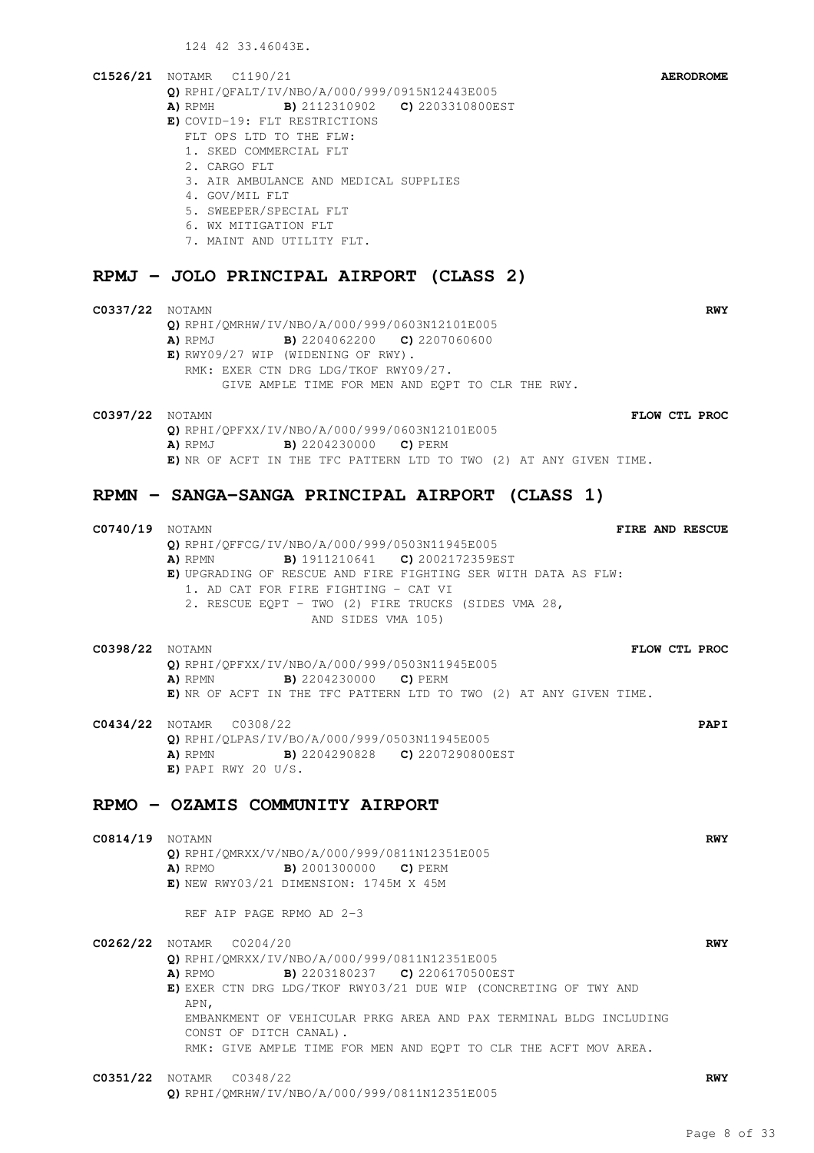124 42 33.46043E.

#### **C1526/21** NOTAMR C1190/21 **AERODROME Q)** RPHI/QFALT/IV/NBO/A/000/999/0915N12443E005 **A)** RPMH **B)** 2112310902 **C)** 2203310800EST **E)** COVID-19: FLT RESTRICTIONS FLT OPS LTD TO THE FLW:

- 1. SKED COMMERCIAL FLT
- 2. CARGO FLT
- 3. AIR AMBULANCE AND MEDICAL SUPPLIES
- 4. GOV/MIL FLT
- 5. SWEEPER/SPECIAL FLT
- 6. WX MITIGATION FLT
- 7. MAINT AND UTILITY FLT.

#### **RPMJ - JOLO PRINCIPAL AIRPORT (CLASS 2)**

#### **C0337/22** NOTAMN **RWY Q)** RPHI/QMRHW/IV/NBO/A/000/999/0603N12101E005 **A)** RPMJ **B)** 2204062200 **C)** 2207060600 **E)** RWY09/27 WIP (WIDENING OF RWY). RMK: EXER CTN DRG LDG/TKOF RWY09/27. GIVE AMPLE TIME FOR MEN AND EQPT TO CLR THE RWY.

**C0397/22** NOTAMN **FLOW CTL PROC Q)** RPHI/QPFXX/IV/NBO/A/000/999/0603N12101E005 **A)** RPMJ **B)** 2204230000 **C)** PERM **E)** NR OF ACFT IN THE TFC PATTERN LTD TO TWO (2) AT ANY GIVEN TIME.

**C0740/19** NOTAMN **FIRE AND RESCUE**

### **RPMN - SANGA-SANGA PRINCIPAL AIRPORT (CLASS 1)**

**Q)** RPHI/QFFCG/IV/NBO/A/000/999/0503N11945E005 **A)** RPMN **B)** 1911210641 **C)** 2002172359EST **E)** UPGRADING OF RESCUE AND FIRE FIGHTING SER WITH DATA AS FLW: 1. AD CAT FOR FIRE FIGHTING - CAT VI 2. RESCUE EQPT - TWO (2) FIRE TRUCKS (SIDES VMA 28, AND SIDES VMA 105) **C0398/22** NOTAMN **FLOW CTL PROC Q)** RPHI/QPFXX/IV/NBO/A/000/999/0503N11945E005 **A)** RPMN **B)** 2204230000 **C)** PERM **E)** NR OF ACFT IN THE TFC PATTERN LTD TO TWO (2) AT ANY GIVEN TIME. **C0434/22** NOTAMR C0308/22 **PAPI Q)** RPHI/QLPAS/IV/BO/A/000/999/0503N11945E005 **A)** RPMN **B)** 2204290828 **C)** 2207290800EST **E)** PAPI RWY 20 U/S. **RPMO - OZAMIS COMMUNITY AIRPORT C0814/19** NOTAMN **RWY Q)** RPHI/QMRXX/V/NBO/A/000/999/0811N12351E005 **A)** RPMO **B)** 2001300000 **C)** PERM **E)** NEW RWY03/21 DIMENSION: 1745M X 45M REF AIP PAGE RPMO AD 2-3 **C0262/22** NOTAMR C0204/20 **RWY Q)** RPHI/QMRXX/IV/NBO/A/000/999/0811N12351E005 **A)** RPMO **B)** 2203180237 **C)** 2206170500EST **E)** EXER CTN DRG LDG/TKOF RWY03/21 DUE WIP (CONCRETING OF TWY AND APN, EMBANKMENT OF VEHICULAR PRKG AREA AND PAX TERMINAL BLDG INCLUDING CONST OF DITCH CANAL). RMK: GIVE AMPLE TIME FOR MEN AND EQPT TO CLR THE ACFT MOV AREA. **C0351/22** NOTAMR C0348/22 **RWY Q)** RPHI/QMRHW/IV/NBO/A/000/999/0811N12351E005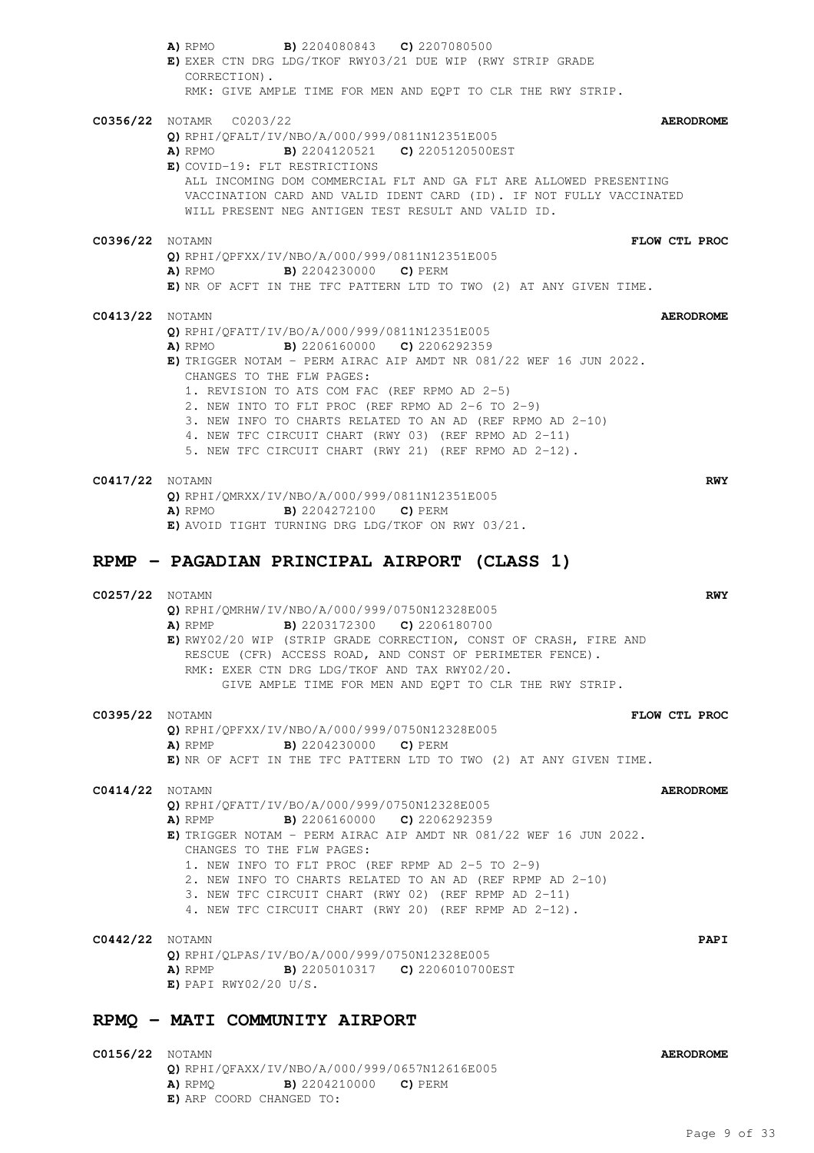|                        | <b>B)</b> 2204080843 <b>C)</b> 2207080500<br>A) RPMO<br>E) EXER CTN DRG LDG/TKOF RWY03/21 DUE WIP (RWY STRIP GRADE<br>CORRECTION).                                                                                                                                                                                                                                                                                                                                                         |                  |
|------------------------|--------------------------------------------------------------------------------------------------------------------------------------------------------------------------------------------------------------------------------------------------------------------------------------------------------------------------------------------------------------------------------------------------------------------------------------------------------------------------------------------|------------------|
|                        | RMK: GIVE AMPLE TIME FOR MEN AND EOPT TO CLR THE RWY STRIP.                                                                                                                                                                                                                                                                                                                                                                                                                                |                  |
|                        | C0356/22 NOTAMR C0203/22<br>Q) RPHI/QFALT/IV/NBO/A/000/999/0811N12351E005<br><b>B)</b> 2204120521 <b>C)</b> 2205120500EST<br>A) RPMO<br>E) COVID-19: FLT RESTRICTIONS<br>ALL INCOMING DOM COMMERCIAL FLT AND GA FLT ARE ALLOWED PRESENTING<br>VACCINATION CARD AND VALID IDENT CARD (ID). IF NOT FULLY VACCINATED<br>WILL PRESENT NEG ANTIGEN TEST RESULT AND VALID ID.                                                                                                                    | <b>AERODROME</b> |
| <b>C0396/22</b> NOTAMN |                                                                                                                                                                                                                                                                                                                                                                                                                                                                                            | FLOW CTL PROC    |
|                        | Q) RPHI/QPFXX/IV/NBO/A/000/999/0811N12351E005<br><b>A)</b> RPMO <b>B)</b> 2204230000 <b>C)</b> PERM<br>E) NR OF ACFT IN THE TFC PATTERN LTD TO TWO (2) AT ANY GIVEN TIME.                                                                                                                                                                                                                                                                                                                  |                  |
| C0413/22               | NOTAMN                                                                                                                                                                                                                                                                                                                                                                                                                                                                                     | <b>AERODROME</b> |
|                        | Q) RPHI/QFATT/IV/BO/A/000/999/0811N12351E005<br><b>B)</b> 2206160000 <b>C)</b> 2206292359<br>A) RPMO<br>E) TRIGGER NOTAM - PERM AIRAC AIP AMDT NR $081/22$ WEF 16 JUN 2022.<br>CHANGES TO THE FLW PAGES:<br>1. REVISION TO ATS COM FAC (REF RPMO AD 2-5)<br>2. NEW INTO TO FLT PROC (REF RPMO AD 2-6 TO 2-9)<br>3. NEW INFO TO CHARTS RELATED TO AN AD (REF RPMO AD 2-10)<br>4. NEW TFC CIRCUIT CHART (RWY 03) (REF RPMO AD 2-11)<br>5. NEW TFC CIRCUIT CHART (RWY 21) (REF RPMO AD 2-12). |                  |
| C0417/22 Notamn        |                                                                                                                                                                                                                                                                                                                                                                                                                                                                                            | <b>RWY</b>       |
|                        | Q) RPHI/QMRXX/IV/NBO/A/000/999/0811N12351E005<br><b>B)</b> 2204272100 <b>C)</b> PERM<br>A) RPMO<br>E) AVOID TIGHT TURNING DRG LDG/TKOF ON RWY 03/21.                                                                                                                                                                                                                                                                                                                                       |                  |
|                        | RPMP - PAGADIAN PRINCIPAL AIRPORT (CLASS 1)                                                                                                                                                                                                                                                                                                                                                                                                                                                |                  |
| C0257/22 NOTAMN        | Q) RPHI/QMRHW/IV/NBO/A/000/999/0750N12328E005<br><b>B)</b> 2203172300 <b>C)</b> 2206180700<br>A) RPMP<br>E) RWY02/20 WIP (STRIP GRADE CORRECTION, CONST OF CRASH, FIRE AND<br>RESCUE (CFR) ACCESS ROAD, AND CONST OF PERIMETER FENCE).<br>RMK: EXER CTN DRG LDG/TKOF AND TAX RWY02/20.<br>GIVE AMPLE TIME FOR MEN AND EQPT TO CLR THE RWY STRIP.                                                                                                                                           | <b>RWY</b>       |
| C0395/22 Notamn        |                                                                                                                                                                                                                                                                                                                                                                                                                                                                                            | FLOW CTL PROC    |
|                        | Q) RPHI/QPFXX/IV/NBO/A/000/999/0750N12328E005<br><b>A)</b> RPMP <b>B)</b> 2204230000 <b>C)</b> PERM<br>E) NR OF ACFT IN THE TFC PATTERN LTD TO TWO (2) AT ANY GIVEN TIME.                                                                                                                                                                                                                                                                                                                  |                  |
| C0414/22 Notamn        | Q) RPHI/QFATT/IV/BO/A/000/999/0750N12328E005<br><b>B)</b> 2206160000 <b>C)</b> 2206292359<br>A) RPMP<br>E) TRIGGER NOTAM - PERM AIRAC AIP AMDT NR 081/22 WEF 16 JUN 2022.<br>CHANGES TO THE FLW PAGES:<br>1. NEW INFO TO FLT PROC (REF RPMP AD 2-5 TO 2-9)<br>2. NEW INFO TO CHARTS RELATED TO AN AD (REF RPMP AD 2-10)<br>3. NEW TFC CIRCUIT CHART (RWY 02) (REF RPMP AD 2-11)<br>4. NEW TFC CIRCUIT CHART (RWY 20) (REF RPMP AD 2-12).                                                   | <b>AERODROME</b> |
| C0442/22 Notamn        | Q) RPHI/QLPAS/IV/BO/A/000/999/0750N12328E005<br>A) RPMP B) 2205010317 C) 2206010700EST<br>$E)$ PAPI RWY02/20 U/S.                                                                                                                                                                                                                                                                                                                                                                          | <b>PAPI</b>      |
|                        | RPMQ - MATI COMMUNITY AIRPORT                                                                                                                                                                                                                                                                                                                                                                                                                                                              |                  |
| C0156/22 NOTAMN        |                                                                                                                                                                                                                                                                                                                                                                                                                                                                                            | <b>AERODROME</b> |
|                        | Q) RPHI/QFAXX/IV/NBO/A/000/999/0657N12616E005                                                                                                                                                                                                                                                                                                                                                                                                                                              |                  |

**A)** RPMQ **B)** 2204210000 **C)** PERM

**E)** ARP COORD CHANGED TO: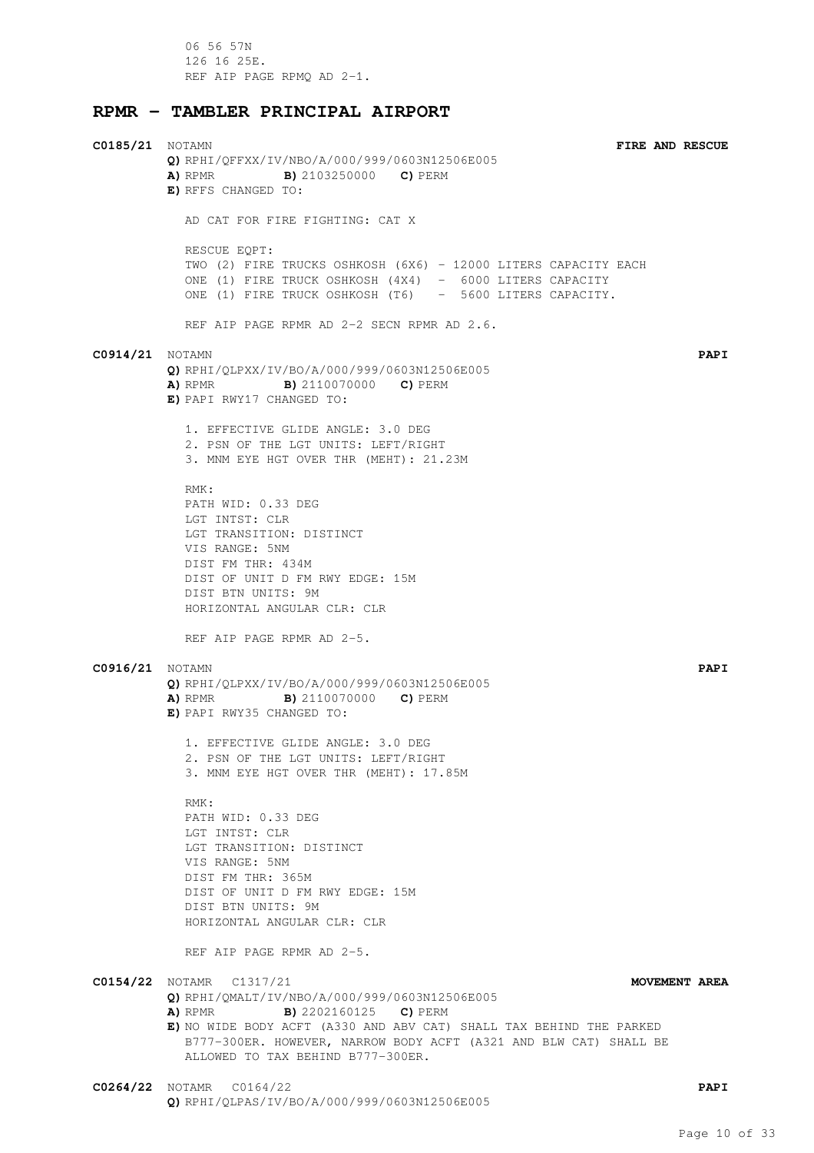06 56 57N 126 16 25E. REF AIP PAGE RPMQ AD 2-1.

#### **RPMR - TAMBLER PRINCIPAL AIRPORT**

**C0185/21** NOTAMN **FIRE AND RESCUE Q)** RPHI/QFFXX/IV/NBO/A/000/999/0603N12506E005 **A)** RPMR **B)** 2103250000 **C)** PERM **E)** RFFS CHANGED TO: AD CAT FOR FIRE FIGHTING: CAT X RESCUE EQPT: TWO (2) FIRE TRUCKS OSHKOSH (6X6) - 12000 LITERS CAPACITY EACH ONE (1) FIRE TRUCK OSHKOSH (4X4) - 6000 LITERS CAPACITY ONE (1) FIRE TRUCK OSHKOSH (T6) - 5600 LITERS CAPACITY. REF AIP PAGE RPMR AD 2-2 SECN RPMR AD 2.6. **C0914/21** NOTAMN **PAPI Q)** RPHI/QLPXX/IV/BO/A/000/999/0603N12506E005 **A)** RPMR **B)** 2110070000 **C)** PERM **E)** PAPI RWY17 CHANGED TO: 1. EFFECTIVE GLIDE ANGLE: 3.0 DEG 2. PSN OF THE LGT UNITS: LEFT/RIGHT 3. MNM EYE HGT OVER THR (MEHT): 21.23M RMK: PATH WID: 0.33 DEG LGT INTST: CLR LGT TRANSITION: DISTINCT VIS RANGE: 5NM DIST FM THR: 434M DIST OF UNIT D FM RWY EDGE: 15M DIST BTN UNITS: 9M HORIZONTAL ANGULAR CLR: CLR REF AIP PAGE RPMR AD 2-5. **C0916/21** NOTAMN **PAPI Q)** RPHI/QLPXX/IV/BO/A/000/999/0603N12506E005 **A)** RPMR **B)** 2110070000 **C)** PERM **E)** PAPI RWY35 CHANGED TO: 1. EFFECTIVE GLIDE ANGLE: 3.0 DEG 2. PSN OF THE LGT UNITS: LEFT/RIGHT 3. MNM EYE HGT OVER THR (MEHT): 17.85M RMK: PATH WID: 0.33 DEG LGT INTST: CLR LGT TRANSITION: DISTINCT VIS RANGE: 5NM DIST FM THR: 365M DIST OF UNIT D FM RWY EDGE: 15M DIST BTN UNITS: 9M HORIZONTAL ANGULAR CLR: CLR REF AIP PAGE RPMR AD 2-5. **C0154/22** NOTAMR C1317/21 **MOVEMENT AREA Q)** RPHI/QMALT/IV/NBO/A/000/999/0603N12506E005 **A)** RPMR **B)** 2202160125 **C)** PERM **E)** NO WIDE BODY ACFT (A330 AND ABV CAT) SHALL TAX BEHIND THE PARKED B777-300ER. HOWEVER, NARROW BODY ACFT (A321 AND BLW CAT) SHALL BE ALLOWED TO TAX BEHIND B777-300ER. **C0264/22** NOTAMR C0164/22 **PAPI**

**Q)** RPHI/QLPAS/IV/BO/A/000/999/0603N12506E005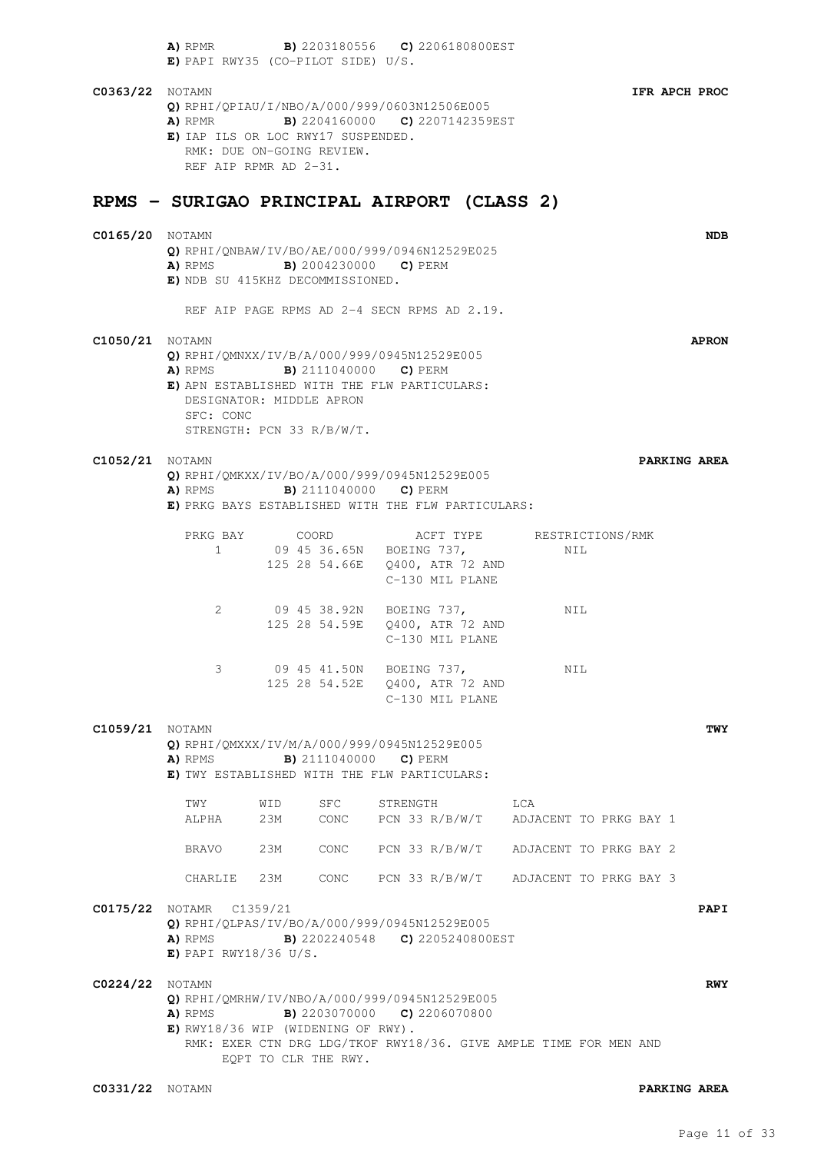|                        | A) RPMR B) 2203180556 C) 2206180800EST<br>$E)$ PAPI RWY35 (CO-PILOT SIDE) U/S.                                                                                            |                                                                                          |                                     |                                                                                   |     |     |                     |              |
|------------------------|---------------------------------------------------------------------------------------------------------------------------------------------------------------------------|------------------------------------------------------------------------------------------|-------------------------------------|-----------------------------------------------------------------------------------|-----|-----|---------------------|--------------|
| <b>C0363/22</b> NOTAMN | Q) RPHI/QPIAU/I/NBO/A/000/999/0603N12506E005<br>A) RPMR B) 2204160000 C) 2207142359EST<br>E) IAP ILS OR LOC RWY17 SUSPENDED.                                              | RMK: DUE ON-GOING REVIEW.<br>REF AIP RPMR AD 2-31.                                       |                                     |                                                                                   |     |     | IFR APCH PROC       |              |
|                        | RPMS - SURIGAO PRINCIPAL AIRPORT (CLASS 2)                                                                                                                                |                                                                                          |                                     |                                                                                   |     |     |                     |              |
| <b>C0165/20</b> NOTAMN | Q) RPHI/QNBAW/IV/BO/AE/000/999/0946N12529E025<br><b>A)</b> RPMS <b>B)</b> 2004230000 <b>C)</b> PERM<br>E) NDB SU 415KHZ DECOMMISSIONED.                                   |                                                                                          |                                     |                                                                                   |     |     |                     | <b>NDB</b>   |
|                        |                                                                                                                                                                           | REF AIP PAGE RPMS AD 2-4 SECN RPMS AD 2.19.                                              |                                     |                                                                                   |     |     |                     |              |
| <b>C1050/21</b> NOTAMN | Q) RPHI/QMNXX/IV/B/A/000/999/0945N12529E005<br>A) RPMS B) 2111040000 C) PERM<br>E) APN ESTABLISHED WITH THE FLW PARTICULARS:<br>SFC: CONC                                 | DESIGNATOR: MIDDLE APRON<br>STRENGTH: PCN 33 R/B/W/T.                                    |                                     |                                                                                   |     |     |                     | <b>APRON</b> |
| <b>C1052/21</b> NOTAMN | Q) RPHI/QMKXX/IV/BO/A/000/999/0945N12529E005<br>A) RPMS B) 2111040000 C) PERM<br>E) PRKG BAYS ESTABLISHED WITH THE FLW PARTICULARS:                                       |                                                                                          |                                     |                                                                                   |     |     | PARKING AREA        |              |
|                        |                                                                                                                                                                           |                                                                                          |                                     | C-130 MIL PLANE                                                                   |     |     |                     |              |
|                        | 2                                                                                                                                                                         | 09 45 38.92N BOEING 737,                                                                 |                                     | C-130 MIL PLANE                                                                   |     | NIL |                     |              |
|                        | 3                                                                                                                                                                         |                                                                                          |                                     | 09  45  41.50N  BOEING  737,<br>125 28 54.52E 0400, ATR 72 AND<br>C-130 MIL PLANE |     | NIL |                     |              |
| <b>C1059/21</b> NOTAMN | Q) RPHI/QMXXX/IV/M/A/000/999/0945N12529E005<br>A) RPMS<br>E) TWY ESTABLISHED WITH THE FLW PARTICULARS:                                                                    |                                                                                          | <b>B)</b> 2111040000 <b>C)</b> PERM |                                                                                   |     |     |                     | TWY          |
|                        | TWY<br>ALPHA                                                                                                                                                              | WID<br>23M CONC                                                                          | <b>SFC</b>                          | STRENGTH<br>PCN 33 R/B/W/T ADJACENT TO PRKG BAY 1                                 | LCA |     |                     |              |
|                        | BRAVO                                                                                                                                                                     | 23M                                                                                      |                                     | CONC PCN 33 R/B/W/T ADJACENT TO PRKG BAY 2                                        |     |     |                     |              |
|                        |                                                                                                                                                                           | CHARLIE 23M CONC PCN 33 R/B/W/T ADJACENT TO PRKG BAY 3                                   |                                     |                                                                                   |     |     |                     |              |
|                        | <b>C0175/22</b> NOTAMR C1359/21<br>Q) RPHI/QLPAS/IV/BO/A/000/999/0945N12529E005<br><b>A)</b> RPMS <b>B)</b> 2202240548 <b>C)</b> 2205240800EST<br>$E)$ PAPI RWY18/36 U/S. |                                                                                          |                                     |                                                                                   |     |     |                     | PAPI         |
| <b>C0224/22</b> NOTAMN | Q) RPHI/QMRHW/IV/NBO/A/000/999/0945N12529E005<br>A) RPMS<br>$E)$ RWY18/36 WIP (WIDENING OF RWY).                                                                          | RMK: EXER CTN DRG LDG/TKOF RWY18/36. GIVE AMPLE TIME FOR MEN AND<br>EQPT TO CLR THE RWY. |                                     | <b>B)</b> 2203070000 <b>C)</b> 2206070800                                         |     |     |                     | <b>RWY</b>   |
| <b>C0331/22</b> NOTAMN |                                                                                                                                                                           |                                                                                          |                                     |                                                                                   |     |     | <b>PARKING AREA</b> |              |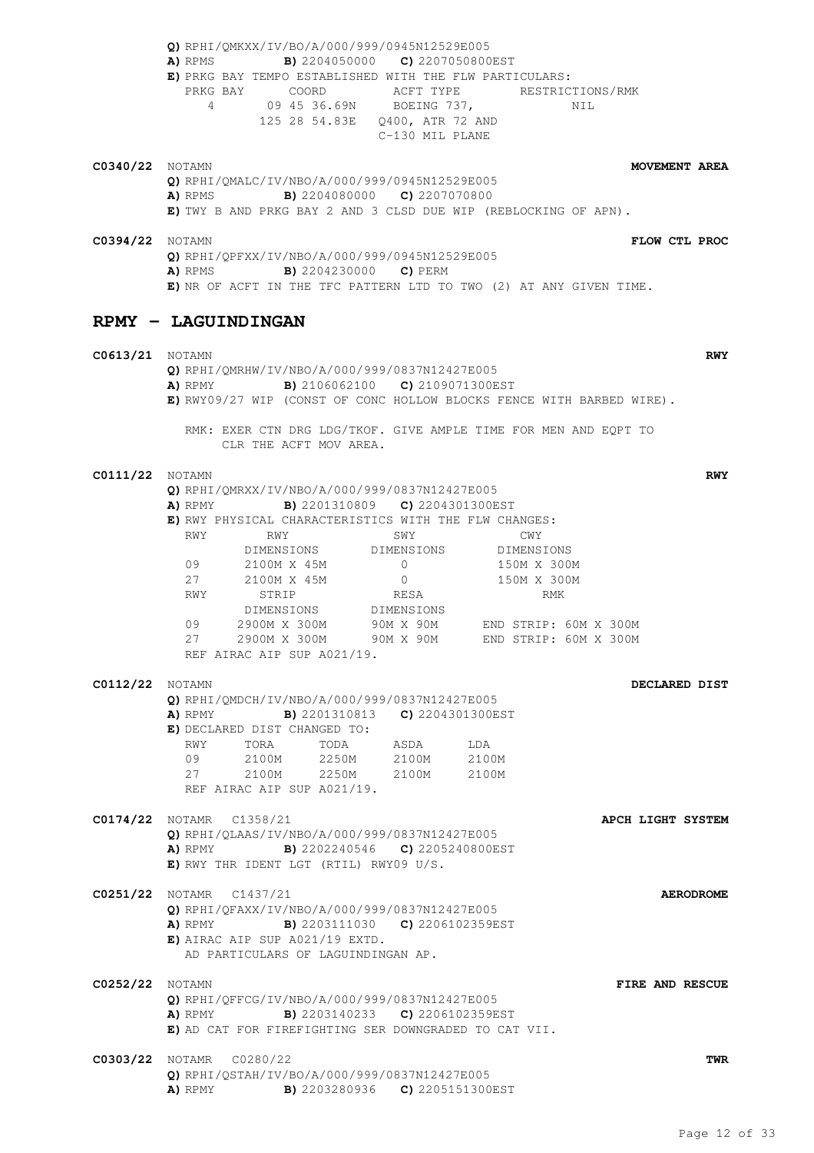**Q)** RPHI/QMKXX/IV/BO/A/000/999/0945N12529E005 **A)** RPMS **B)** 2204050000 **C)** 2207050800EST **E)** PRKG BAY TEMPO ESTABLISHED WITH THE FLW PARTICULARS: PRKG BAY COORD ACFT TYPE RESTRICTIONS/RMK 4 09 45 36.69N BOEING 737, NIL 125 28 54.83E Q400, ATR 72 AND C-130 MIL PLANE **C0340/22** NOTAMN **MOVEMENT AREA Q)** RPHI/QMALC/IV/NBO/A/000/999/0945N12529E005 **A)** RPMS **B)** 2204080000 **C)** 2207070800 **E)** TWY B AND PRKG BAY 2 AND 3 CLSD DUE WIP (REBLOCKING OF APN). **C0394/22** NOTAMN **FLOW CTL PROC Q)** RPHI/QPFXX/IV/NBO/A/000/999/0945N12529E005 **A)** RPMS **B)** 2204230000 **C)** PERM **E)** NR OF ACFT IN THE TFC PATTERN LTD TO TWO (2) AT ANY GIVEN TIME. **RPMY - LAGUINDINGAN C0613/21** NOTAMN **RWY Q)** RPHI/QMRHW/IV/NBO/A/000/999/0837N12427E005 **A)** RPMY **B)** 2106062100 **C)** 2109071300EST **E)** RWY09/27 WIP (CONST OF CONC HOLLOW BLOCKS FENCE WITH BARBED WIRE). RMK: EXER CTN DRG LDG/TKOF. GIVE AMPLE TIME FOR MEN AND EQPT TO CLR THE ACFT MOV AREA. **C0111/22** NOTAMN **RWY Q)** RPHI/QMRXX/IV/NBO/A/000/999/0837N12427E005 **A)** RPMY **B)** 2201310809 **C)** 2204301300EST **E)** RWY PHYSICAL CHARACTERISTICS WITH THE FLW CHANGES: RWY RWY SWY SWY CWY DIMENSIONS DIMENSIONS DIMENSIONS 09 2100M X 45M 0 150M X 300M 27 2100M X 45M 0 150M X 300M RWY STRIP RESA RMK 2100M X 45M U<br>STRIP RESA<br>DIMENSIONS DIMENSIONS 09 2900M X 300M 90M X 90M END STRIP: 60M X 300M 27 2900M X 300M 90M X 90M END STRIP: 60M X 300M REF AIRAC AIP SUP A021/19. **C0112/22** NOTAMN **DECLARED DIST Q)** RPHI/QMDCH/IV/NBO/A/000/999/0837N12427E005 **A)** RPMY **B)** 2201310813 **C)** 2204301300EST **E)** DECLARED DIST CHANGED TO:<br>RWY TORA TODA<br>09 2100M 2250M RWY TORA TODA ASDA LDA 09 2100M 2250M 2100M 2100M 27 2100M 2250M 2100M 2100M REF AIRAC AIP SUP A021/19. **C0174/22** NOTAMR C1358/21 **APCH LIGHT SYSTEM Q)** RPHI/QLAAS/IV/NBO/A/000/999/0837N12427E005 **A)** RPMY **B)** 2202240546 **C)** 2205240800EST **E)** RWY THR IDENT LGT (RTIL) RWY09 U/S. **C0251/22** NOTAMR C1437/21 **AERODROME Q)** RPHI/QFAXX/IV/NBO/A/000/999/0837N12427E005 **A)** RPMY **B)** 2203111030 **C)** 2206102359EST **E)** AIRAC AIP SUP A021/19 EXTD. AD PARTICULARS OF LAGUINDINGAN AP. **C0252/22** NOTAMN **FIRE AND RESCUE Q)** RPHI/QFFCG/IV/NBO/A/000/999/0837N12427E005 **A)** RPMY **B)** 2203140233 **C)** 2206102359EST **E)** AD CAT FOR FIREFIGHTING SER DOWNGRADED TO CAT VII. **C0303/22** NOTAMR C0280/22 **TWR Q)** RPHI/QSTAH/IV/BO/A/000/999/0837N12427E005 **A)** RPMY **B)** 2203280936 **C)** 2205151300EST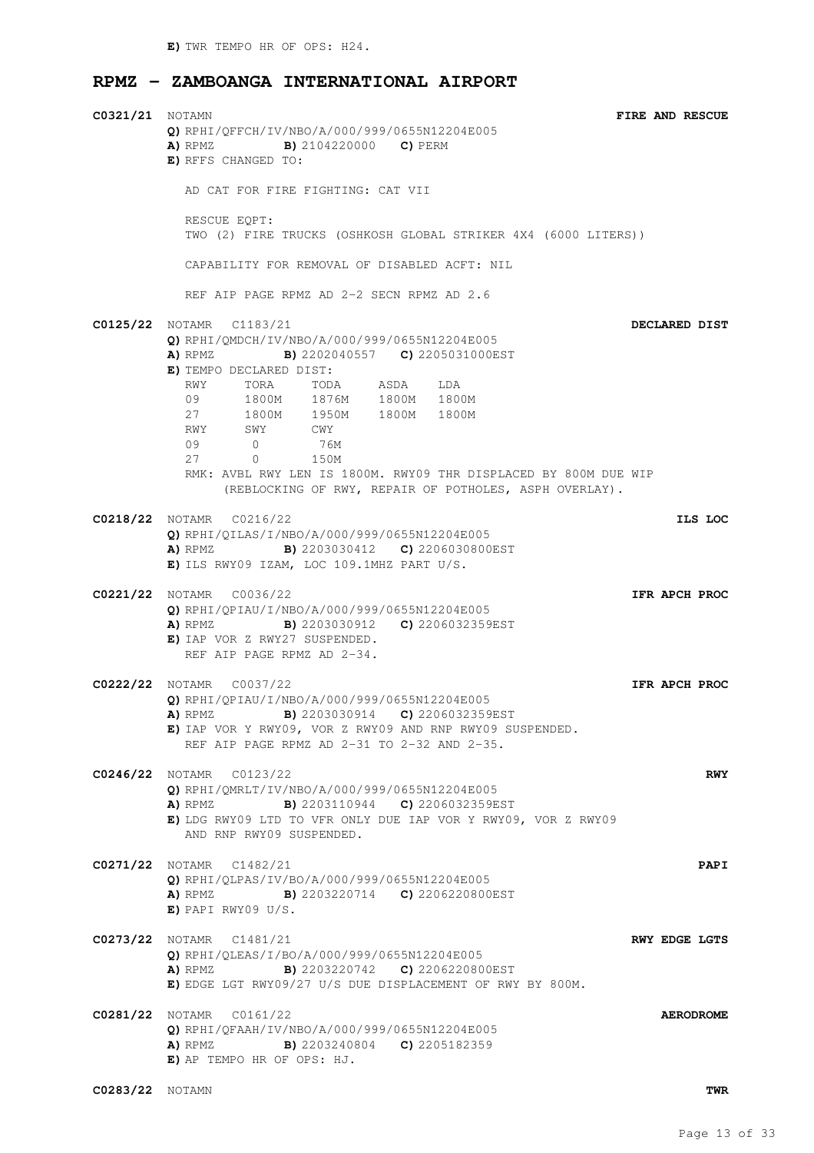#### **RPMZ - ZAMBOANGA INTERNATIONAL AIRPORT**

| <b>C0321/21</b> NOTAMN | Q) RPHI/QFFCH/IV/NBO/A/000/999/0655N12204E005<br><b>A)</b> RPMZ <b>B)</b> 2104220000 <b>C)</b> PERM<br>E) RFFS CHANGED TO:                                                                                                                                                                                                                                                                                                | FIRE AND RESCUE      |
|------------------------|---------------------------------------------------------------------------------------------------------------------------------------------------------------------------------------------------------------------------------------------------------------------------------------------------------------------------------------------------------------------------------------------------------------------------|----------------------|
|                        | AD CAT FOR FIRE FIGHTING: CAT VII                                                                                                                                                                                                                                                                                                                                                                                         |                      |
|                        | RESCUE EQPT:<br>TWO (2) FIRE TRUCKS (OSHKOSH GLOBAL STRIKER 4X4 (6000 LITERS))                                                                                                                                                                                                                                                                                                                                            |                      |
|                        | CAPABILITY FOR REMOVAL OF DISABLED ACFT: NIL                                                                                                                                                                                                                                                                                                                                                                              |                      |
|                        | REF AIP PAGE RPMZ AD 2-2 SECN RPMZ AD 2.6                                                                                                                                                                                                                                                                                                                                                                                 |                      |
|                        | <b>C0125/22</b> NOTAMR C1183/21<br>Q) RPHI/QMDCH/IV/NBO/A/000/999/0655N12204E005<br>A) RPMZ B) 2202040557 C) 2205031000EST<br>E) TEMPO DECLARED DIST:<br>TORA TODA ASDA LDA<br>RWY<br>09 1800M 1876M 1800M 1800M<br>27 1800M 1950M 1800M 1800M<br>RWY SWY CWY<br>0 76M<br>0 150M<br>09<br>27<br>RMK: AVBL RWY LEN IS 1800M. RWY09 THR DISPLACED BY 800M DUE WIP<br>(REBLOCKING OF RWY, REPAIR OF POTHOLES, ASPH OVERLAY). | DECLARED DIST        |
|                        | C0218/22 NOTAMR C0216/22<br>$Q$ ) RPHI/QILAS/I/NBO/A/000/999/0655N12204E005                                                                                                                                                                                                                                                                                                                                               | ILS LOC              |
|                        | <b>A)</b> RPMZ <b>B)</b> 2203030412 <b>C)</b> 2206030800EST<br>$E)$ ils RWY09 IZAM, LOC 109.1MHZ PART U/S.                                                                                                                                                                                                                                                                                                                |                      |
|                        | C0221/22 NOTAMR C0036/22<br>Q) RPHI/QPIAU/I/NBO/A/000/999/0655N12204E005<br><b>B)</b> 2203030912 <b>C)</b> 2206032359EST<br>A) RPMZ<br>E) IAP VOR Z RWY27 SUSPENDED.<br>REF AIP PAGE RPMZ AD 2-34.                                                                                                                                                                                                                        | IFR APCH PROC        |
|                        | <b>C0222/22</b> NOTAMR C0037/22<br>Q) RPHI/OPIAU/I/NBO/A/000/999/0655N12204E005                                                                                                                                                                                                                                                                                                                                           | IFR APCH PROC        |
|                        | B) 2203030914 C) 2206032359EST<br>A) RPMZ<br>E) IAP VOR Y RWY09, VOR Z RWY09 AND RNP RWY09 SUSPENDED.<br>REF AIP PAGE RPMZ AD 2-31 TO 2-32 AND 2-35.                                                                                                                                                                                                                                                                      |                      |
|                        | <b>C0246/22</b> NOTAMR C0123/22<br>O) RPHI/OMRLT/IV/NBO/A/000/999/0655N12204E005                                                                                                                                                                                                                                                                                                                                          | RWY                  |
|                        | <b>B)</b> 2203110944 <b>C)</b> 2206032359EST<br>A) RPMZ<br>E) LDG RWY09 LTD TO VFR ONLY DUE IAP VOR Y RWY09, VOR Z RWY09<br>AND RNP RWY09 SUSPENDED.                                                                                                                                                                                                                                                                      |                      |
|                        | <b>C0271/22</b> NOTAMR C1482/21<br>Q) RPHI/OLPAS/IV/BO/A/000/999/0655N12204E005<br>A) RPMZ B) 2203220714 C) 2206220800EST<br>$E)$ PAPI RWY09 U/S.                                                                                                                                                                                                                                                                         | PAPI                 |
|                        | C0273/22 NOTAMR C1481/21<br>$Q$ ) RPHI/QLEAS/I/BO/A/000/999/0655N12204E005<br><b>A)</b> RPMZ <b>B)</b> 2203220742 <b>C)</b> 2206220800EST<br>E) EDGE LGT RWY09/27 U/S DUE DISPLACEMENT OF RWY BY 800M.                                                                                                                                                                                                                    | <b>RWY EDGE LGTS</b> |
|                        | <b>C0281/22</b> NOTAMR C0161/22<br>Q) RPHI/QFAAH/IV/NBO/A/000/999/0655N12204E005<br><b>B)</b> 2203240804 <b>C)</b> 2205182359<br>A) RPMZ<br>E) AP TEMPO HR OF OPS: HJ.                                                                                                                                                                                                                                                    | <b>AERODROME</b>     |
| <b>C0283/22</b> NOTAMN |                                                                                                                                                                                                                                                                                                                                                                                                                           | TWR                  |

Page 13 of 33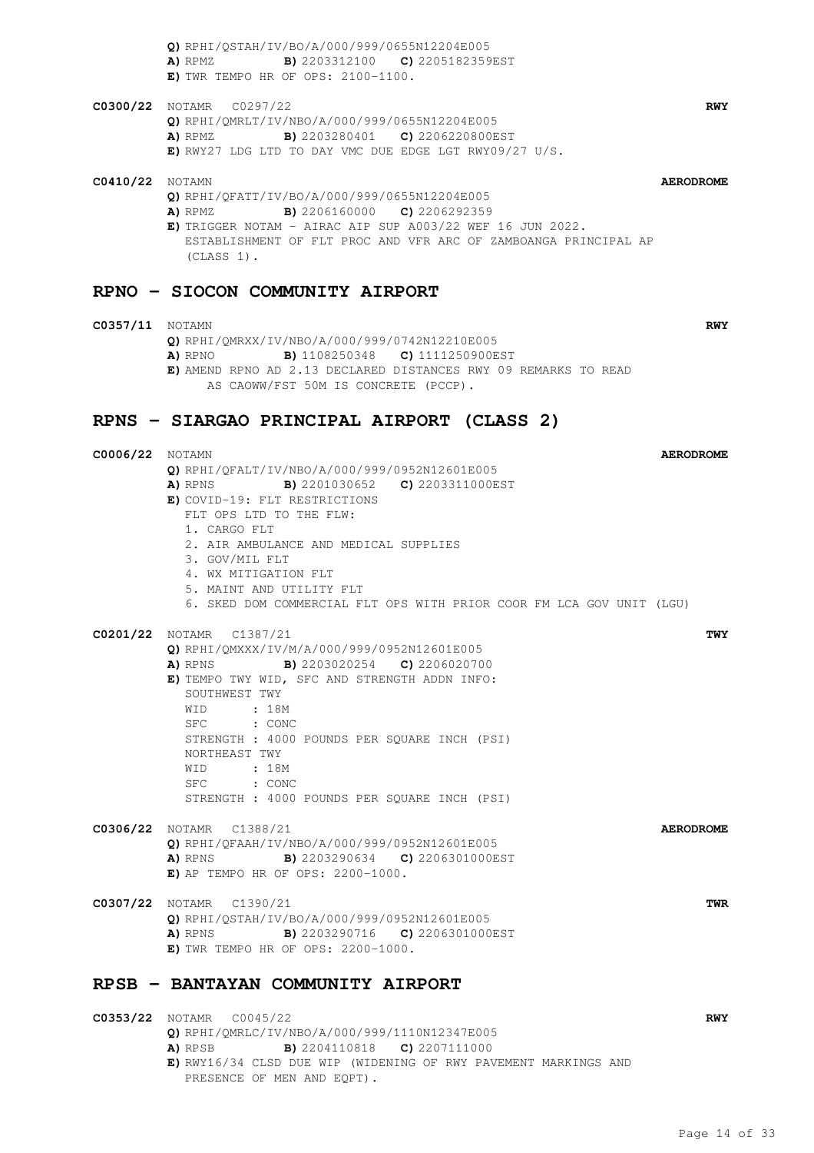**Q)** RPHI/QSTAH/IV/BO/A/000/999/0655N12204E005 **A)** RPMZ **B)** 2203312100 **C)** 2205182359EST **E)** TWR TEMPO HR OF OPS: 2100-1100.

**C0300/22** NOTAMR C0297/22 **RWY Q)** RPHI/QMRLT/IV/NBO/A/000/999/0655N12204E005 **A)** RPMZ **B)** 2203280401 **C)** 2206220800EST **E)** RWY27 LDG LTD TO DAY VMC DUE EDGE LGT RWY09/27 U/S.

#### **C0410/22** NOTAMN **AERODROME Q)** RPHI/QFATT/IV/BO/A/000/999/0655N12204E005 **A)** RPMZ **B)** 2206160000 **C)** 2206292359 **E)** TRIGGER NOTAM - AIRAC AIP SUP A003/22 WEF 16 JUN 2022. ESTABLISHMENT OF FLT PROC AND VFR ARC OF ZAMBOANGA PRINCIPAL AP (CLASS 1).

#### **RPNO - SIOCON COMMUNITY AIRPORT**

#### **C0357/11** NOTAMN **RWY Q)** RPHI/QMRXX/IV/NBO/A/000/999/0742N12210E005 **A)** RPNO **B)** 1108250348 **C)** 1111250900EST **E)** AMEND RPNO AD 2.13 DECLARED DISTANCES RWY 09 REMARKS TO READ AS CAOWW/FST 50M IS CONCRETE (PCCP).

### **RPNS - SIARGAO PRINCIPAL AIRPORT (CLASS 2)**

| <b>C0006/22</b> NOTAMN |                                                                      | <b>AERODROME</b> |
|------------------------|----------------------------------------------------------------------|------------------|
|                        | Q) RPHI/QFALT/IV/NBO/A/000/999/0952N12601E005                        |                  |
|                        | A) RPNS B) 2201030652 C) 2203311000EST                               |                  |
|                        | E) COVID-19: FLT RESTRICTIONS                                        |                  |
|                        | FLT OPS LTD TO THE FLW:                                              |                  |
|                        | 1. CARGO FLT                                                         |                  |
|                        | 2. AIR AMBULANCE AND MEDICAL SUPPLIES                                |                  |
|                        | 3. GOV/MIL FLT                                                       |                  |
|                        | 4. WX MITIGATION FLT                                                 |                  |
|                        | 5. MAINT AND UTILITY FLT                                             |                  |
|                        | 6. SKED DOM COMMERCIAL FLT OPS WITH PRIOR COOR FM LCA GOV UNIT (LGU) |                  |
|                        | C0201/22 NOTAMR C1387/21                                             | TWY              |
|                        | Q) RPHI/QMXXX/IV/M/A/000/999/0952N12601E005                          |                  |
|                        | <b>A)</b> RPNS <b>B)</b> 2203020254 <b>C)</b> 2206020700             |                  |
|                        | E) TEMPO TWY WID, SFC AND STRENGTH ADDN INFO:                        |                  |
|                        | SOUTHWEST TWY                                                        |                  |
|                        | WID : 18M                                                            |                  |
|                        | SFC : CONC                                                           |                  |
|                        | STRENGTH : 4000 POUNDS PER SQUARE INCH (PSI)                         |                  |
|                        | NORTHEAST TWY                                                        |                  |
|                        | WID : 18M                                                            |                  |
|                        | SFC : CONC                                                           |                  |
|                        | STRENGTH : 4000 POUNDS PER SQUARE INCH (PSI)                         |                  |
|                        | C0306/22 NOTAMR C1388/21                                             | <b>AERODROME</b> |
|                        | Q) RPHI/QFAAH/IV/NBO/A/000/999/0952N12601E005                        |                  |
|                        | A) RPNS<br><b>B)</b> 2203290634 <b>C)</b> 2206301000EST              |                  |
|                        | $E)$ AP TEMPO HR OF OPS: 2200-1000.                                  |                  |
|                        | C0307/22 NOTAMR C1390/21                                             | TWR              |
|                        | Q) RPHI/OSTAH/IV/BO/A/000/999/0952N12601E005                         |                  |
|                        | A) RPNS<br><b>B)</b> 2203290716 <b>C)</b> 2206301000EST              |                  |
|                        | E) TWR TEMPO HR OF OPS: 2200-1000.                                   |                  |
|                        | RPSB - BANTAYAN COMMUNITY AIRPORT                                    |                  |
|                        |                                                                      |                  |

**C0353/22** NOTAMR C0045/22 **RWY Q)** RPHI/QMRLC/IV/NBO/A/000/999/1110N12347E005 **A)** RPSB **B)** 2204110818 **C)** 2207111000 **E)** RWY16/34 CLSD DUE WIP (WIDENING OF RWY PAVEMENT MARKINGS AND PRESENCE OF MEN AND EQPT).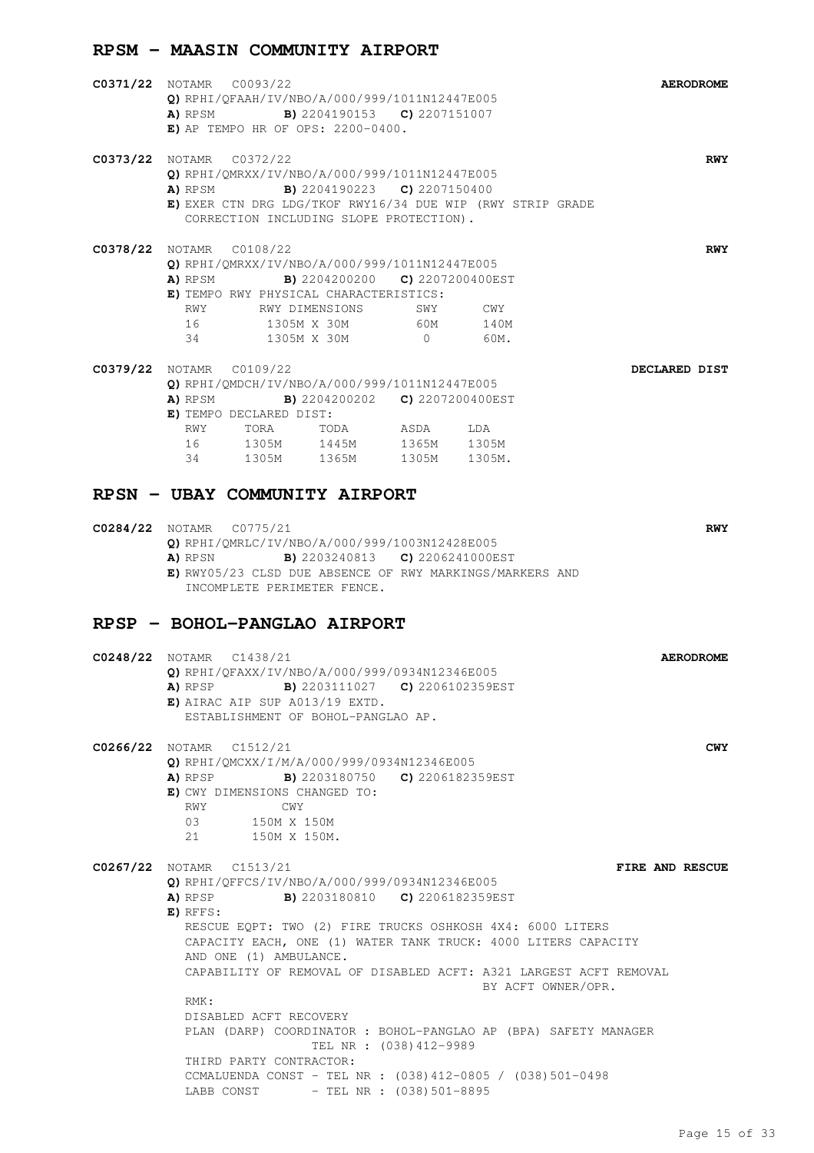#### **RPSM - MAASIN COMMUNITY AIRPORT**

| <b>C0371/22</b> NOTAMR C0093/22<br>O) RPHI/OFAAH/IV/NBO/A/000/999/1011N12447E005<br><b>A)</b> RPSM <b>B)</b> 2204190153 <b>C)</b> 2207151007<br>$E$ ) AP TEMPO HR OF OPS: 2200-0400.                                                                                                                                                                                                                    | <b>AERODROME</b> |
|---------------------------------------------------------------------------------------------------------------------------------------------------------------------------------------------------------------------------------------------------------------------------------------------------------------------------------------------------------------------------------------------------------|------------------|
| <b>C0373/22</b> NOTAMR C0372/22<br>Q) RPHI/QMRXX/IV/NBO/A/000/999/1011N12447E005<br><b>B)</b> 2204190223 <b>C)</b> 2207150400<br>A) RPSM<br>E) EXER CTN DRG LDG/TKOF RWY16/34 DUE WIP (RWY STRIP GRADE<br>CORRECTION INCLUDING SLOPE PROTECTION).                                                                                                                                                       | <b>RWY</b>       |
| <b>C0378/22</b> NOTAMR C0108/22<br>Q) RPHI/QMRXX/IV/NBO/A/000/999/1011N12447E005<br><b>A)</b> RPSM <b>B)</b> 2204200200 <b>C)</b> 2207200400EST<br>E) TEMPO RWY PHYSICAL CHARACTERISTICS:<br>RWY RWY DIMENSIONS<br>SWY<br>$\mathbb{C}\mathbb{W}\mathbb{Y}$<br>16<br>60M<br>1305M X 30M<br>140M<br>$0$ 60M.<br>1305M X 30M<br>34                                                                         | <b>RWY</b>       |
| C0379/22 NOTAMR C0109/22<br>Q) RPHI/QMDCH/IV/NBO/A/000/999/1011N12447E005<br>A) RPSM B) 2204200202 C) 2207200400EST<br>E) TEMPO DECLARED DIST:<br>RWY TORA TODA ASDA LDA<br>16 1305M 1445M 1365M 1305M<br>34 1305M 1365M 1305M 1305M.<br>RPSN - UBAY COMMUNITY AIRPORT                                                                                                                                  | DECLARED DIST    |
| <b>C0284/22</b> NOTAMR C0775/21<br>Q) RPHI/QMRLC/IV/NBO/A/000/999/1003N12428E005<br><b>A)</b> RPSN <b>B)</b> 2203240813 <b>C)</b> 2206241000EST<br>E) RWY05/23 CLSD DUE ABSENCE OF RWY MARKINGS/MARKERS AND<br>INCOMPLETE PERIMETER FENCE.                                                                                                                                                              | <b>RWY</b>       |
| RPSP - BOHOL-PANGLAO AIRPORT<br>C0248/22 NOTAMR C1438/21<br>Q) RPHI/QFAXX/IV/NBO/A/000/999/0934N12346E005<br><b>B)</b> 2203111027 <b>C)</b> 2206102359EST<br>A) RPSP<br>$E)$ AIRAC AIP SUP A013/19 EXTD.<br>ESTABLISHMENT OF BOHOL-PANGLAO AP.                                                                                                                                                          | <b>AERODROME</b> |
| C0266/22 NOTAMR C1512/21<br>Q) RPHI/OMCXX/I/M/A/000/999/0934N12346E005<br>A) RPSP<br><b>B)</b> 2203180750 <b>C)</b> 2206182359EST<br>E) CWY DIMENSIONS CHANGED TO:<br>RWY<br>CWY<br>03<br>150M X 150M<br>21 150M X 150M.                                                                                                                                                                                | <b>CWY</b>       |
| $CO267/22$ NOTAMR $C1513/21$<br>Q) RPHI/QFFCS/IV/NBO/A/000/999/0934N12346E005<br>A) RPSP<br><b>B)</b> 2203180810 <b>C)</b> 2206182359EST<br>E) RFFS:<br>RESCUE EQPT: TWO (2) FIRE TRUCKS OSHKOSH 4X4: 6000 LITERS<br>CAPACITY EACH, ONE (1) WATER TANK TRUCK: 4000 LITERS CAPACITY<br>AND ONE (1) AMBULANCE.<br>CAPABILITY OF REMOVAL OF DISABLED ACFT: A321 LARGEST ACFT REMOVAL<br>BY ACFT OWNER/OPR. | FIRE AND RESCUE  |

RMK: DISABLED ACFT RECOVERY PLAN (DARP) COORDINATOR : BOHOL-PANGLAO AP (BPA) SAFETY MANAGER TEL NR : (038)412-9989 THIRD PARTY CONTRACTOR: CCMALUENDA CONST - TEL NR : (038)412-0805 / (038)501-0498 LABB CONST - TEL NR : (038)501-8895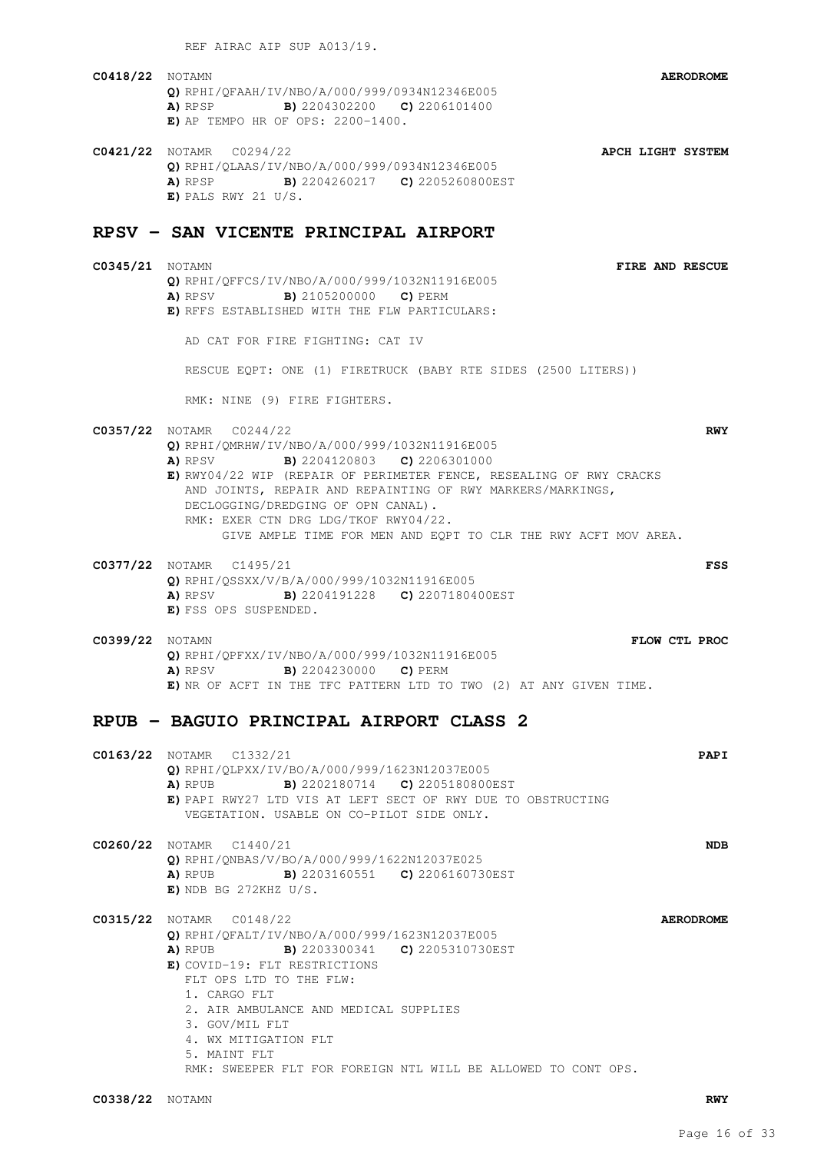REF AIRAC AIP SUP A013/19.

- **C0418/22** NOTAMN **AERODROME Q)** RPHI/QFAAH/IV/NBO/A/000/999/0934N12346E005 **A)** RPSP **B)** 2204302200 **C)** 2206101400 **E)** AP TEMPO HR OF OPS: 2200-1400.
- **C0421/22** NOTAMR C0294/22 **APCH LIGHT SYSTEM Q)** RPHI/QLAAS/IV/NBO/A/000/999/0934N12346E005 **A)** RPSP **B)** 2204260217 **C)** 2205260800EST **E)** PALS RWY 21 U/S.

### **RPSV - SAN VICENTE PRINCIPAL AIRPORT**

**C0345/21** NOTAMN **FIRE AND RESCUE Q)** RPHI/QFFCS/IV/NBO/A/000/999/1032N11916E005 **A)** RPSV **B)** 2105200000 **C)** PERM **E)** RFFS ESTABLISHED WITH THE FLW PARTICULARS:

AD CAT FOR FIRE FIGHTING: CAT IV

RESCUE EQPT: ONE (1) FIRETRUCK (BABY RTE SIDES (2500 LITERS))

RMK: NINE (9) FIRE FIGHTERS.

- **C0357/22** NOTAMR C0244/22 **RWY Q)** RPHI/QMRHW/IV/NBO/A/000/999/1032N11916E005 **A)** RPSV **B)** 2204120803 **C)** 2206301000 **E)** RWY04/22 WIP (REPAIR OF PERIMETER FENCE, RESEALING OF RWY CRACKS AND JOINTS, REPAIR AND REPAINTING OF RWY MARKERS/MARKINGS, DECLOGGING/DREDGING OF OPN CANAL). RMK: EXER CTN DRG LDG/TKOF RWY04/22. GIVE AMPLE TIME FOR MEN AND EQPT TO CLR THE RWY ACFT MOV AREA.
- **C0377/22** NOTAMR C1495/21 **FSS Q)** RPHI/QSSXX/V/B/A/000/999/1032N11916E005 **A)** RPSV **B)** 2204191228 **C)** 2207180400EST **E)** FSS OPS SUSPENDED.
- **C0399/22** NOTAMN **FLOW CTL PROC Q)** RPHI/QPFXX/IV/NBO/A/000/999/1032N11916E005 **A)** RPSV **B)** 2204230000 **C)** PERM **E)** NR OF ACFT IN THE TFC PATTERN LTD TO TWO (2) AT ANY GIVEN TIME.

### **RPUB - BAGUIO PRINCIPAL AIRPORT CLASS 2**

**C0163/22** NOTAMR C1332/21 **PAPI Q)** RPHI/QLPXX/IV/BO/A/000/999/1623N12037E005 **A)** RPUB **B)** 2202180714 **C)** 2205180800EST **E)** PAPI RWY27 LTD VIS AT LEFT SECT OF RWY DUE TO OBSTRUCTING VEGETATION. USABLE ON CO-PILOT SIDE ONLY. **C0260/22** NOTAMR C1440/21 **NDB Q)** RPHI/QNBAS/V/BO/A/000/999/1622N12037E025 **A)** RPUB **B)** 2203160551 **C)** 2206160730EST **E)** NDB BG 272KHZ U/S. **C0315/22** NOTAMR C0148/22 **AERODROME Q)** RPHI/QFALT/IV/NBO/A/000/999/1623N12037E005 **A)** RPUB **B)** 2203300341 **C)** 2205310730EST **E)** COVID-19: FLT RESTRICTIONS FLT OPS LTD TO THE FLW: 1. CARGO FLT 2. AIR AMBULANCE AND MEDICAL SUPPLIES 3. GOV/MIL FLT 4. WX MITIGATION FLT 5. MAINT FLT RMK: SWEEPER FLT FOR FOREIGN NTL WILL BE ALLOWED TO CONT OPS.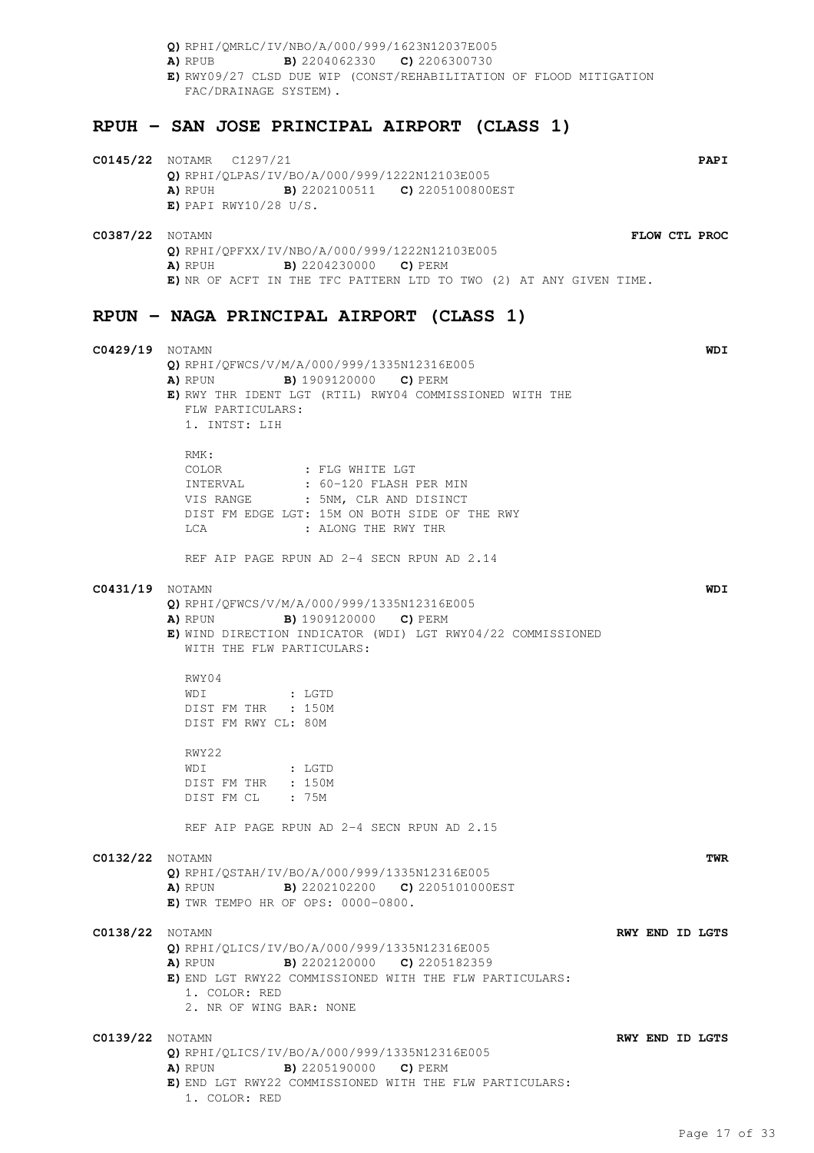**Q)** RPHI/QMRLC/IV/NBO/A/000/999/1623N12037E005 **A)** RPUB **B)** 2204062330 **C)** 2206300730 **E)** RWY09/27 CLSD DUE WIP (CONST/REHABILITATION OF FLOOD MITIGATION FAC/DRAINAGE SYSTEM). **RPUH - SAN JOSE PRINCIPAL AIRPORT (CLASS 1) C0145/22** NOTAMR C1297/21 **PAPI Q)** RPHI/QLPAS/IV/BO/A/000/999/1222N12103E005 **A)** RPUH **B)** 2202100511 **C)** 2205100800EST **E)** PAPI RWY10/28 U/S. **C0387/22** NOTAMN **FLOW CTL PROC Q)** RPHI/QPFXX/IV/NBO/A/000/999/1222N12103E005 **A)** RPUH **B)** 2204230000 **C)** PERM **E)** NR OF ACFT IN THE TFC PATTERN LTD TO TWO (2) AT ANY GIVEN TIME. **RPUN - NAGA PRINCIPAL AIRPORT (CLASS 1) C0429/19** NOTAMN **WDI Q)** RPHI/QFWCS/V/M/A/000/999/1335N12316E005 **A)** RPUN **B)** 1909120000 **C)** PERM **E)** RWY THR IDENT LGT (RTIL) RWY04 COMMISSIONED WITH THE FLW PARTICULARS: 1. INTST: LIH RMK: COLOR : FLG WHITE LGT<br>INTERVAL : 60-120 FLASH I INTERVAL : 60-120 FLASH PER MIN VIS RANGE : 5NM, CLR AND DISINCT DIST FM EDGE LGT: 15M ON BOTH SIDE OF THE RWY LCA : ALONG THE RWY THR REF AIP PAGE RPUN AD 2-4 SECN RPUN AD 2.14 **C0431/19** NOTAMN **WDI Q)** RPHI/QFWCS/V/M/A/000/999/1335N12316E005 **A)** RPUN **B)** 1909120000 **C)** PERM **E)** WIND DIRECTION INDICATOR (WDI) LGT RWY04/22 COMMISSIONED WITH THE FLW PARTICULARS: RWY04 WDI : LGTD DIST FM THR : 150M DIST FM RWY CL: 80M RWY22 WDI : LGTD DIST FM THR : 150M DIST FM CL : 75M REF AIP PAGE RPUN AD 2-4 SECN RPUN AD 2.15 **C0132/22** NOTAMN **TWR Q)** RPHI/QSTAH/IV/BO/A/000/999/1335N12316E005 **A)** RPUN **B)** 2202102200 **C)** 2205101000EST **E)** TWR TEMPO HR OF OPS: 0000-0800. **C0138/22** NOTAMN **RWY END ID LGTS Q)** RPHI/QLICS/IV/BO/A/000/999/1335N12316E005 **A)** RPUN **B)** 2202120000 **C)** 2205182359 **E)** END LGT RWY22 COMMISSIONED WITH THE FLW PARTICULARS: 1. COLOR: RED 2. NR OF WING BAR: NONE **C0139/22** NOTAMN **RWY END ID LGTS Q)** RPHI/QLICS/IV/BO/A/000/999/1335N12316E005 **A)** RPUN **B)** 2205190000 **C)** PERM

**E)** END LGT RWY22 COMMISSIONED WITH THE FLW PARTICULARS:

1. COLOR: RED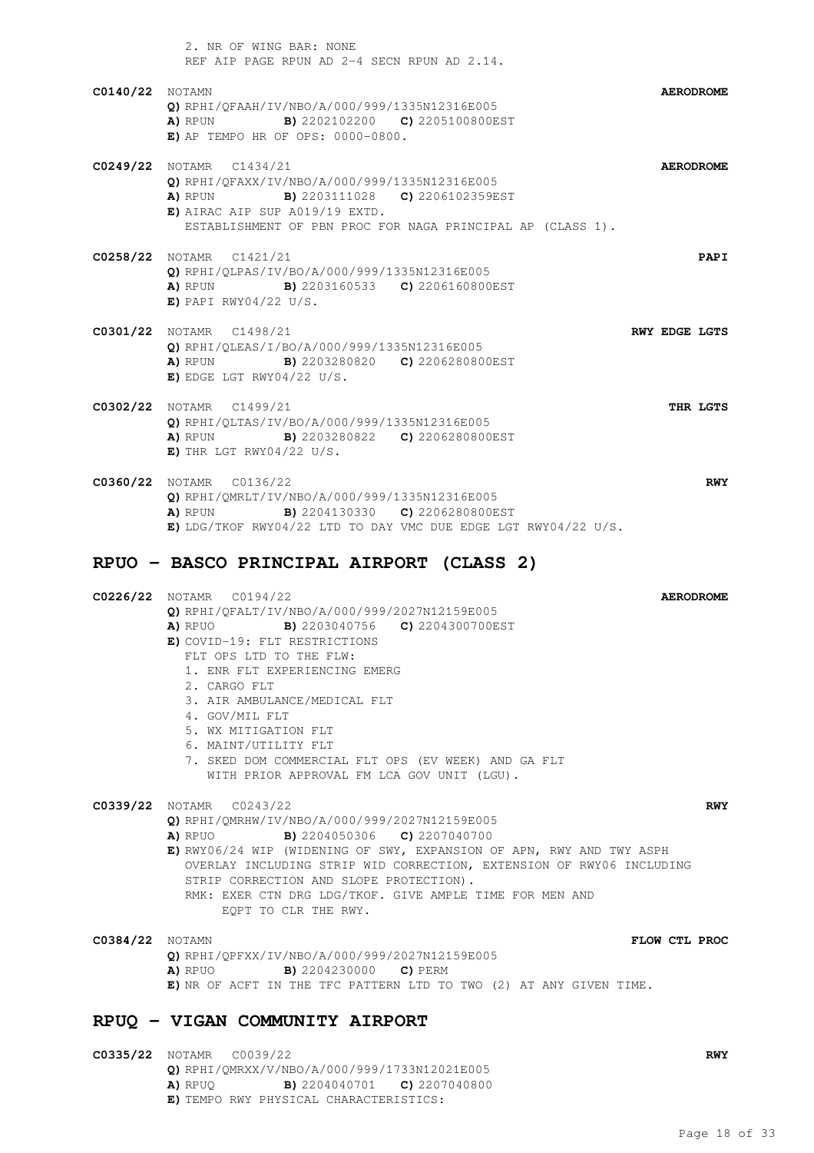|                        | 2. NR OF WING BAR: NONE<br>REF AIP PAGE RPUN AD 2-4 SECN RPUN AD 2.14.                                                                                                                                                                                                                                                                                 |                      |
|------------------------|--------------------------------------------------------------------------------------------------------------------------------------------------------------------------------------------------------------------------------------------------------------------------------------------------------------------------------------------------------|----------------------|
| <b>C0140/22</b> NOTAMN | Q) RPHI/OFAAH/IV/NBO/A/000/999/1335N12316E005<br><b>A)</b> RPUN <b>B)</b> 2202102200 <b>C)</b> 2205100800EST<br>$E)$ AP TEMPO HR OF OPS: 0000-0800.                                                                                                                                                                                                    | <b>AERODROME</b>     |
|                        | C0249/22 NOTAMR C1434/21<br>Q) RPHI/QFAXX/IV/NBO/A/000/999/1335N12316E005<br><b>A)</b> RPUN <b>B)</b> 2203111028 <b>C)</b> 2206102359EST<br>$E)$ AIRAC AIP SUP A019/19 EXTD.<br>ESTABLISHMENT OF PBN PROC FOR NAGA PRINCIPAL AP (CLASS 1).                                                                                                             | <b>AERODROME</b>     |
|                        | C0258/22 NOTAMR C1421/21<br>Q) RPHI/OLPAS/IV/BO/A/000/999/1335N12316E005<br><b>A)</b> RPUN <b>B)</b> 2203160533 <b>C)</b> 2206160800EST<br>$E)$ PAPI RWY04/22 U/S.                                                                                                                                                                                     | <b>PAPI</b>          |
|                        | C0301/22 NOTAMR C1498/21<br>Q) RPHI/OLEAS/I/BO/A/000/999/1335N12316E005<br><b>A)</b> RPUN <b>B)</b> 2203280820 <b>C)</b> 2206280800EST<br>$E)$ EDGE LGT RWY04/22 U/S.                                                                                                                                                                                  | <b>RWY EDGE LGTS</b> |
|                        | C0302/22 NOTAMR C1499/21<br>Q) RPHI/QLTAS/IV/BO/A/000/999/1335N12316E005<br><b>A)</b> RPUN <b>B)</b> 2203280822 <b>C)</b> 2206280800EST<br>E) THR LGT RWY04/22 U/S.                                                                                                                                                                                    | THR LGTS             |
|                        | C0360/22 NOTAMR C0136/22<br>$\bigcap$ pput $\bigcap_{i=1}^{n}$ $\bigcap_{i=1}^{n}$ $\bigcap_{i=1}^{n}$ $\bigcap_{i=1}^{n}$ $\bigcap_{i=1}^{n}$ $\bigcap_{i=1}^{n}$ $\bigcap_{i=1}^{n}$ $\bigcap_{i=1}^{n}$ $\bigcap_{i=1}^{n}$ $\bigcap_{i=1}^{n}$ $\bigcap_{i=1}^{n}$ $\bigcap_{i=1}^{n}$ $\bigcap_{i=1}^{n}$ $\bigcap_{i=1}^{n}$ $\bigcap_{i=1}^{n}$ | <b>RWY</b>           |

**Q)** RPHI/QMRLT/IV/NBO/A/000/999/1335N12316E005 **A)** RPUN **B)** 2204130330 **C)** 2206280800EST **E)** LDG/TKOF RWY04/22 LTD TO DAY VMC DUE EDGE LGT RWY04/22 U/S.

### **RPUO - BASCO PRINCIPAL AIRPORT (CLASS 2)**

| C0226/22 NOTAMR C0194/22                                                                                    | <b>AERODROME</b> |
|-------------------------------------------------------------------------------------------------------------|------------------|
| Q) RPHI/QFALT/IV/NBO/A/000/999/2027N12159E005                                                               |                  |
| <b>B)</b> 2203040756 <b>C)</b> 2204300700EST<br>A) RPUO                                                     |                  |
| E) COVID-19: FLT RESTRICTIONS                                                                               |                  |
| FLT OPS LTD TO THE FLW:                                                                                     |                  |
| 1. ENR FLT EXPERIENCING EMERG                                                                               |                  |
| 2. CARGO FLT                                                                                                |                  |
| 3. AIR AMBULANCE/MEDICAL FLT                                                                                |                  |
| 4. GOV/MIL FLT                                                                                              |                  |
| 5. WX MITIGATION FLT                                                                                        |                  |
| 6. MAINT/UTILITY FLT                                                                                        |                  |
| 7. SKED DOM COMMERCIAL FLT OPS (EV WEEK) AND GA FLT                                                         |                  |
| WITH PRIOR APPROVAL FM LCA GOV UNIT (LGU).                                                                  |                  |
| C0339/22 NOTAMR C0243/22                                                                                    | <b>RWY</b>       |
| Q) RPHI/QMRHW/IV/NBO/A/000/999/2027N12159E005                                                               |                  |
| <b>B)</b> 2204050306 <b>C)</b> 2207040700<br>A) RPUO                                                        |                  |
| $\blacksquare$ איז חווא צוויי האט ווכות של היידודיות של היידודיות היידודיות היידודיות היידודיות היידודיות ה |                  |

**E)** RWY06/24 WIP (WIDENING OF SWY, EXPANSION OF APN, RWY AND TWY ASPH OVERLAY INCLUDING STRIP WID CORRECTION, EXTENSION OF RWY06 INCLUDING STRIP CORRECTION AND SLOPE PROTECTION). RMK: EXER CTN DRG LDG/TKOF. GIVE AMPLE TIME FOR MEN AND EQPT TO CLR THE RWY.

**C0384/22** NOTAMN **FLOW CTL PROC Q)** RPHI/QPFXX/IV/NBO/A/000/999/2027N12159E005 **A)** RPUO **B)** 2204230000 **C)** PERM **E)** NR OF ACFT IN THE TFC PATTERN LTD TO TWO (2) AT ANY GIVEN TIME.

### **RPUQ - VIGAN COMMUNITY AIRPORT**

**C0335/22** NOTAMR C0039/22 **RWY Q)** RPHI/QMRXX/V/NBO/A/000/999/1733N12021E005 **A)** RPUQ **B)** 2204040701 **C)** 2207040800 **E)** TEMPO RWY PHYSICAL CHARACTERISTICS: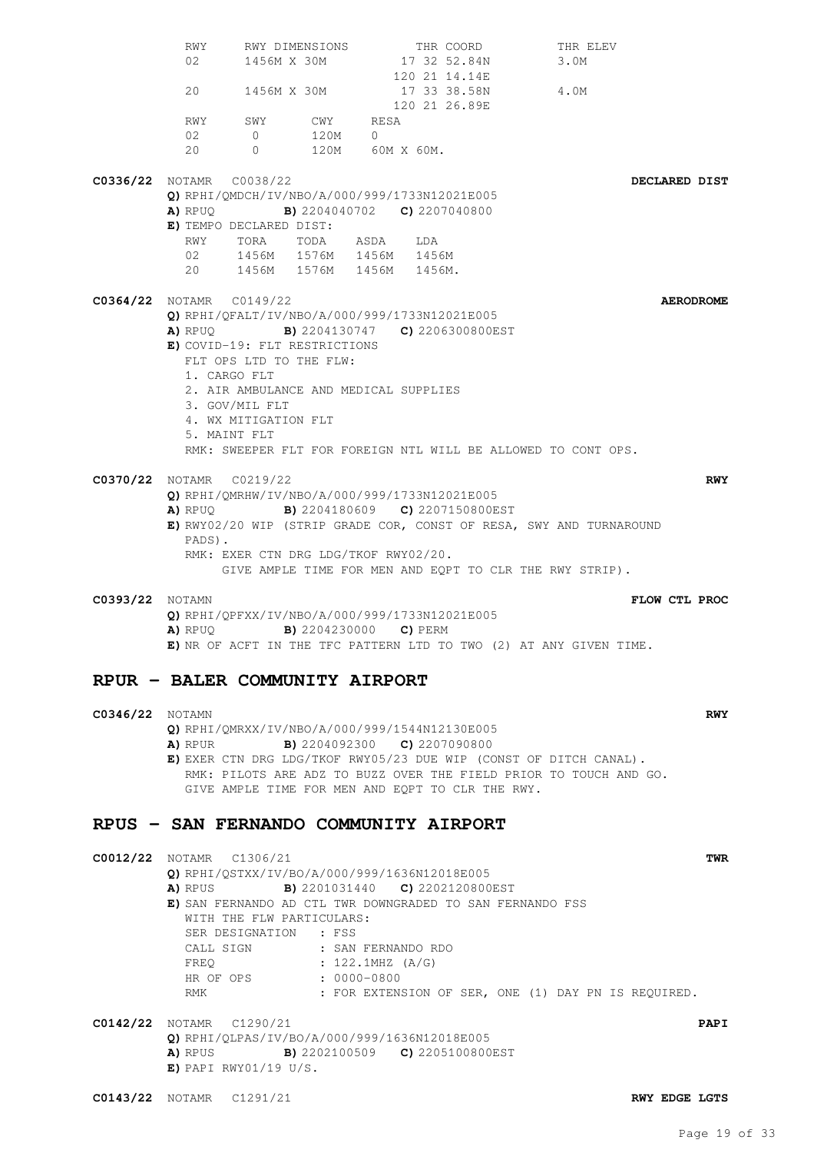RWY RWY DIMENSIONS THR COORD THR ELEV 02 1456M X 30M 17 32 52.84N 3.0M 120 21 14.14E 20 1456M X 30M 17 33 38.58N 4.0M 120 21 26.89E RWY SWY CWY RESA 02 0 120M 0 20 0 120M 60M X 60M. **C0336/22** NOTAMR C0038/22 **DECLARED DIST Q)** RPHI/QMDCH/IV/NBO/A/000/999/1733N12021E005 **A)** RPUQ **B)** 2204040702 **C)** 2207040800 **E)** TEMPO DECLARED DIST: RWY TORA TODA ASDA LDA<br>02 1456M 1576M 1456M 1456 02 1456M 1576M 1456M 1456M 20 1456M 1576M 1456M 1456M. **C0364/22** NOTAMR C0149/22 **AERODROME Q)** RPHI/QFALT/IV/NBO/A/000/999/1733N12021E005 **A)** RPUQ **B)** 2204130747 **C)** 2206300800EST **E)** COVID-19: FLT RESTRICTIONS FLT OPS LTD TO THE FLW: 1. CARGO FLT 2. AIR AMBULANCE AND MEDICAL SUPPLIES 3. GOV/MIL FLT 4. WX MITIGATION FLT 5. MAINT FLT RMK: SWEEPER FLT FOR FOREIGN NTL WILL BE ALLOWED TO CONT OPS. **C0370/22** NOTAMR C0219/22 **RWY Q)** RPHI/QMRHW/IV/NBO/A/000/999/1733N12021E005 **A)** RPUQ **B)** 2204180609 **C)** 2207150800EST **E)** RWY02/20 WIP (STRIP GRADE COR, CONST OF RESA, SWY AND TURNAROUND PADS). RMK: EXER CTN DRG LDG/TKOF RWY02/20. GIVE AMPLE TIME FOR MEN AND EQPT TO CLR THE RWY STRIP). **C0393/22** NOTAMN **FLOW CTL PROC Q)** RPHI/QPFXX/IV/NBO/A/000/999/1733N12021E005 **A)** RPUQ **B)** 2204230000 **C)** PERM **E)** NR OF ACFT IN THE TFC PATTERN LTD TO TWO (2) AT ANY GIVEN TIME. **RPUR - BALER COMMUNITY AIRPORT C0346/22** NOTAMN **RWY Q)** RPHI/QMRXX/IV/NBO/A/000/999/1544N12130E005 **A)** RPUR **B)** 2204092300 **C)** 2207090800 **E)** EXER CTN DRG LDG/TKOF RWY05/23 DUE WIP (CONST OF DITCH CANAL). RMK: PILOTS ARE ADZ TO BUZZ OVER THE FIELD PRIOR TO TOUCH AND GO. GIVE AMPLE TIME FOR MEN AND EQPT TO CLR THE RWY. **RPUS - SAN FERNANDO COMMUNITY AIRPORT C0012/22** NOTAMR C1306/21 **TWR Q)** RPHI/QSTXX/IV/BO/A/000/999/1636N12018E005 **A)** RPUS **B)** 2201031440 **C)** 2202120800EST **E)** SAN FERNANDO AD CTL TWR DOWNGRADED TO SAN FERNANDO FSS WITH THE FLW PARTICULARS: SER DESIGNATION : FSS CALL SIGN : SAN FERNANDO RDO FREQ : 122.1MHZ (A/G)<br>HR OF OPS : 0000-0800  $: 0000 - 0800$ RMK : FOR EXTENSION OF SER, ONE (1) DAY PN IS REQUIRED. **C0142/22** NOTAMR C1290/21 **PAPI Q)** RPHI/QLPAS/IV/BO/A/000/999/1636N12018E005 **A)** RPUS **B)** 2202100509 **C)** 2205100800EST **E)** PAPI RWY01/19 U/S. **C0143/22** NOTAMR C1291/21 **RWY EDGE LGTS**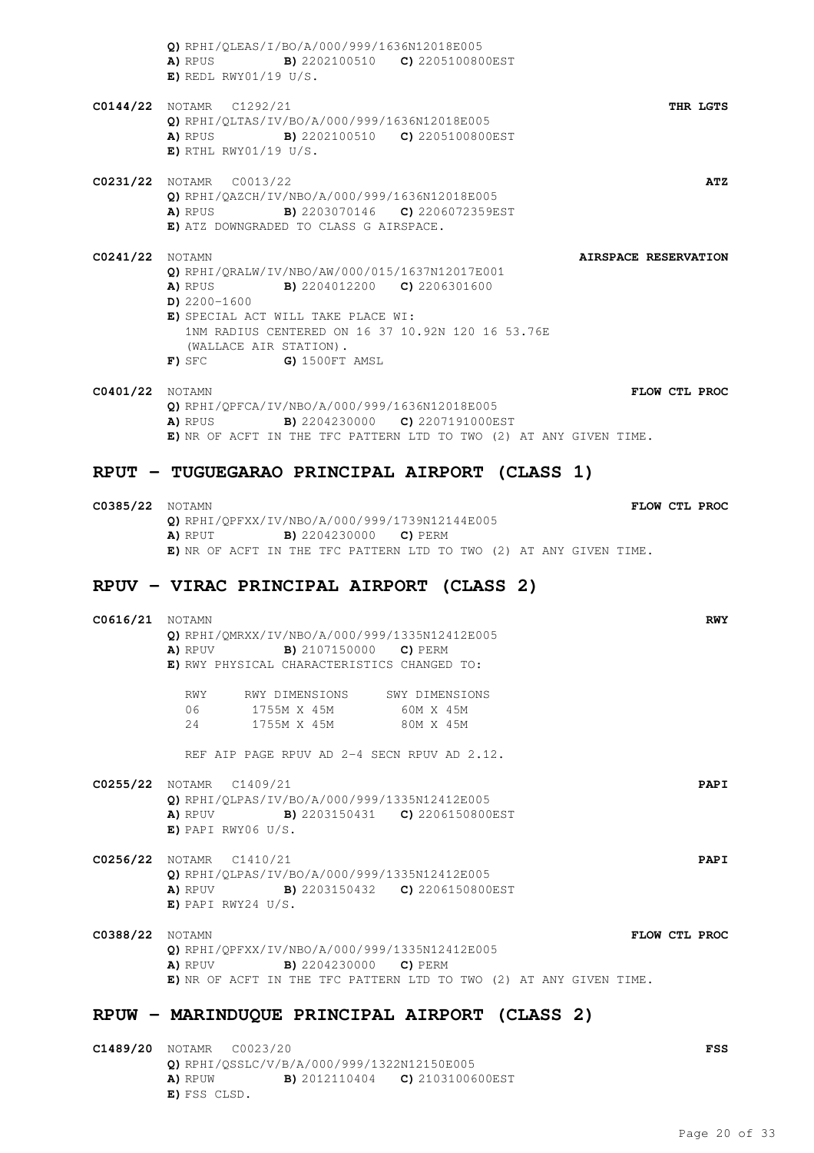**Q)** RPHI/QLEAS/I/BO/A/000/999/1636N12018E005 **A)** RPUS **B)** 2202100510 **C)** 2205100800EST **E)** REDL RWY01/19 U/S. **C0144/22** NOTAMR C1292/21 **THR LGTS Q)** RPHI/QLTAS/IV/BO/A/000/999/1636N12018E005 **A)** RPUS **B)** 2202100510 **C)** 2205100800EST **E)** RTHL RWY01/19 U/S. **C0231/22** NOTAMR C0013/22 **ATZ Q)** RPHI/QAZCH/IV/NBO/A/000/999/1636N12018E005 **A)** RPUS **B)** 2203070146 **C)** 2206072359EST **E)** ATZ DOWNGRADED TO CLASS G AIRSPACE. **C0241/22** NOTAMN **AIRSPACE RESERVATION Q)** RPHI/QRALW/IV/NBO/AW/000/015/1637N12017E001 **A)** RPUS **B)** 2204012200 **C)** 2206301600 **D)** 2200-1600 **E)** SPECIAL ACT WILL TAKE PLACE WI: 1NM RADIUS CENTERED ON 16 37 10.92N 120 16 53.76E (WALLACE AIR STATION). **F)** SFC **G)** 1500FT AMSL

**C0401/22** NOTAMN **FLOW CTL PROC Q)** RPHI/QPFCA/IV/NBO/A/000/999/1636N12018E005 **A)** RPUS **B)** 2204230000 **C)** 2207191000EST **E)** NR OF ACFT IN THE TFC PATTERN LTD TO TWO (2) AT ANY GIVEN TIME.

### **RPUT - TUGUEGARAO PRINCIPAL AIRPORT (CLASS 1)**

**C0385/22** NOTAMN **FLOW CTL PROC Q)** RPHI/QPFXX/IV/NBO/A/000/999/1739N12144E005 **A)** RPUT **B)** 2204230000 **C)** PERM **E)** NR OF ACFT IN THE TFC PATTERN LTD TO TWO (2) AT ANY GIVEN TIME.

### **RPUV - VIRAC PRINCIPAL AIRPORT (CLASS 2)**

| <b>C0616/21</b> NOTAMN | Q) RPHI/QMRXX/IV/NBO/A/000/999/1335N12412E005<br><b>A)</b> RPUV <b>B)</b> 2107150000 <b>C)</b> PERM<br>E) RWY PHYSICAL CHARACTERISTICS CHANGED TO:                                         | <b>RWY</b>  |
|------------------------|--------------------------------------------------------------------------------------------------------------------------------------------------------------------------------------------|-------------|
|                        | RWY RWY DIMENSIONS SWY DIMENSIONS<br>06 1755M X 45M 60M X 45M<br>24 1755M X 45M 80M X 45M                                                                                                  |             |
|                        | REF ATP PAGE RPUV AD 2-4 SECN RPUV AD 2.12.                                                                                                                                                |             |
|                        | C0255/22 NOTAMR C1409/21<br>Q) RPHI/QLPAS/IV/BO/A/000/999/1335N12412E005<br><b>A)</b> RPUV <b>B)</b> 2203150431 <b>C)</b> 2206150800EST<br>$E)$ PAPI RWY06 U/S.                            | <b>PAPI</b> |
|                        | C0256/22 NOTAMR C1410/21<br>Q) RPHI/QLPAS/IV/BO/A/000/999/1335N12412E005<br><b>A)</b> RPUV <b>B)</b> 2203150432 <b>C)</b> 2206150800EST<br>$E)$ PAPI RWY24 U/S.                            | <b>PAPI</b> |
| <b>C0388/22</b> NOTAMN | FLOW CTL PROC<br>Q) RPHI/QPFXX/IV/NBO/A/000/999/1335N12412E005<br><b>A)</b> RPUV <b>B)</b> 2204230000 <b>C)</b> PERM<br>E) NR OF ACFT IN THE TFC PATTERN LTD TO TWO (2) AT ANY GIVEN TIME. |             |

### **RPUW - MARINDUQUE PRINCIPAL AIRPORT (CLASS 2)**

**C1489/20** NOTAMR C0023/20 **FSS Q)** RPHI/QSSLC/V/B/A/000/999/1322N12150E005 **A)** RPUW **B)** 2012110404 **C)** 2103100600EST **E)** FSS CLSD.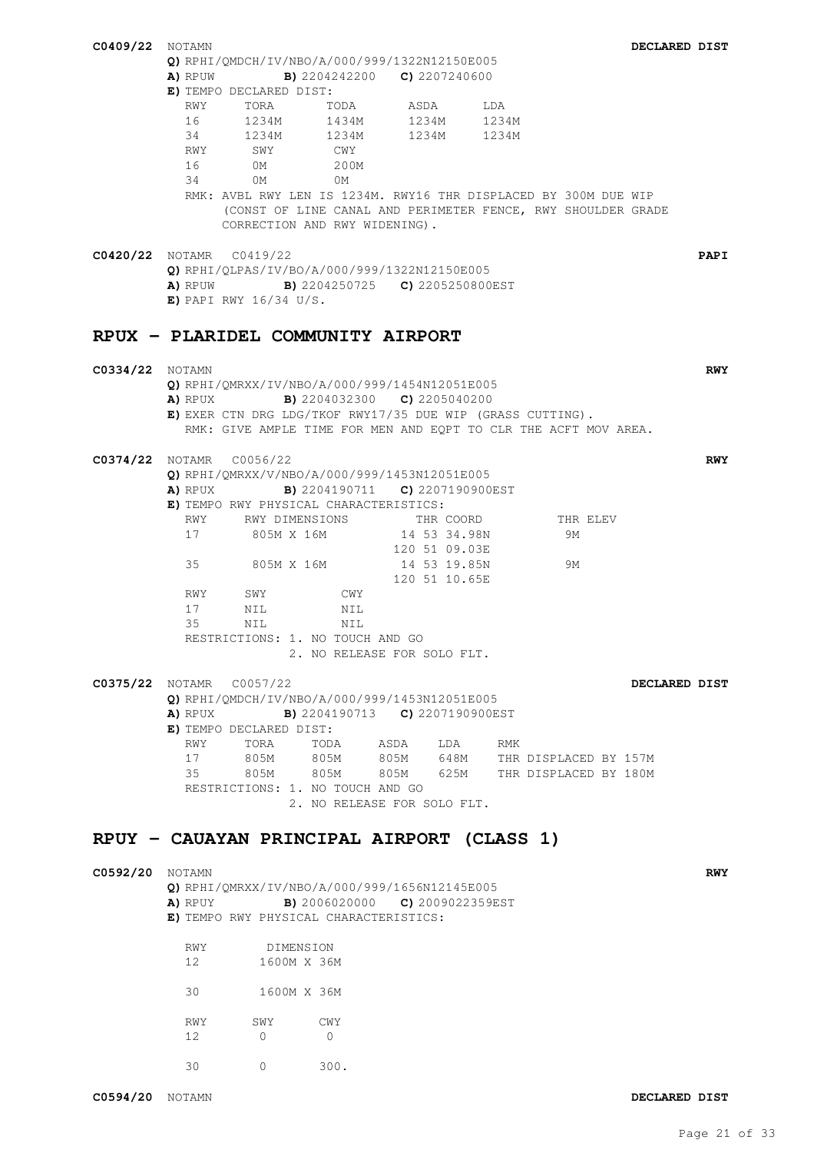| <b>C0409/22</b> NOTAMN          |          |                                                                                                                               |                |                                              |     |                                                                    | DECLARED DIST |             |
|---------------------------------|----------|-------------------------------------------------------------------------------------------------------------------------------|----------------|----------------------------------------------|-----|--------------------------------------------------------------------|---------------|-------------|
|                                 |          | Q) RPHI/QMDCH/IV/NBO/A/000/999/1322N12150E005                                                                                 |                |                                              |     |                                                                    |               |             |
|                                 |          | <b>A)</b> RPUW <b>B)</b> 2204242200 <b>C)</b> 2207240600                                                                      |                |                                              |     |                                                                    |               |             |
|                                 |          | E) TEMPO DECLARED DIST:                                                                                                       |                |                                              |     |                                                                    |               |             |
|                                 | RWY      | TORA TODA ASDA<br>16 1234M 1434M 1234M 1234M                                                                                  |                |                                              | LDA |                                                                    |               |             |
|                                 |          | 34 1234M 1234M 1234M 1234M                                                                                                    |                |                                              |     |                                                                    |               |             |
|                                 | RWY      | SWY                                                                                                                           | CWY            |                                              |     |                                                                    |               |             |
|                                 | 16       | 0M                                                                                                                            | 200M           |                                              |     |                                                                    |               |             |
|                                 |          | 34 0M                                                                                                                         | OM             |                                              |     |                                                                    |               |             |
|                                 |          | RMK: AVBL RWY LEN IS 1234M. RWY16 THR DISPLACED BY 300M DUE WIP                                                               |                |                                              |     |                                                                    |               |             |
|                                 |          | (CONST OF LINE CANAL AND PERIMETER FENCE, RWY SHOULDER GRADE<br>CORRECTION AND RWY WIDENING).                                 |                |                                              |     |                                                                    |               |             |
|                                 |          |                                                                                                                               |                |                                              |     |                                                                    |               |             |
| <b>C0420/22</b> NOTAMR C0419/22 |          |                                                                                                                               |                |                                              |     |                                                                    |               | <b>PAPI</b> |
|                                 |          | Q) RPHI/QLPAS/IV/BO/A/000/999/1322N12150E005                                                                                  |                |                                              |     |                                                                    |               |             |
|                                 |          | <b>A)</b> RPUW <b>B)</b> 2204250725 <b>C)</b> 2205250800EST                                                                   |                |                                              |     |                                                                    |               |             |
|                                 |          | $E)$ PAPI RWY 16/34 U/S.                                                                                                      |                |                                              |     |                                                                    |               |             |
|                                 |          |                                                                                                                               |                |                                              |     |                                                                    |               |             |
|                                 |          | RPUX - PLARIDEL COMMUNITY AIRPORT                                                                                             |                |                                              |     |                                                                    |               |             |
|                                 |          |                                                                                                                               |                |                                              |     |                                                                    |               |             |
| <b>C0334/22</b> NOTAMN          |          |                                                                                                                               |                |                                              |     |                                                                    |               | <b>RWY</b>  |
|                                 |          | Q) RPHI/QMRXX/IV/NBO/A/000/999/1454N12051E005                                                                                 |                |                                              |     |                                                                    |               |             |
|                                 |          | <b>A)</b> RPUX <b>B)</b> 2204032300 <b>C)</b> 2205040200                                                                      |                |                                              |     |                                                                    |               |             |
|                                 |          | E) EXER CTN DRG LDG/TKOF RWY17/35 DUE WIP (GRASS CUTTING).<br>RMK: GIVE AMPLE TIME FOR MEN AND EOPT TO CLR THE ACFT MOV AREA. |                |                                              |     |                                                                    |               |             |
|                                 |          |                                                                                                                               |                |                                              |     |                                                                    |               |             |
| C0374/22 NOTAMR C0056/22        |          |                                                                                                                               |                |                                              |     |                                                                    |               | <b>RWY</b>  |
|                                 |          | Q) RPHI/QMRXX/V/NBO/A/000/999/1453N12051E005                                                                                  |                |                                              |     |                                                                    |               |             |
|                                 | A) RPUX  |                                                                                                                               |                | <b>B)</b> 2204190711 <b>C)</b> 2207190900EST |     |                                                                    |               |             |
|                                 |          | E) TEMPO RWY PHYSICAL CHARACTERISTICS:                                                                                        |                |                                              |     |                                                                    |               |             |
|                                 |          | RWY RWY DIMENSIONS THR COORD                                                                                                  |                | 14 53 34.98N                                 |     | THR ELEV                                                           |               |             |
|                                 | 17       | 805M X 16M                                                                                                                    |                | 120 51 09.03E                                |     | 9M                                                                 |               |             |
|                                 |          | 35 805M X 16M 14 53 19.85N                                                                                                    |                |                                              |     | 9M                                                                 |               |             |
|                                 |          |                                                                                                                               |                | 120 51 10.65E                                |     |                                                                    |               |             |
|                                 | RWY      | SWY                                                                                                                           | CWY            |                                              |     |                                                                    |               |             |
|                                 | 17       | NIL                                                                                                                           | NIL            |                                              |     |                                                                    |               |             |
|                                 | 35       | NIL                                                                                                                           | NIL            |                                              |     |                                                                    |               |             |
|                                 |          | RESTRICTIONS: 1. NO TOUCH AND GO                                                                                              |                |                                              |     |                                                                    |               |             |
|                                 |          |                                                                                                                               |                | 2. NO RELEASE FOR SOLO FLT.                  |     |                                                                    |               |             |
| C0375/22 NOTAMR C0057/22        |          |                                                                                                                               |                |                                              |     |                                                                    | DECLARED DIST |             |
|                                 |          | Q) RPHI/QMDCH/IV/NBO/A/000/999/1453N12051E005                                                                                 |                |                                              |     |                                                                    |               |             |
|                                 | A) RPUX  |                                                                                                                               |                | <b>B)</b> 2204190713 <b>C)</b> 2207190900EST |     |                                                                    |               |             |
|                                 |          | E) TEMPO DECLARED DIST:                                                                                                       |                |                                              |     |                                                                    |               |             |
|                                 | RWY      | TORA                                                                                                                          |                | TODA ASDA LDA RMK                            |     |                                                                    |               |             |
|                                 | 17<br>35 | 805M<br>805M 805M                                                                                                             | 805M           |                                              |     | 805M 648M THR DISPLACED BY 157M<br>805M 625M THR DISPLACED BY 180M |               |             |
|                                 |          | RESTRICTIONS: 1. NO TOUCH AND GO                                                                                              |                |                                              |     |                                                                    |               |             |
|                                 |          |                                                                                                                               |                | 2. NO RELEASE FOR SOLO FLT.                  |     |                                                                    |               |             |
|                                 |          |                                                                                                                               |                |                                              |     |                                                                    |               |             |
|                                 |          | RPUY - CAUAYAN PRINCIPAL AIRPORT (CLASS 1)                                                                                    |                |                                              |     |                                                                    |               |             |
|                                 |          |                                                                                                                               |                |                                              |     |                                                                    |               |             |
| <b>C0592/20</b> NOTAMN          |          |                                                                                                                               |                |                                              |     |                                                                    |               | <b>RWY</b>  |
|                                 |          | Q) RPHI/QMRXX/IV/NBO/A/000/999/1656N12145E005                                                                                 |                |                                              |     |                                                                    |               |             |
|                                 |          | <b>A)</b> RPUY <b>B)</b> 2006020000 <b>C)</b> 2009022359EST                                                                   |                |                                              |     |                                                                    |               |             |
|                                 |          | E) TEMPO RWY PHYSICAL CHARACTERISTICS:                                                                                        |                |                                              |     |                                                                    |               |             |
|                                 | RWY      | DIMENSION                                                                                                                     |                |                                              |     |                                                                    |               |             |
|                                 | 12       | 1600M X 36M                                                                                                                   |                |                                              |     |                                                                    |               |             |
|                                 |          |                                                                                                                               |                |                                              |     |                                                                    |               |             |
|                                 |          | 30 1600M X 36M                                                                                                                |                |                                              |     |                                                                    |               |             |
|                                 |          |                                                                                                                               |                |                                              |     |                                                                    |               |             |
|                                 |          | RWY SWY                                                                                                                       | CWY            |                                              |     |                                                                    |               |             |
|                                 | 12       | $\overline{0}$                                                                                                                | $\overline{0}$ |                                              |     |                                                                    |               |             |
|                                 | 30       | 0                                                                                                                             | 300.           |                                              |     |                                                                    |               |             |
|                                 |          |                                                                                                                               |                |                                              |     |                                                                    |               |             |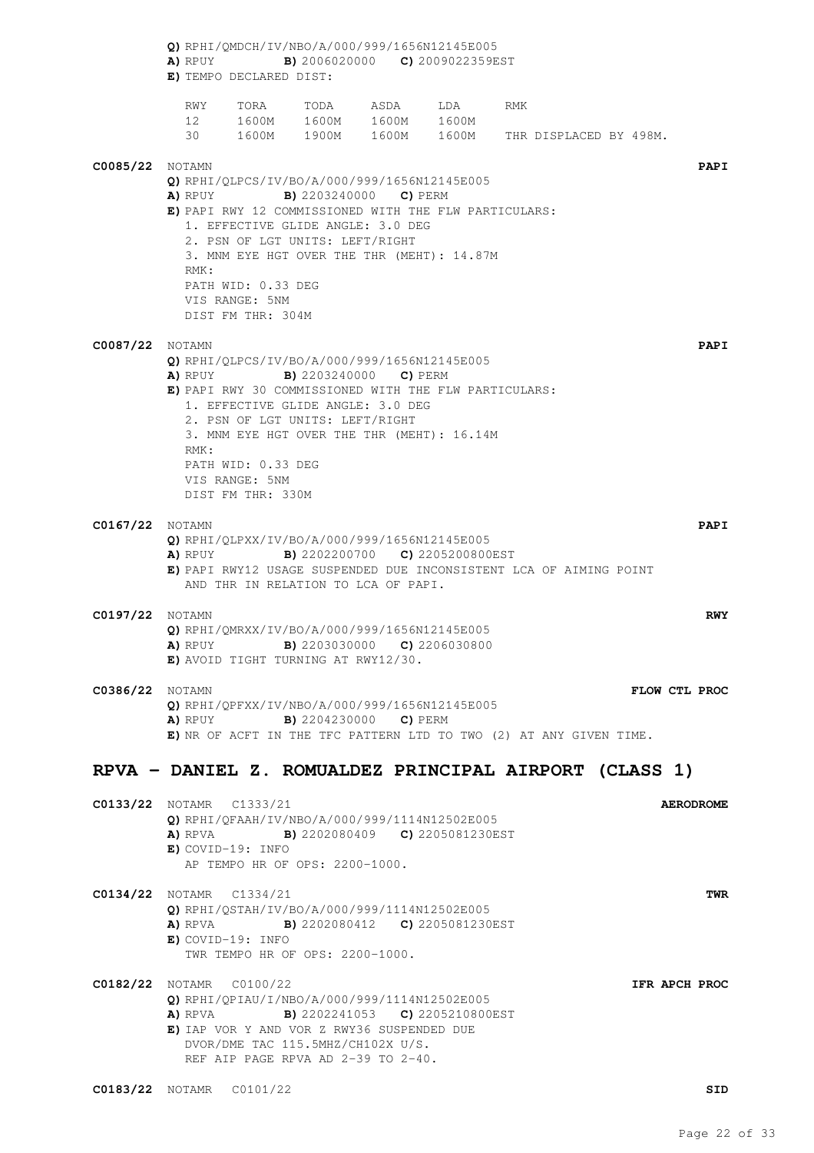**Q)** RPHI/QMDCH/IV/NBO/A/000/999/1656N12145E005 **A)** RPUY **B)** 2006020000 **C)** 2009022359EST **E)** TEMPO DECLARED DIST: RWY TORA TODA ASDA LDA RMK 12 1600M 1600M 1600M 1600M 30 1600M 1900M 1600M 1600M THR DISPLACED BY 498M. **C0085/22** NOTAMN **PAPI Q)** RPHI/QLPCS/IV/BO/A/000/999/1656N12145E005 **A)** RPUY **B)** 2203240000 **C)** PERM **E)** PAPI RWY 12 COMMISSIONED WITH THE FLW PARTICULARS: 1. EFFECTIVE GLIDE ANGLE: 3.0 DEG 2. PSN OF LGT UNITS: LEFT/RIGHT 3. MNM EYE HGT OVER THE THR (MEHT): 14.87M RMK: PATH WID: 0.33 DEG VIS RANGE: 5NM DIST FM THR: 304M **C0087/22** NOTAMN **PAPI Q)** RPHI/QLPCS/IV/BO/A/000/999/1656N12145E005 **A)** RPUY **B)** 2203240000 **C)** PERM **E)** PAPI RWY 30 COMMISSIONED WITH THE FLW PARTICULARS: 1. EFFECTIVE GLIDE ANGLE: 3.0 DEG 2. PSN OF LGT UNITS: LEFT/RIGHT 3. MNM EYE HGT OVER THE THR (MEHT): 16.14M RMK: PATH WID: 0.33 DEG VIS RANGE: 5NM DIST FM THR: 330M **C0167/22** NOTAMN **PAPI Q)** RPHI/QLPXX/IV/BO/A/000/999/1656N12145E005 **A)** RPUY **B)** 2202200700 **C)** 2205200800EST **E)** PAPI RWY12 USAGE SUSPENDED DUE INCONSISTENT LCA OF AIMING POINT AND THR IN RELATION TO LCA OF PAPI. **C0197/22** NOTAMN **RWY Q)** RPHI/QMRXX/IV/BO/A/000/999/1656N12145E005 **A)** RPUY **B)** 2203030000 **C)** 2206030800 **E)** AVOID TIGHT TURNING AT RWY12/30. **C0386/22** NOTAMN **FLOW CTL PROC Q)** RPHI/QPFXX/IV/NBO/A/000/999/1656N12145E005 **A)** RPUY **B)** 2204230000 **C)** PERM **E)** NR OF ACFT IN THE TFC PATTERN LTD TO TWO (2) AT ANY GIVEN TIME. **RPVA - DANIEL Z. ROMUALDEZ PRINCIPAL AIRPORT (CLASS 1) C0133/22** NOTAMR C1333/21 **AERODROME Q)** RPHI/QFAAH/IV/NBO/A/000/999/1114N12502E005 **A)** RPVA **B)** 2202080409 **C)** 2205081230EST **E)** COVID-19: INFO AP TEMPO HR OF OPS: 2200-1000. **C0134/22** NOTAMR C1334/21 **TWR Q)** RPHI/QSTAH/IV/BO/A/000/999/1114N12502E005 **A)** RPVA **B)** 2202080412 **C)** 2205081230EST **E)** COVID-19: INFO TWR TEMPO HR OF OPS: 2200-1000. **C0182/22** NOTAMR C0100/22 **IFR APCH PROC Q)** RPHI/QPIAU/I/NBO/A/000/999/1114N12502E005 **A)** RPVA **B)** 2202241053 **C)** 2205210800EST **E)** IAP VOR Y AND VOR Z RWY36 SUSPENDED DUE DVOR/DME TAC 115.5MHZ/CH102X U/S. REF AIP PAGE RPVA AD 2-39 TO 2-40.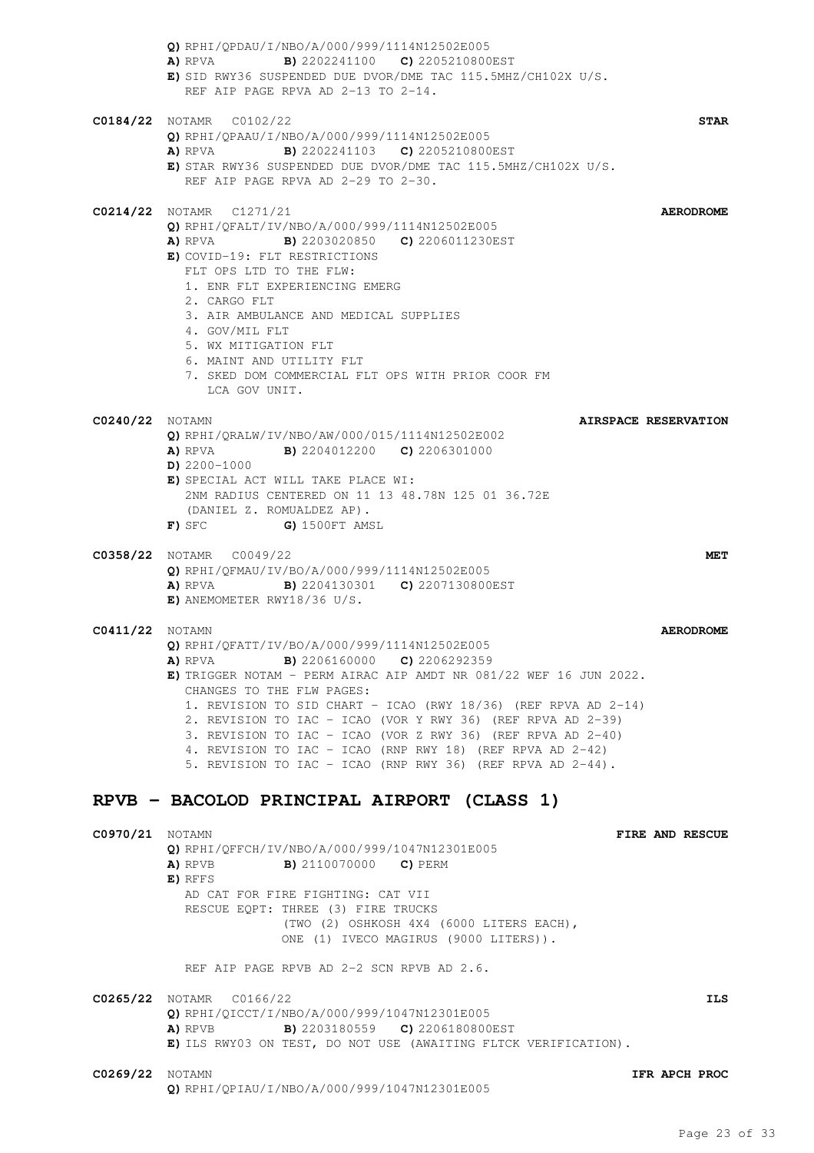|                        | Q) RPHI/QPDAU/I/NBO/A/000/999/1114N12502E005<br>A) RPVA B) 2202241100 C) 2205210800EST<br>E) SID RWY36 SUSPENDED DUE DVOR/DME TAC 115.5MHZ/CH102X U/S.<br>REF AIP PAGE RPVA AD 2-13 TO 2-14.                                                                                                                                                                                                                                                                                                                                                          |
|------------------------|-------------------------------------------------------------------------------------------------------------------------------------------------------------------------------------------------------------------------------------------------------------------------------------------------------------------------------------------------------------------------------------------------------------------------------------------------------------------------------------------------------------------------------------------------------|
|                        | $CO184/22$ NOTAMR $CO102/22$<br><b>STAR</b><br>Q) RPHI/QPAAU/I/NBO/A/000/999/1114N12502E005<br><b>B)</b> 2202241103 <b>C)</b> 2205210800EST<br>A) RPVA<br>E) STAR RWY36 SUSPENDED DUE DVOR/DME TAC 115.5MHZ/CH102X U/S.<br>REF AIP PAGE RPVA AD 2-29 TO 2-30.                                                                                                                                                                                                                                                                                         |
|                        | C0214/22 NOTAMR C1271/21<br><b>AERODROME</b><br>Q) RPHI/QFALT/IV/NBO/A/000/999/1114N12502E005<br>A) RPVA B) 2203020850 C) 2206011230EST<br>E) COVID-19: FLT RESTRICTIONS<br>FLT OPS LTD TO THE FLW:<br>1. ENR FLT EXPERIENCING EMERG<br>2. CARGO FLT<br>3. AIR AMBULANCE AND MEDICAL SUPPLIES<br>4. GOV/MIL FLT<br>5. WX MITIGATION FLT<br>6. MAINT AND UTILITY FLT<br>7. SKED DOM COMMERCIAL FLT OPS WITH PRIOR COOR FM<br>LCA GOV UNIT.                                                                                                             |
| <b>C0240/22</b> NOTAMN | AIRSPACE RESERVATION<br>O) RPHI/ORALW/IV/NBO/AW/000/015/1114N12502E002<br><b>A)</b> RPVA <b>B)</b> 2204012200 <b>C)</b> 2206301000<br>$D)$ 2200-1000<br>E) SPECIAL ACT WILL TAKE PLACE WI:<br>2NM RADIUS CENTERED ON 11 13 48.78N 125 01 36.72E<br>(DANIEL Z. ROMUALDEZ AP).<br>F) SFC<br>G) 1500FT AMSL                                                                                                                                                                                                                                              |
|                        | <b>C0358/22</b> NOTAMR C0049/22<br><b>MET</b><br>Q) RPHI/QFMAU/IV/BO/A/000/999/1114N12502E005<br>A) RPVA<br><b>B)</b> 2204130301 <b>C)</b> 2207130800EST<br>$E)$ ANEMOMETER RWY18/36 U/S.                                                                                                                                                                                                                                                                                                                                                             |
| <b>C0411/22</b> NOTAMN | <b>AERODROME</b><br>Q) RPHI/QFATT/IV/BO/A/000/999/1114N12502E005<br>A) RPVA<br><b>B)</b> 2206160000 <b>C)</b> 2206292359<br>E) TRIGGER NOTAM - PERM AIRAC AIP AMDT NR 081/22 WEF 16 JUN 2022.<br>CHANGES TO THE FLW PAGES:<br>1. REVISION TO SID CHART - ICAO (RWY 18/36) (REF RPVA AD 2-14)<br>2. REVISION TO IAC - ICAO (VOR Y RWY 36) (REF RPVA AD 2-39)<br>3. REVISION TO IAC - ICAO (VOR Z RWY 36) (REF RPVA AD 2-40)<br>4. REVISION TO IAC - ICAO (RNP RWY 18) (REF RPVA AD 2-42)<br>5. REVISION TO IAC - ICAO (RNP RWY 36) (REF RPVA AD 2-44). |
|                        | RPVB - BACOLOD PRINCIPAL AIRPORT (CLASS 1)                                                                                                                                                                                                                                                                                                                                                                                                                                                                                                            |
| <b>C0970/21</b> NOTAMN | <b>FIRE AND RESCUE</b><br>Q) RPHI/QFFCH/IV/NBO/A/000/999/1047N12301E005<br><b>B)</b> 2110070000 <b>C)</b> PERM<br>A) RPVB<br>E) RFFS<br>AD CAT FOR FIRE FIGHTING: CAT VII<br>RESCUE EQPT: THREE (3) FIRE TRUCKS<br>(TWO (2) OSHKOSH 4X4 (6000 LITERS EACH),<br>ONE (1) IVECO MAGIRUS (9000 LITERS)).<br>REF AIP PAGE RPVB AD 2-2 SCN RPVB AD 2.6.                                                                                                                                                                                                     |
|                        | <b>C0265/22</b> NOTAMR C0166/22<br>ILS<br>$Q$ ) RPHI/QICCT/I/NBO/A/000/999/1047N12301E005<br><b>B)</b> 2203180559 <b>C)</b> 2206180800EST<br>A) RPVB<br>E) ILS RWY03 ON TEST, DO NOT USE (AWAITING FLTCK VERIFICATION).                                                                                                                                                                                                                                                                                                                               |
| <b>C0269/22</b> NOTAMN | IFR APCH PROC<br>Q) RPHI/QPIAU/I/NBO/A/000/999/1047N12301E005                                                                                                                                                                                                                                                                                                                                                                                                                                                                                         |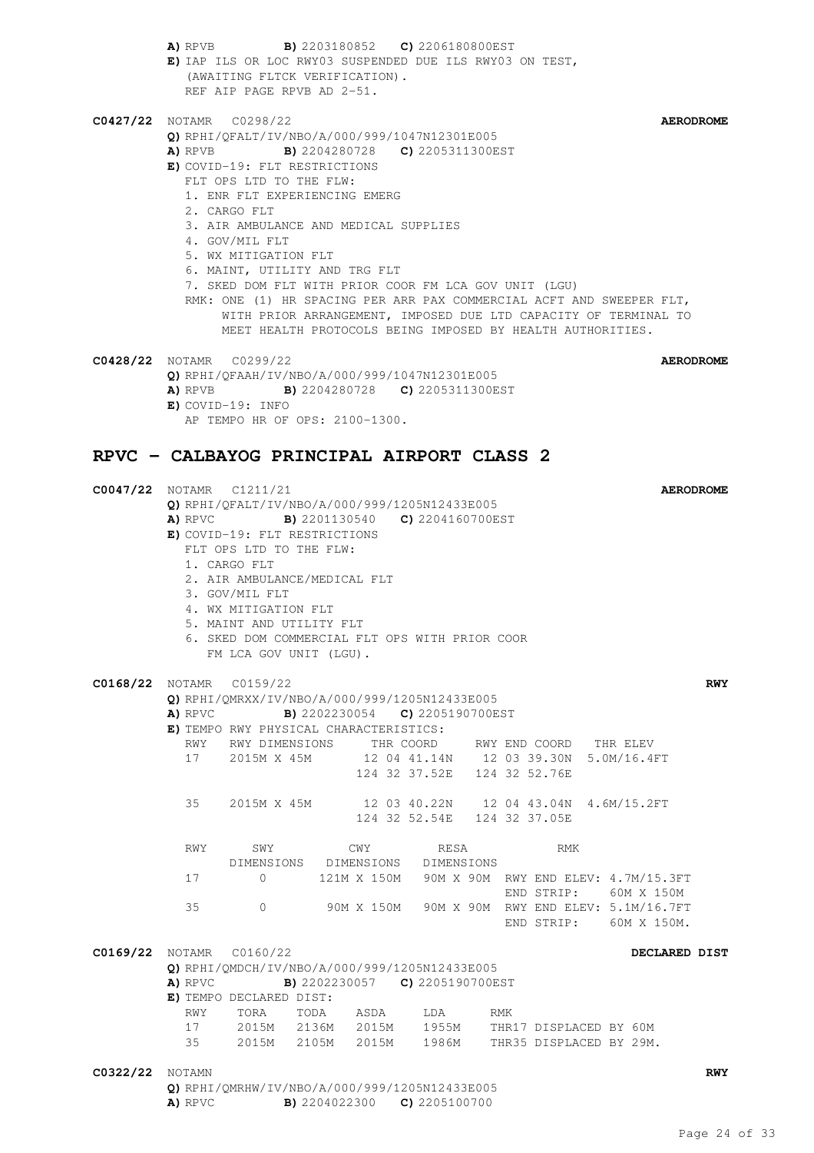|                        |           | (AWAITING FLTCK VERIFICATION).<br>REF AIP PAGE RPVB AD 2-51.                                                                                                                                                                                              |                                | A) RPVB B) 2203180852 C) 2206180800EST<br>E) IAP ILS OR LOC RWY03 SUSPENDED DUE ILS RWY03 ON TEST,                                                                    |                                                                                                                                                                                                       |                  |
|------------------------|-----------|-----------------------------------------------------------------------------------------------------------------------------------------------------------------------------------------------------------------------------------------------------------|--------------------------------|-----------------------------------------------------------------------------------------------------------------------------------------------------------------------|-------------------------------------------------------------------------------------------------------------------------------------------------------------------------------------------------------|------------------|
|                        |           | C0427/22 NOTAMR C0298/22<br>E) COVID-19: FLT RESTRICTIONS<br>FLT OPS LTD TO THE FLW:<br>1. ENR FLT EXPERIENCING EMERG<br>2. CARGO FLT<br>3. AIR AMBULANCE AND MEDICAL SUPPLIES<br>4. GOV/MIL FLT<br>5. WX MITIGATION FLT<br>6. MAINT, UTILITY AND TRG FLT |                                | Q) RPHI/QFALT/IV/NBO/A/000/999/1047N12301E005<br><b>A)</b> RPVB <b>B)</b> 2204280728 <b>C)</b> 2205311300EST<br>7. SKED DOM FLT WITH PRIOR COOR FM LCA GOV UNIT (LGU) | RMK: ONE (1) HR SPACING PER ARR PAX COMMERCIAL ACFT AND SWEEPER FLT,<br>WITH PRIOR ARRANGEMENT, IMPOSED DUE LTD CAPACITY OF TERMINAL TO<br>MEET HEALTH PROTOCOLS BEING IMPOSED BY HEALTH AUTHORITIES. | <b>AERODROME</b> |
|                        | A) RPVB   | <b>C0428/22</b> NOTAMR C0299/22<br>$E)$ COVID-19: INFO<br>AP TEMPO HR OF OPS: 2100-1300.                                                                                                                                                                  |                                | O) RPHI/OFAAH/IV/NBO/A/000/999/1047N12301E005<br><b>B)</b> 2204280728 <b>C)</b> 2205311300EST                                                                         |                                                                                                                                                                                                       | <b>AERODROME</b> |
|                        |           |                                                                                                                                                                                                                                                           |                                | RPVC - CALBAYOG PRINCIPAL AIRPORT CLASS 2                                                                                                                             |                                                                                                                                                                                                       |                  |
|                        |           | C0047/22 NOTAMR C1211/21<br>E) COVID-19: FLT RESTRICTIONS<br>FLT OPS LTD TO THE FLW:<br>1. CARGO FLT<br>2. AIR AMBULANCE/MEDICAL FLT<br>3. GOV/MIL FLT<br>4. WX MITIGATION FLT<br>5. MAINT AND UTILITY FLT<br>FM LCA GOV UNIT (LGU).                      |                                | $Q)$ RPHI/QFALT/IV/NBO/A/000/999/1205N12433E005<br><b>A)</b> RPVC <b>B)</b> 2201130540 <b>C)</b> 2204160700EST<br>6. SKED DOM COMMERCIAL FLT OPS WITH PRIOR COOR      |                                                                                                                                                                                                       | <b>AERODROME</b> |
|                        | A) RPVC   | C0168/22 NOTAMR C0159/22                                                                                                                                                                                                                                  |                                | Q) RPHI/QMRXX/IV/NBO/A/000/999/1205N12433E005<br><b>B)</b> 2202230054 <b>C)</b> 2205190700EST                                                                         |                                                                                                                                                                                                       | <b>RWY</b>       |
|                        | RWY<br>17 | E) TEMPO RWY PHYSICAL CHARACTERISTICS:<br>RWY DIMENSIONS<br>2015M X 45M                                                                                                                                                                                   |                                |                                                                                                                                                                       | THR COORD RWY END COORD THR ELEV                                                                                                                                                                      |                  |
|                        |           |                                                                                                                                                                                                                                                           |                                | 124 32 37.52E 124 32 52.76E                                                                                                                                           | 12 04 41.14N   12 03 39.30N   5.0M/16.4FT                                                                                                                                                             |                  |
|                        | 35        |                                                                                                                                                                                                                                                           |                                | 124 32 52.54E 124 32 37.05E                                                                                                                                           | 2015M X 45M 12 03 40.22N 12 04 43.04N 4.6M/15.2FT                                                                                                                                                     |                  |
|                        | RWY       | SWY                                                                                                                                                                                                                                                       | CWY                            | RESA                                                                                                                                                                  | RMK                                                                                                                                                                                                   |                  |
|                        | 17        | $\Omega$                                                                                                                                                                                                                                                  |                                | DIMENSIONS DIMENSIONS DIMENSIONS                                                                                                                                      | 121M X 150M 90M X 90M RWY END ELEV: 4.7M/15.3FT                                                                                                                                                       |                  |
|                        | 35        | $\Omega$                                                                                                                                                                                                                                                  |                                |                                                                                                                                                                       | END STRIP: 60M X 150M<br>90M X 150M 90M X 90M RWY END ELEV: 5.1M/16.7FT<br>END STRIP: 60M X 150M.                                                                                                     |                  |
|                        | A) RPVC   | <b>C0169/22</b> NOTAMR C0160/22<br>E) TEMPO DECLARED DIST:                                                                                                                                                                                                |                                | Q) RPHI/QMDCH/IV/NBO/A/000/999/1205N12433E005<br><b>B)</b> 2202230057 <b>C)</b> 2205190700EST                                                                         |                                                                                                                                                                                                       | DECLARED DIST    |
|                        | RWY<br>17 | TORA                                                                                                                                                                                                                                                      | TODA ASDA<br>2015M 2136M 2015M | LDA<br>1955M                                                                                                                                                          | <b>RMK</b><br>THR17 DISPLACED BY 60M                                                                                                                                                                  |                  |
|                        | 35        | 2015M 2105M 2015M                                                                                                                                                                                                                                         |                                | 1986M                                                                                                                                                                 | THR35 DISPLACED BY 29M.                                                                                                                                                                               |                  |
| <b>C0322/22</b> NOTAMN | A) RPVC   |                                                                                                                                                                                                                                                           |                                | Q) RPHI/QMRHW/IV/NBO/A/000/999/1205N12433E005<br><b>B)</b> 2204022300 <b>C)</b> 2205100700                                                                            |                                                                                                                                                                                                       | <b>RWY</b>       |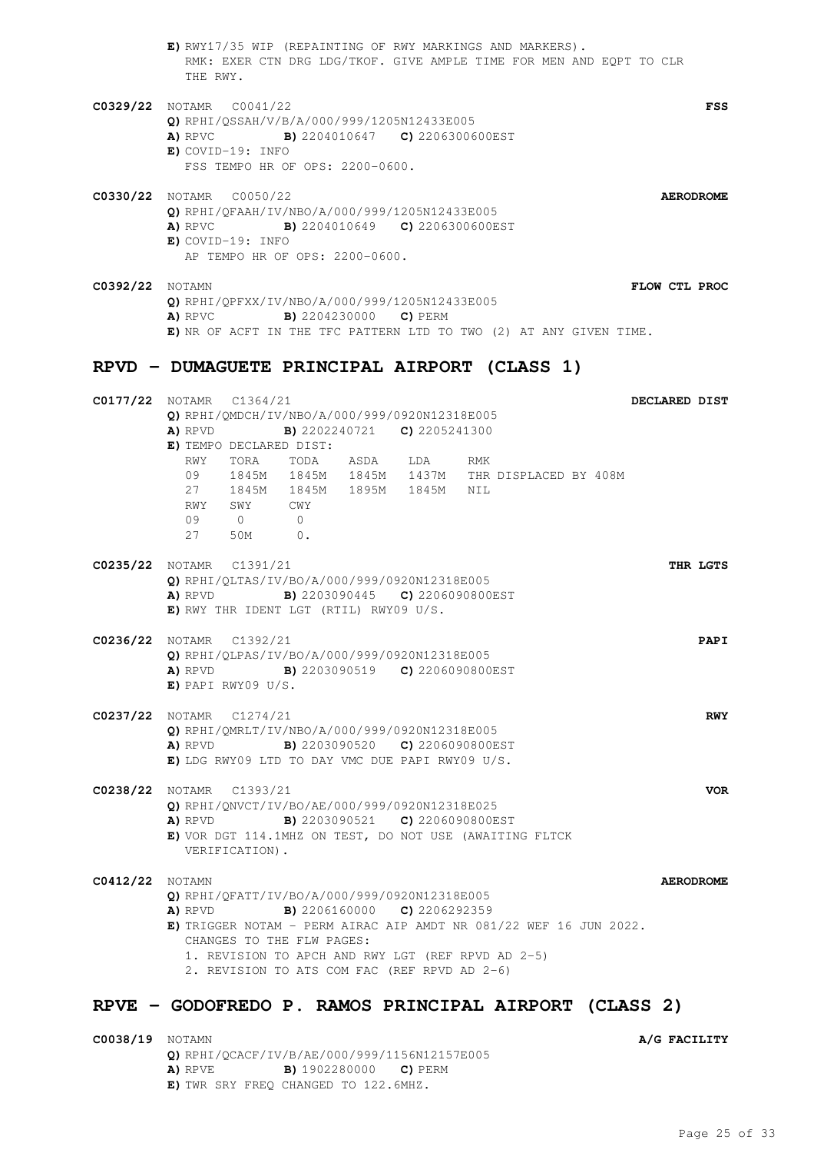- **E)** RWY17/35 WIP (REPAINTING OF RWY MARKINGS AND MARKERS). RMK: EXER CTN DRG LDG/TKOF. GIVE AMPLE TIME FOR MEN AND EQPT TO CLR THE RWY.
- **C0329/22** NOTAMR C0041/22 **FSS Q)** RPHI/QSSAH/V/B/A/000/999/1205N12433E005 **A)** RPVC **B)** 2204010647 **C)** 2206300600EST **E)** COVID-19: INFO FSS TEMPO HR OF OPS: 2200-0600.

- **C0330/22** NOTAMR C0050/22 **AERODROME Q)** RPHI/QFAAH/IV/NBO/A/000/999/1205N12433E005 **A)** RPVC **B)** 2204010649 **C)** 2206300600EST **E)** COVID-19: INFO AP TEMPO HR OF OPS: 2200-0600.
- **C0392/22** NOTAMN **FLOW CTL PROC Q)** RPHI/QPFXX/IV/NBO/A/000/999/1205N12433E005 **A)** RPVC **B)** 2204230000 **C)** PERM **E)** NR OF ACFT IN THE TFC PATTERN LTD TO TWO (2) AT ANY GIVEN TIME.

### **RPVD - DUMAGUETE PRINCIPAL AIRPORT (CLASS 1)**

| C0177/22 NOTAMR C1364/21        |     |                                                    |                                        |                                                             |     |                                                                   | DECLARED DIST |                  |
|---------------------------------|-----|----------------------------------------------------|----------------------------------------|-------------------------------------------------------------|-----|-------------------------------------------------------------------|---------------|------------------|
|                                 |     |                                                    |                                        | <b>Q)</b> RPHI/OMDCH/IV/NBO/A/000/999/0920N12318E005        |     |                                                                   |               |                  |
|                                 |     | A) RPVD                                            |                                        | <b>B)</b> 2202240721 <b>C)</b> 2205241300                   |     |                                                                   |               |                  |
|                                 |     | E) TEMPO DECLARED DIST:                            |                                        |                                                             |     |                                                                   |               |                  |
|                                 | RWY |                                                    |                                        | TORA TODA ASDA LDA                                          | RMK |                                                                   |               |                  |
|                                 | 09  |                                                    |                                        |                                                             |     | 1845M 1845M 1845M 1437M THR DISPLACED BY 408M                     |               |                  |
|                                 | 27  |                                                    |                                        | 1845M 1845M 1895M 1845M NIL                                 |     |                                                                   |               |                  |
|                                 |     | RWY SWY CWY                                        |                                        |                                                             |     |                                                                   |               |                  |
|                                 | 09  | $\begin{array}{ccc} & & 0 & \quad & 0 \end{array}$ |                                        |                                                             |     |                                                                   |               |                  |
|                                 |     | 27 50M 0.                                          |                                        |                                                             |     |                                                                   |               |                  |
| C0235/22 NOTAMR C1391/21        |     |                                                    |                                        |                                                             |     |                                                                   |               | THR LGTS         |
|                                 |     |                                                    |                                        | Q) RPHI/QLTAS/IV/BO/A/000/999/0920N12318E005                |     |                                                                   |               |                  |
|                                 |     |                                                    |                                        | A) RPVD B) 2203090445 C) 2206090800EST                      |     |                                                                   |               |                  |
|                                 |     |                                                    | E) RWY THR IDENT LGT (RTIL) RWY09 U/S. |                                                             |     |                                                                   |               |                  |
| C0236/22 NOTAMR C1392/21        |     |                                                    |                                        |                                                             |     |                                                                   |               | PAPI             |
|                                 |     |                                                    |                                        | Q) RPHI/QLPAS/IV/BO/A/000/999/0920N12318E005                |     |                                                                   |               |                  |
|                                 |     |                                                    |                                        | <b>A)</b> RPVD <b>B)</b> 2203090519 <b>C)</b> 2206090800EST |     |                                                                   |               |                  |
|                                 |     | $E)$ PAPI RWY09 U/S.                               |                                        |                                                             |     |                                                                   |               |                  |
|                                 |     |                                                    |                                        |                                                             |     |                                                                   |               |                  |
| <b>C0237/22</b> NOTAMR C1274/21 |     |                                                    |                                        |                                                             |     |                                                                   |               | <b>RWY</b>       |
|                                 |     |                                                    |                                        | Q) RPHI/QMRLT/IV/NBO/A/000/999/0920N12318E005               |     |                                                                   |               |                  |
|                                 |     |                                                    |                                        | A) RPVD B) 2203090520 C) 2206090800EST                      |     |                                                                   |               |                  |
|                                 |     |                                                    |                                        | E) LDG RWY09 LTD TO DAY VMC DUE PAPI RWY09 U/S.             |     |                                                                   |               |                  |
| C0238/22 NOTAMR C1393/21        |     |                                                    |                                        |                                                             |     |                                                                   |               | <b>VOR</b>       |
|                                 |     |                                                    |                                        | Q) RPHI/QNVCT/IV/BO/AE/000/999/0920N12318E025               |     |                                                                   |               |                  |
|                                 |     |                                                    |                                        | A) RPVD B) 2203090521 C) 2206090800EST                      |     |                                                                   |               |                  |
|                                 |     |                                                    |                                        |                                                             |     | E) VOR DGT 114.1MHZ ON TEST, DO NOT USE (AWAITING FLTCK           |               |                  |
|                                 |     | VERIFICATION).                                     |                                        |                                                             |     |                                                                   |               |                  |
| <b>C0412/22</b> NOTAMN          |     |                                                    |                                        |                                                             |     |                                                                   |               | <b>AERODROME</b> |
|                                 |     |                                                    |                                        | Q) RPHI/QFATT/IV/BO/A/000/999/0920N12318E005                |     |                                                                   |               |                  |
|                                 |     |                                                    |                                        | <b>A)</b> RPVD <b>B)</b> 2206160000 <b>C)</b> 2206292359    |     |                                                                   |               |                  |
|                                 |     |                                                    |                                        |                                                             |     | E) TRIGGER NOTAM - PERM AIRAC AIP AMDT NR 081/22 WEF 16 JUN 2022. |               |                  |
|                                 |     |                                                    | CHANGES TO THE FLW PAGES:              |                                                             |     |                                                                   |               |                  |
|                                 |     |                                                    |                                        | 1. REVISION TO APCH AND RWY LGT (REF RPVD AD 2-5)           |     |                                                                   |               |                  |
|                                 |     |                                                    |                                        | 2. REVISION TO ATS COM FAC (REF RPVD AD 2-6)                |     |                                                                   |               |                  |
|                                 |     |                                                    |                                        |                                                             |     |                                                                   |               |                  |
|                                 |     |                                                    |                                        |                                                             |     |                                                                   |               |                  |

## **RPVE - GODOFREDO P. RAMOS PRINCIPAL AIRPORT (CLASS 2)**

| <b>C0038/19</b> NOTAMN |         |                                              |
|------------------------|---------|----------------------------------------------|
|                        |         | Q) RPHI/OCACF/IV/B/AE/000/999/1156N12157E005 |
|                        | A) RPVE | <b>B)</b> 1902280000 <b>C)</b> PERM          |
|                        |         | E) TWR SRY FREO CHANGED TO 122.6MHZ.         |

**C0038/19** NOTAMN **A/G FACILITY**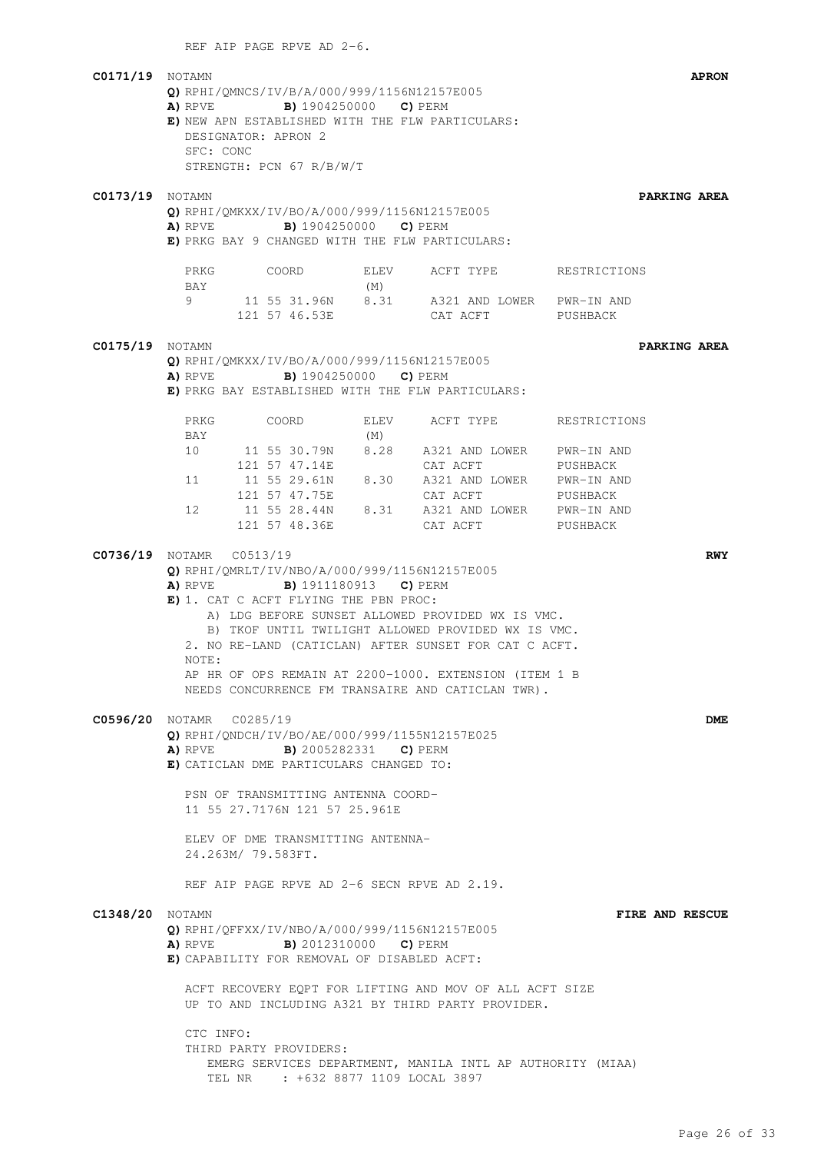REF AIP PAGE RPVE AD 2-6.

| <b>C0171/19</b> NOTAMN | Q) RPHI/QMNCS/IV/B/A/000/999/1156N12157E005<br><b>A)</b> RPVE <b>B)</b> 1904250000 <b>C)</b> PERM<br>E) NEW APN ESTABLISHED WITH THE FLW PARTICULARS:                                                                                                                                                                                                                     |                                                                                                                    | <b>APRON</b>           |
|------------------------|---------------------------------------------------------------------------------------------------------------------------------------------------------------------------------------------------------------------------------------------------------------------------------------------------------------------------------------------------------------------------|--------------------------------------------------------------------------------------------------------------------|------------------------|
|                        | DESIGNATOR: APRON 2<br>SFC: CONC<br>STRENGTH: PCN 67 R/B/W/T                                                                                                                                                                                                                                                                                                              |                                                                                                                    |                        |
| <b>C0173/19</b> NOTAMN | Q) RPHI/QMKXX/IV/BO/A/000/999/1156N12157E005<br>A) RPVE B) 1904250000 C) PERM<br>E) PRKG BAY 9 CHANGED WITH THE FLW PARTICULARS:                                                                                                                                                                                                                                          |                                                                                                                    | PARKING AREA           |
|                        | PRKG<br>COORD<br>BAY                                                                                                                                                                                                                                                                                                                                                      | ELEV ACFT TYPE RESTRICTIONS<br>(M)                                                                                 |                        |
|                        | 9<br>121 57 46.53E                                                                                                                                                                                                                                                                                                                                                        | 11 55 31.96N 8.31 A321 AND LOWER PWR-IN AND<br>CAT ACFT                                                            | PUSHBACK               |
| <b>C0175/19</b> NOTAMN | Q) RPHI/OMKXX/IV/BO/A/000/999/1156N12157E005<br><b>A)</b> RPVE <b>B)</b> 1904250000 <b>C)</b> PERM<br>E) PRKG BAY ESTABLISHED WITH THE FLW PARTICULARS:                                                                                                                                                                                                                   |                                                                                                                    | PARKING AREA           |
|                        | COORD<br>PRKG<br>BAY                                                                                                                                                                                                                                                                                                                                                      | ELEV<br>ACFT TYPE<br>(M)                                                                                           | RESTRICTIONS           |
|                        | 10<br>121 57 47.14E<br>11   11   55   29.61N   8.30   A321   AND   LOWER   PWR-IN   AND<br>121 57 47.75E<br>12                                                                                                                                                                                                                                                            | 11 55 30.79N 8.28 A321 AND LOWER PWR-IN AND<br>CAT ACFT<br>CAT ACFT<br>11 55 28.44N 8.31 A321 AND LOWER PWR-IN AND | PUSHBACK<br>PUSHBACK   |
|                        | 121 57 48.36E<br>C0736/19 NOTAMR C0513/19<br>Q) RPHI/QMRLT/IV/NBO/A/000/999/1156N12157E005<br><b>A)</b> RPVE <b>B)</b> 1911180913 <b>C)</b> PERM<br>E) 1. CAT C ACFT FLYING THE PBN PROC:<br>2. NO RE-LAND (CATICLAN) AFTER SUNSET FOR CAT C ACFT.<br>NOTE:<br>AP HR OF OPS REMAIN AT 2200-1000. EXTENSION (ITEM 1 B<br>NEEDS CONCURRENCE FM TRANSAIRE AND CATICLAN TWR). | CAT ACFT<br>A) LDG BEFORE SUNSET ALLOWED PROVIDED WX IS VMC.<br>B) TKOF UNTIL TWILIGHT ALLOWED PROVIDED WX IS VMC. | PUSHBACK<br><b>RWY</b> |
|                        | C0596/20 NOTAMR C0285/19<br>Q) RPHI/ONDCH/IV/BO/AE/000/999/1155N12157E025<br><b>A)</b> RPVE <b>B)</b> 2005282331 <b>C)</b> PERM<br>E) CATICLAN DME PARTICULARS CHANGED TO:<br>PSN OF TRANSMITTING ANTENNA COORD-<br>11 55 27.7176N 121 57 25.961E<br>ELEV OF DME TRANSMITTING ANTENNA-<br>24.263M/ 79.583FT.<br>REF AIP PAGE RPVE AD 2-6 SECN RPVE AD 2.19.               |                                                                                                                    | DME                    |
| <b>C1348/20</b> NOTAMN | Q) RPHI/QFFXX/IV/NBO/A/000/999/1156N12157E005<br>A) RPVE<br><b>B)</b> 2012310000 <b>C)</b> PERM<br>E) CAPABILITY FOR REMOVAL OF DISABLED ACFT:<br>ACFT RECOVERY EQPT FOR LIFTING AND MOV OF ALL ACFT SIZE<br>UP TO AND INCLUDING A321 BY THIRD PARTY PROVIDER.<br>CTC INFO:<br>THIRD PARTY PROVIDERS:                                                                     |                                                                                                                    | FIRE AND RESCUE        |
|                        | TEL NR : +632 8877 1109 LOCAL 3897                                                                                                                                                                                                                                                                                                                                        | EMERG SERVICES DEPARTMENT, MANILA INTL AP AUTHORITY (MIAA)                                                         |                        |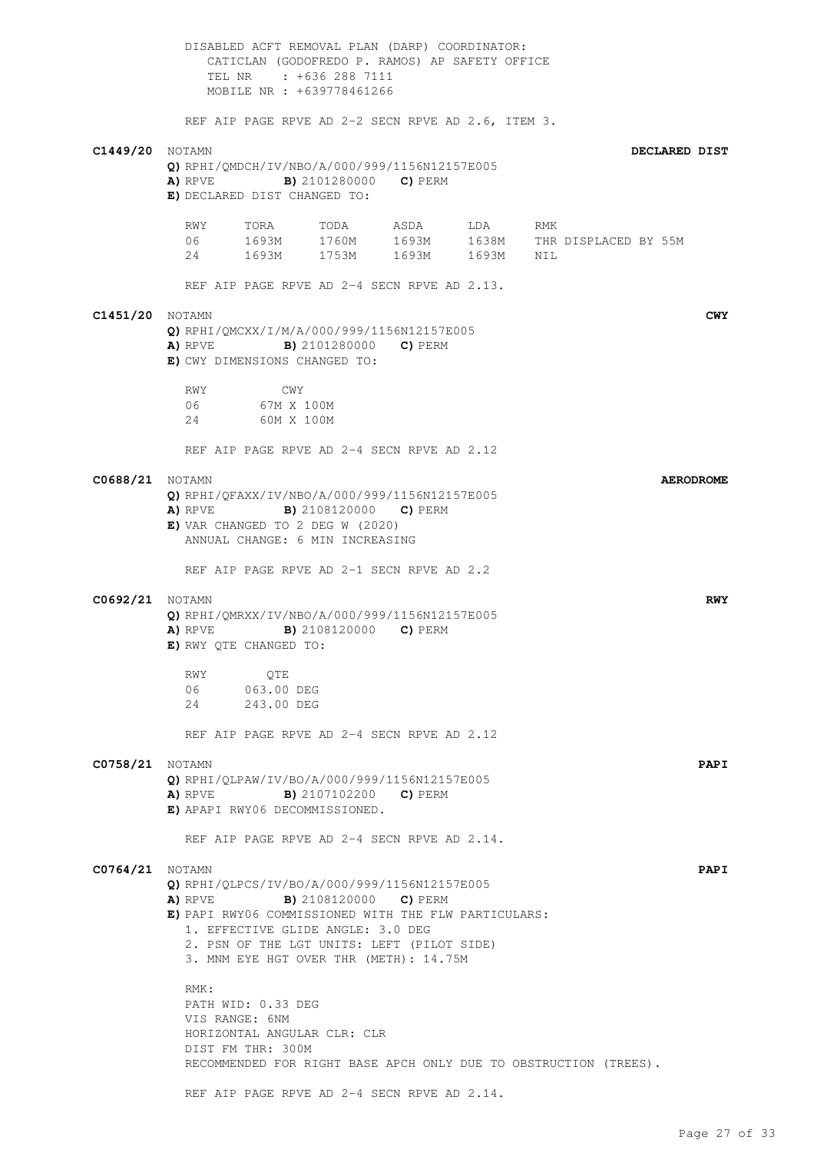DISABLED ACFT REMOVAL PLAN (DARP) COORDINATOR: CATICLAN (GODOFREDO P. RAMOS) AP SAFETY OFFICE TEL NR : +636 288 7111 MOBILE NR : +639778461266 REF AIP PAGE RPVE AD 2-2 SECN RPVE AD 2.6, ITEM 3. **C1449/20** NOTAMN **DECLARED DIST Q)** RPHI/QMDCH/IV/NBO/A/000/999/1156N12157E005 **A)** RPVE **B)** 2101280000 **C)** PERM **E)** DECLARED DIST CHANGED TO: RWY TORA TODA ASDA LDA RMK 06 1693M 1760M 1693M 1638M THR DISPLACED BY 55M 24 1693M 1753M 1693M 1693M NIL REF AIP PAGE RPVE AD 2-4 SECN RPVE AD 2.13. **C1451/20** NOTAMN **CWY Q)** RPHI/QMCXX/I/M/A/000/999/1156N12157E005 **A)** RPVE **B)** 2101280000 **C)** PERM **E)** CWY DIMENSIONS CHANGED TO: RWY CWY 06 67M X 100M 24 60M X 100M REF AIP PAGE RPVE AD 2-4 SECN RPVE AD 2.12 **C0688/21** NOTAMN **AERODROME Q)** RPHI/QFAXX/IV/NBO/A/000/999/1156N12157E005 **A)** RPVE **B)** 2108120000 **C)** PERM **E)** VAR CHANGED TO 2 DEG W (2020) ANNUAL CHANGE: 6 MIN INCREASING REF AIP PAGE RPVE AD 2-1 SECN RPVE AD 2.2 **C0692/21** NOTAMN **RWY Q)** RPHI/QMRXX/IV/NBO/A/000/999/1156N12157E005 **A)** RPVE **B)** 2108120000 **C)** PERM **E)** RWY QTE CHANGED TO: RWY QTE 06 063.00 DEG 24 243.00 DEG REF AIP PAGE RPVE AD 2-4 SECN RPVE AD 2.12 **C0758/21** NOTAMN **PAPI Q)** RPHI/QLPAW/IV/BO/A/000/999/1156N12157E005 **A)** RPVE **B)** 2107102200 **C)** PERM **E)** APAPI RWY06 DECOMMISSIONED. REF AIP PAGE RPVE AD 2-4 SECN RPVE AD 2.14. **C0764/21** NOTAMN **PAPI Q)** RPHI/QLPCS/IV/BO/A/000/999/1156N12157E005 **A)** RPVE **B)** 2108120000 **C)** PERM **E)** PAPI RWY06 COMMISSIONED WITH THE FLW PARTICULARS: 1. EFFECTIVE GLIDE ANGLE: 3.0 DEG 2. PSN OF THE LGT UNITS: LEFT (PILOT SIDE) 3. MNM EYE HGT OVER THR (METH): 14.75M RMK: PATH WID: 0.33 DEG VIS RANGE: 6NM HORIZONTAL ANGULAR CLR: CLR DIST FM THR: 300M RECOMMENDED FOR RIGHT BASE APCH ONLY DUE TO OBSTRUCTION (TREES). REF AIP PAGE RPVE AD 2-4 SECN RPVE AD 2.14.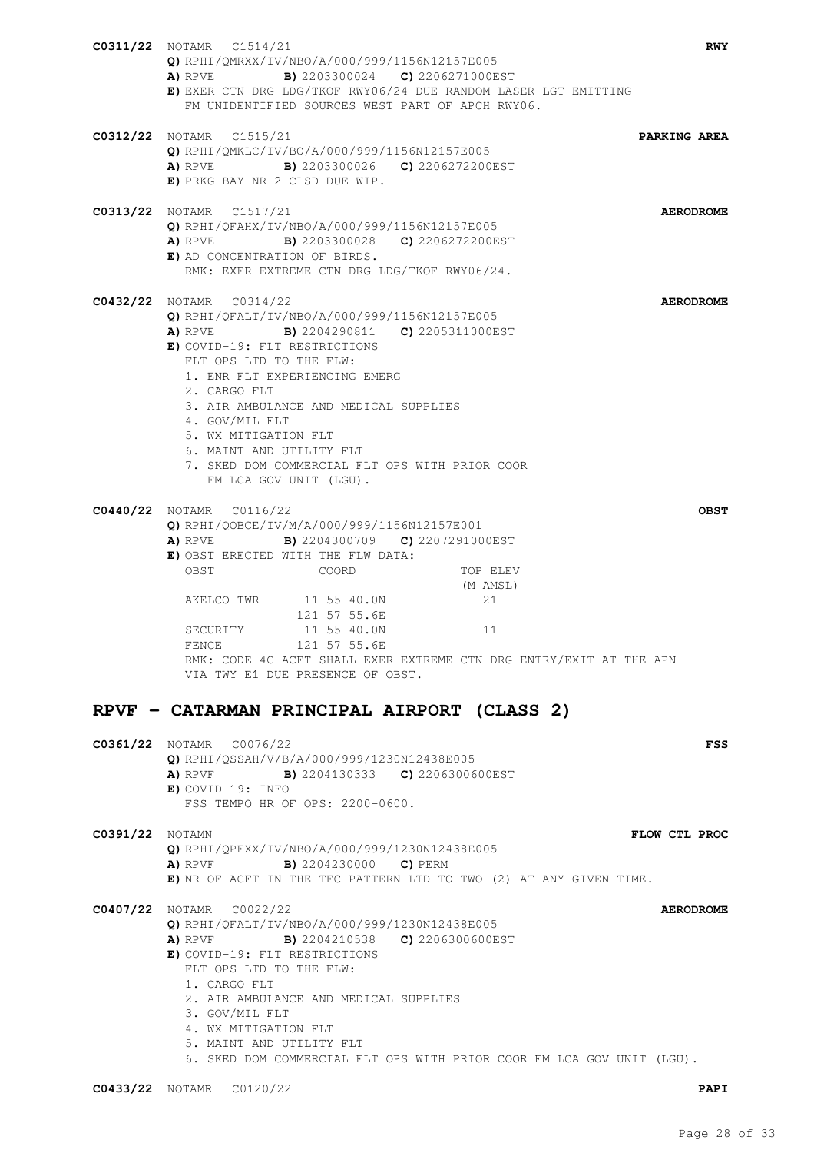|                        | <b>C0311/22</b> NOTAMR C1514/21<br><b>RWY</b><br>Q) RPHI/QMRXX/IV/NBO/A/000/999/1156N12157E005<br><b>A)</b> RPVE <b>B)</b> 2203300024 <b>C)</b> 2206271000EST<br>E) EXER CTN DRG LDG/TKOF RWY06/24 DUE RANDOM LASER LGT EMITTING<br>FM UNIDENTIFIED SOURCES WEST PART OF APCH RWY06.                                                                                                                                                                                 |
|------------------------|----------------------------------------------------------------------------------------------------------------------------------------------------------------------------------------------------------------------------------------------------------------------------------------------------------------------------------------------------------------------------------------------------------------------------------------------------------------------|
|                        | <b>C0312/22</b> NOTAMR C1515/21<br>PARKING AREA<br>Q) RPHI/QMKLC/IV/BO/A/000/999/1156N12157E005<br><b>A)</b> RPVE <b>B)</b> 2203300026 <b>C)</b> 2206272200EST<br>E) PRKG BAY NR 2 CLSD DUE WIP.                                                                                                                                                                                                                                                                     |
|                        | C0313/22 NOTAMR C1517/21<br><b>AERODROME</b><br>O) RPHI/OFAHX/IV/NBO/A/000/999/1156N12157E005<br>A) RPVE B) 2203300028 C) 2206272200EST<br>E) AD CONCENTRATION OF BIRDS.<br>RMK: EXER EXTREME CTN DRG LDG/TKOF RWY06/24.                                                                                                                                                                                                                                             |
|                        | C0432/22 NOTAMR C0314/22<br><b>AERODROME</b><br>O) RPHI/OFALT/IV/NBO/A/000/999/1156N12157E005<br><b>A)</b> RPVE <b>B)</b> 2204290811 <b>C)</b> 2205311000EST<br>E) COVID-19: FLT RESTRICTIONS<br>FLT OPS LTD TO THE FLW:<br>1. ENR FLT EXPERIENCING EMERG<br>2. CARGO FLT<br>3. AIR AMBULANCE AND MEDICAL SUPPLIES<br>4. GOV/MIL FLT<br>5. WX MITIGATION FLT<br>6. MAINT AND UTILITY FLT<br>7. SKED DOM COMMERCIAL FLT OPS WITH PRIOR COOR<br>FM LCA GOV UNIT (LGU). |
|                        | C0440/22 NOTAMR C0116/22<br><b>OBST</b><br>Q) RPHI/QOBCE/IV/M/A/000/999/1156N12157E001<br><b>A)</b> RPVE <b>B)</b> 2204300709 <b>C)</b> 2207291000EST<br>E) OBST ERECTED WITH THE FLW DATA:<br>OBST<br>COORD<br>TOP ELEV<br>(M AMSL)<br>AKELCO TWR 11 55 40.0N<br>21<br>121 57 55.6E<br>11 55 40.0N<br>11<br>SECURITY<br>FENCE<br>121 57 55.6E<br>RMK: CODE 4C ACFT SHALL EXER EXTREME CTN DRG ENTRY/EXIT AT THE APN<br>VIA TWY E1 DUE PRESENCE OF OBST.             |
|                        | RPVF - CATARMAN PRINCIPAL AIRPORT (CLASS 2)                                                                                                                                                                                                                                                                                                                                                                                                                          |
|                        | <b>C0361/22</b> NOTAMR C0076/22<br>FSS<br>Q) RPHI/QSSAH/V/B/A/000/999/1230N12438E005<br><b>A)</b> RPVF <b>B)</b> 2204130333 <b>C)</b> 2206300600EST<br>$E)$ COVID-19: INFO<br>FSS TEMPO HR OF OPS: 2200-0600.                                                                                                                                                                                                                                                        |
| <b>C0391/22</b> NOTAMN | FLOW CTL PROC<br>Q) RPHI/QPFXX/IV/NBO/A/000/999/1230N12438E005<br><b>A)</b> RPVF <b>B)</b> 2204230000 <b>C)</b> PERM<br>E) NR OF ACFT IN THE TFC PATTERN LTD TO TWO (2) AT ANY GIVEN TIME.                                                                                                                                                                                                                                                                           |
|                        | C0407/22 NOTAMR C0022/22<br><b>AERODROME</b><br>Q) RPHI/QFALT/IV/NBO/A/000/999/1230N12438E005<br>A) RPVF B) 2204210538 C) 2206300600EST<br>E) COVID-19: FLT RESTRICTIONS<br>FLT OPS LTD TO THE FLW:<br>1. CARGO FLT<br>2. AIR AMBULANCE AND MEDICAL SUPPLIES<br>3. GOV/MIL FLT<br>4. WX MITIGATION FLT<br>5. MAINT AND UTILITY FLT<br>6. SKED DOM COMMERCIAL FLT OPS WITH PRIOR COOR FM LCA GOV UNIT (LGU).                                                          |
|                        | C0433/22 NOTAMR C0120/22<br><b>PAPI</b>                                                                                                                                                                                                                                                                                                                                                                                                                              |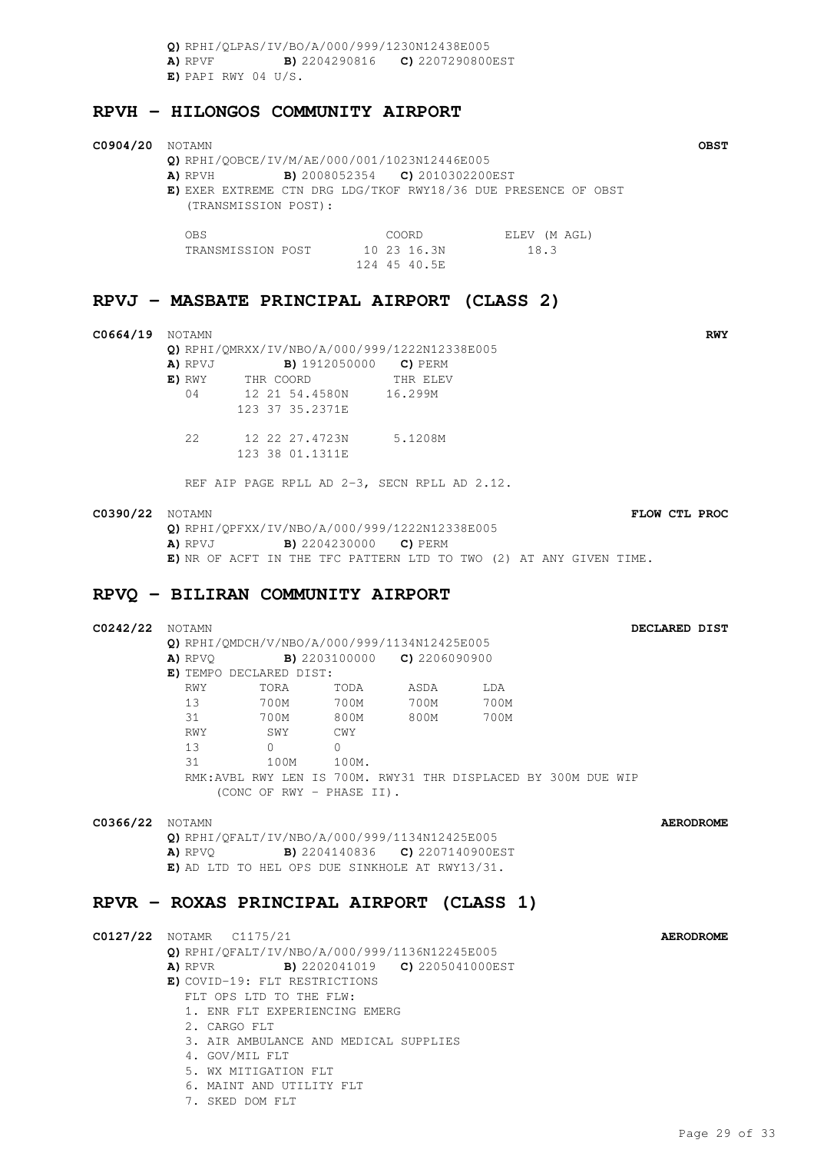**Q)** RPHI/QLPAS/IV/BO/A/000/999/1230N12438E005 **A)** RPVF **B)** 2204290816 **C)** 2207290800EST **E)** PAPI RWY 04 U/S.

#### **RPVH - HILONGOS COMMUNITY AIRPORT**

#### **C0904/20** NOTAMN **OBST Q)** RPHI/QOBCE/IV/M/AE/000/001/1023N12446E005 **A)** RPVH **B)** 2008052354 **C)** 2010302200EST **E)** EXER EXTREME CTN DRG LDG/TKOF RWY18/36 DUE PRESENCE OF OBST (TRANSMISSION POST): OBS COORD ELEV (M AGL) TRANSMISSION POST 10 23 16.3N 18.3 124 45 40.5E

## **RPVJ - MASBATE PRINCIPAL AIRPORT (CLASS 2)**

| C0664/19 | <b>NOTAMN</b> | Q) RPHI/QMRXX/IV/NBO/A/000/999/1222N12338E005 |          |  |
|----------|---------------|-----------------------------------------------|----------|--|
|          | A) RPVJ       | <b>B)</b> 1912050000 <b>C)</b> PERM           |          |  |
|          | E) RWY        | THR COORD                                     | THR ELEV |  |
|          | 04            | 12 21 54.4580N                                | 16.299M  |  |
|          |               | 123 37 35.2371E                               |          |  |
|          | 2.2.          | 12 22 27.4723N                                | 5.1208M  |  |
|          |               | 123 38 01.1311E                               |          |  |

REF AIP PAGE RPLL AD 2-3, SECN RPLL AD 2.12.

#### **C0390/22** NOTAMN **FLOW CTL PROC Q)** RPHI/QPFXX/IV/NBO/A/000/999/1222N12338E005 **A)** RPVJ **B)** 2204230000 **C)** PERM **E)** NR OF ACFT IN THE TFC PATTERN LTD TO TWO (2) AT ANY GIVEN TIME.

#### **RPVQ - BILIRAN COMMUNITY AIRPORT**

| <b>C0242/22</b> NOTAMN | DECLARED DIST                                            |                                                               |           |  |  |             |  |  |  |  |                  |
|------------------------|----------------------------------------------------------|---------------------------------------------------------------|-----------|--|--|-------------|--|--|--|--|------------------|
|                        | Q) RPHI/QMDCH/V/NBO/A/000/999/1134N12425E005             |                                                               |           |  |  |             |  |  |  |  |                  |
|                        | <b>A)</b> RPVQ <b>B)</b> 2203100000 <b>C)</b> 2206090900 |                                                               |           |  |  |             |  |  |  |  |                  |
|                        |                                                          | E) TEMPO DECLARED DIST:                                       |           |  |  |             |  |  |  |  |                  |
|                        | RWY                                                      | TORA                                                          | TODA ASDA |  |  | <b>T.DA</b> |  |  |  |  |                  |
|                        |                                                          | 13 700M 700M 700M 700M                                        |           |  |  |             |  |  |  |  |                  |
|                        |                                                          | 31 700M 800M 800M                                             |           |  |  | 700M        |  |  |  |  |                  |
|                        |                                                          | RWY SWY CWY                                                   |           |  |  |             |  |  |  |  |                  |
|                        | $13$ 0                                                   | $\overline{a}$                                                |           |  |  |             |  |  |  |  |                  |
|                        |                                                          |                                                               |           |  |  |             |  |  |  |  |                  |
|                        |                                                          | RMK:AVBL RWY LEN IS 700M. RWY31 THR DISPLACED BY 300M DUE WIP |           |  |  |             |  |  |  |  |                  |
|                        |                                                          | (CONC OF RWY - PHASE II).                                     |           |  |  |             |  |  |  |  |                  |
| <b>C0366/22</b> NOTAMN |                                                          |                                                               |           |  |  |             |  |  |  |  | <b>AERODROME</b> |
|                        |                                                          | Q) RPHI/QFALT/IV/NBO/A/000/999/1134N12425E005                 |           |  |  |             |  |  |  |  |                  |
|                        |                                                          | <b>A)</b> RPVQ <b>B)</b> 2204140836 <b>C)</b> 2207140900EST   |           |  |  |             |  |  |  |  |                  |
|                        |                                                          | E) AD LTD TO HEL OPS DUE SINKHOLE AT RWY13/31.                |           |  |  |             |  |  |  |  |                  |
|                        |                                                          |                                                               |           |  |  |             |  |  |  |  |                  |
|                        |                                                          | RPVR - ROXAS PRINCIPAL AIRPORT (CLASS 1)                      |           |  |  |             |  |  |  |  |                  |
|                        |                                                          |                                                               |           |  |  |             |  |  |  |  |                  |
|                        | C0127/22 NOTAMR C1175/21                                 |                                                               |           |  |  |             |  |  |  |  | <b>AERODROME</b> |
|                        |                                                          | Q) RPHI/QFALT/IV/NBO/A/000/999/1136N12245E005                 |           |  |  |             |  |  |  |  |                  |
|                        |                                                          | <b>A)</b> RPVR <b>B)</b> 2202041019 <b>C)</b> 2205041000EST   |           |  |  |             |  |  |  |  |                  |
|                        |                                                          | E) COVID-19: FLT RESTRICTIONS                                 |           |  |  |             |  |  |  |  |                  |
|                        |                                                          | FLT OPS LTD TO THE FLW:                                       |           |  |  |             |  |  |  |  |                  |
|                        |                                                          | 1. ENR FLT EXPERIENCING EMERG                                 |           |  |  |             |  |  |  |  |                  |
|                        | 2. CARGO FLT                                             |                                                               |           |  |  |             |  |  |  |  |                  |
|                        |                                                          | 3. AIR AMBULANCE AND MEDICAL SUPPLIES                         |           |  |  |             |  |  |  |  |                  |
|                        |                                                          | 4. GOV/MIL FLT                                                |           |  |  |             |  |  |  |  |                  |
|                        |                                                          | 5. WX MITIGATION FLT                                          |           |  |  |             |  |  |  |  |                  |
|                        |                                                          | 6. MAINT AND UTILITY FLT                                      |           |  |  |             |  |  |  |  |                  |
|                        |                                                          | 7. SKED DOM FLT                                               |           |  |  |             |  |  |  |  |                  |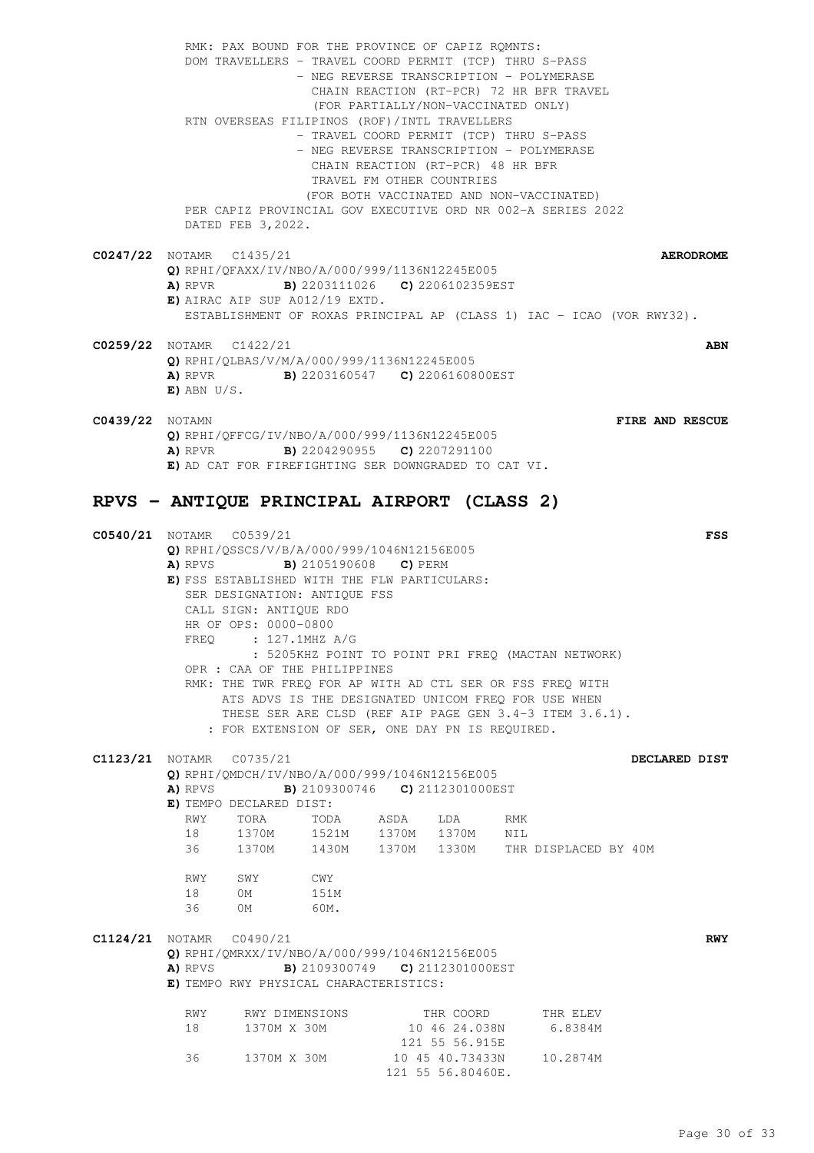RMK: PAX BOUND FOR THE PROVINCE OF CAPIZ RQMNTS: DOM TRAVELLERS - TRAVEL COORD PERMIT (TCP) THRU S-PASS - NEG REVERSE TRANSCRIPTION - POLYMERASE CHAIN REACTION (RT-PCR) 72 HR BFR TRAVEL (FOR PARTIALLY/NON-VACCINATED ONLY) RTN OVERSEAS FILIPINOS (ROF)/INTL TRAVELLERS - TRAVEL COORD PERMIT (TCP) THRU S-PASS - NEG REVERSE TRANSCRIPTION - POLYMERASE CHAIN REACTION (RT-PCR) 48 HR BFR TRAVEL FM OTHER COUNTRIES (FOR BOTH VACCINATED AND NON-VACCINATED) PER CAPIZ PROVINCIAL GOV EXECUTIVE ORD NR 002-A SERIES 2022 DATED FEB 3,2022. **C0247/22** NOTAMR C1435/21 **AERODROME Q)** RPHI/QFAXX/IV/NBO/A/000/999/1136N12245E005 **A)** RPVR **B)** 2203111026 **C)** 2206102359EST **E)** AIRAC AIP SUP A012/19 EXTD. ESTABLISHMENT OF ROXAS PRINCIPAL AP (CLASS 1) IAC - ICAO (VOR RWY32). **C0259/22** NOTAMR C1422/21 **ABN**

- **Q)** RPHI/QLBAS/V/M/A/000/999/1136N12245E005 **A)** RPVR **B)** 2203160547 **C)** 2206160800EST **E)** ABN U/S.
- 
- **C0439/22** NOTAMN **FIRE AND RESCUE Q)** RPHI/QFFCG/IV/NBO/A/000/999/1136N12245E005 **A)** RPVR **B)** 2204290955 **C)** 2207291100 **E)** AD CAT FOR FIREFIGHTING SER DOWNGRADED TO CAT VI.

#### **RPVS - ANTIQUE PRINCIPAL AIRPORT (CLASS 2)**

**C0540/21** NOTAMR C0539/21 **FSS Q)** RPHI/QSSCS/V/B/A/000/999/1046N12156E005 **A)** RPVS **B)** 2105190608 **C)** PERM **E)** FSS ESTABLISHED WITH THE FLW PARTICULARS: SER DESIGNATION: ANTIQUE FSS CALL SIGN: ANTIQUE RDO HR OF OPS: 0000-0800 FREQ : 127.1MHZ A/G : 5205KHZ POINT TO POINT PRI FREQ (MACTAN NETWORK) OPR : CAA OF THE PHILIPPINES RMK: THE TWR FREQ FOR AP WITH AD CTL SER OR FSS FREQ WITH ATS ADVS IS THE DESIGNATED UNICOM FREQ FOR USE WHEN THESE SER ARE CLSD (REF AIP PAGE GEN 3.4-3 ITEM 3.6.1). : FOR EXTENSION OF SER, ONE DAY PN IS REQUIRED. **C1123/21** NOTAMR C0735/21 **DECLARED DIST Q)** RPHI/QMDCH/IV/NBO/A/000/999/1046N12156E005 **A)** RPVS **B)** 2109300746 **C)** 2112301000EST **E)** TEMPO DECLARED DIST: RWY TORA TODA ASDA LDA RMK 18 1370M 1521M 1370M 1370M NIL 36 1370M 1430M 1370M 1330M THR DISPLACED BY 40M RWY SWY CWY<br>18 OM 151M 18 0M 36 0M 60M. **C1124/21** NOTAMR C0490/21 **RWY Q)** RPHI/QMRXX/IV/NBO/A/000/999/1046N12156E005 **A)** RPVS **B)** 2109300749 **C)** 2112301000EST **E)** TEMPO RWY PHYSICAL CHARACTERISTICS: RWY RWY DIMENSIONS THR COORD THR ELEV 18 1370M X 30M 10 46 24.038N 6.8384M 18 1370M X 30M 10 46 24.038N 6.8384M 121 55 56.915E 36 1370M X 30M 10 45 40.73433N 10.2874M

121 55 56.80460E.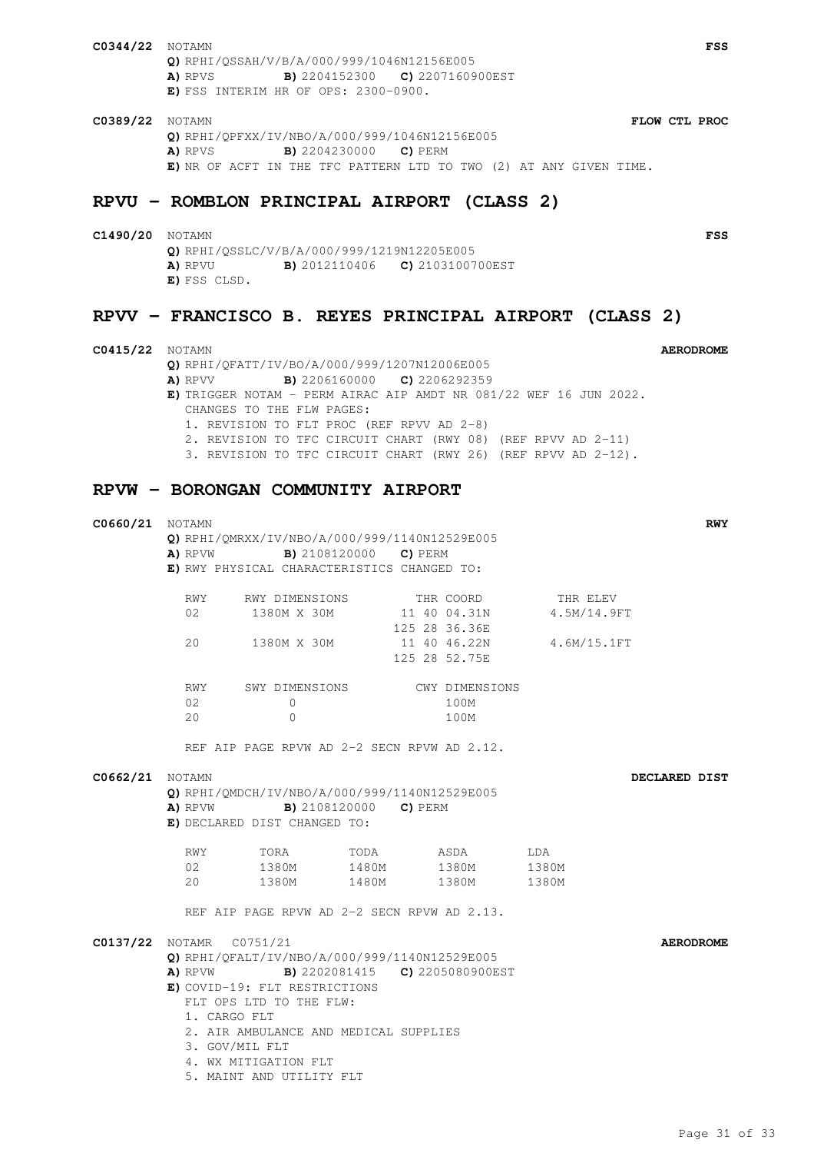- **C0344/22** NOTAMN **FSS Q)** RPHI/QSSAH/V/B/A/000/999/1046N12156E005 **A)** RPVS **B)** 2204152300 **C)** 2207160900EST **E)** FSS INTERIM HR OF OPS: 2300-0900.
- **C0389/22** NOTAMN **FLOW CTL PROC Q)** RPHI/QPFXX/IV/NBO/A/000/999/1046N12156E005 **A)** RPVS **B)** 2204230000 **C)** PERM **E)** NR OF ACFT IN THE TFC PATTERN LTD TO TWO (2) AT ANY GIVEN TIME.

### **RPVU - ROMBLON PRINCIPAL AIRPORT (CLASS 2)**

**C1490/20** NOTAMN **FSS Q)** RPHI/QSSLC/V/B/A/000/999/1219N12205E005 **A)** RPVU **B)** 2012110406 **C)** 2103100700EST **E)** FSS CLSD.

## **RPVV - FRANCISCO B. REYES PRINCIPAL AIRPORT (CLASS 2)**

**C0415/22** NOTAMN **AERODROME Q)** RPHI/QFATT/IV/BO/A/000/999/1207N12006E005 **A)** RPVV **B)** 2206160000 **C)** 2206292359 **E)** TRIGGER NOTAM - PERM AIRAC AIP AMDT NR 081/22 WEF 16 JUN 2022. CHANGES TO THE FLW PAGES: 1. REVISION TO FLT PROC (REF RPVV AD 2-8) 2. REVISION TO TFC CIRCUIT CHART (RWY 08) (REF RPVV AD 2-11) 3. REVISION TO TFC CIRCUIT CHART (RWY 26) (REF RPVV AD 2-12).

### **RPVW - BORONGAN COMMUNITY AIRPORT**

| C0660/21        | NOTAMN                                                                                            | Q) RPHI/QMRXX/IV/NBO/A/000/999/1140N12529E005 |      |                               |                | <b>RWY</b>       |  |  |  |
|-----------------|---------------------------------------------------------------------------------------------------|-----------------------------------------------|------|-------------------------------|----------------|------------------|--|--|--|
|                 | <b>A)</b> RPVW <b>B)</b> 2108120000 <b>C)</b> PERM<br>E) RWY PHYSICAL CHARACTERISTICS CHANGED TO: |                                               |      |                               |                |                  |  |  |  |
|                 |                                                                                                   |                                               |      |                               |                |                  |  |  |  |
|                 | RWY                                                                                               | RWY DIMENSIONS                                |      | THR COORD                     | THR ELEV       |                  |  |  |  |
|                 | 02                                                                                                | 1380M X 30M                                   |      | 11 40 04.31N<br>125 28 36.36E | 4.5M/14.9FT    |                  |  |  |  |
|                 | 20                                                                                                | 1380M X 30M                                   |      | 11 40 46.22N<br>125 28 52.75E | 4.6M/15.1FT    |                  |  |  |  |
|                 |                                                                                                   | RWY SWY DIMENSIONS CWY DIMENSIONS             |      |                               |                |                  |  |  |  |
|                 | 02<br>20                                                                                          | $\mathbf{0}$<br>$\Omega$                      |      | 100M<br>100M                  |                |                  |  |  |  |
|                 |                                                                                                   | REF AIP PAGE RPVW AD 2-2 SECN RPVW AD 2.12.   |      |                               |                |                  |  |  |  |
|                 |                                                                                                   |                                               |      |                               |                |                  |  |  |  |
| C0662/21 NOTAMN | DECLARED DIST<br>Q) RPHI/QMDCH/IV/NBO/A/000/999/1140N12529E005                                    |                                               |      |                               |                |                  |  |  |  |
|                 | <b>A)</b> RPVW <b>B)</b> 2108120000 <b>C)</b> PERM<br>E) DECLARED DIST CHANGED TO:                |                                               |      |                               |                |                  |  |  |  |
|                 |                                                                                                   | RWY TORA                                      | TODA | ASDA                          | LDA            |                  |  |  |  |
|                 | 20                                                                                                | 02 1380M 1480M 1380M<br>1380M 1480M           |      | 1380M                         | 1380M<br>1380M |                  |  |  |  |
|                 |                                                                                                   | REF AIP PAGE RPVW AD 2-2 SECN RPVW AD 2.13.   |      |                               |                |                  |  |  |  |
|                 |                                                                                                   |                                               |      |                               |                | <b>AERODROME</b> |  |  |  |
|                 | C0137/22 NOTAMR C0751/21<br>Q) RPHI/OFALT/IV/NBO/A/000/999/1140N12529E005                         |                                               |      |                               |                |                  |  |  |  |
|                 | <b>B)</b> 2202081415 <b>C)</b> 2205080900EST<br>A) RPVW                                           |                                               |      |                               |                |                  |  |  |  |
|                 | E) COVID-19: FLT RESTRICTIONS                                                                     |                                               |      |                               |                |                  |  |  |  |
|                 | FLT OPS LTD TO THE FLW:                                                                           |                                               |      |                               |                |                  |  |  |  |
|                 | 1. CARGO FLT<br>2. AIR AMBULANCE AND MEDICAL SUPPLIES                                             |                                               |      |                               |                |                  |  |  |  |
|                 | 3. GOV/MIL FLT                                                                                    |                                               |      |                               |                |                  |  |  |  |
|                 | 4. WX MITIGATION FLT                                                                              |                                               |      |                               |                |                  |  |  |  |
|                 |                                                                                                   | 5. MAINT AND UTILITY FLT                      |      |                               |                |                  |  |  |  |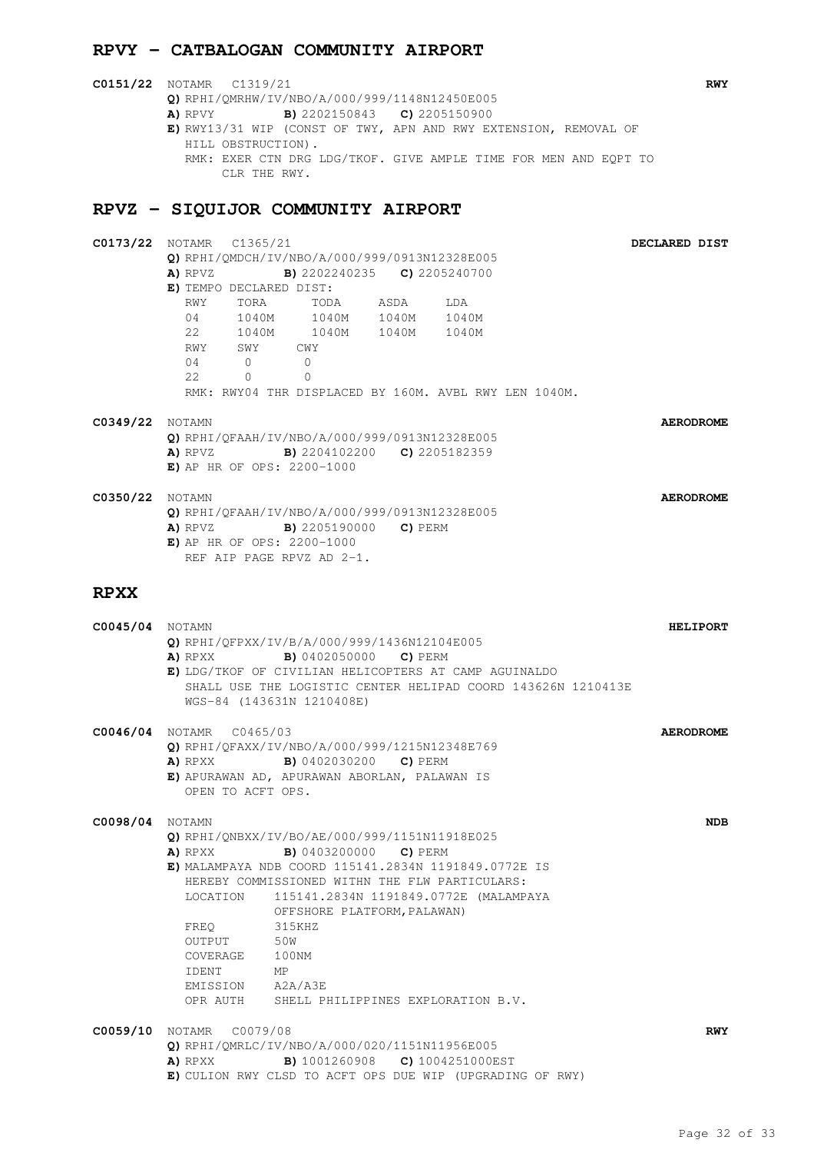## **RPVY - CATBALOGAN COMMUNITY AIRPORT**

| <b>C0151/22</b> NOTAMR C1319/21                                  | <b>RWY</b> |
|------------------------------------------------------------------|------------|
| Q) RPHI/QMRHW/IV/NBO/A/000/999/1148N12450E005                    |            |
| <b>B)</b> 2202150843 <b>C)</b> 2205150900<br>A) RPVY             |            |
| E) RWY13/31 WIP (CONST OF TWY, APN AND RWY EXTENSION, REMOVAL OF |            |
| HILL OBSTRUCTION).                                               |            |
| RMK: EXER CTN DRG LDG/TKOF. GIVE AMPLE TIME FOR MEN AND EOPT TO  |            |
| CLR THE RWY.                                                     |            |
|                                                                  |            |

## **RPVZ - SIQUIJOR COMMUNITY AIRPORT**

| C0173/22 |                                                          | NOTAMR C1365/21         |                                                    |      |                                                       |  | DECLARED DIST    |  |
|----------|----------------------------------------------------------|-------------------------|----------------------------------------------------|------|-------------------------------------------------------|--|------------------|--|
|          |                                                          |                         | Q) RPHI/QMDCH/IV/NBO/A/000/999/0913N12328E005      |      |                                                       |  |                  |  |
|          | A) RPVZ                                                  |                         | <b>B)</b> 2202240235 <b>C)</b> 2205240700          |      |                                                       |  |                  |  |
|          |                                                          | E) TEMPO DECLARED DIST: |                                                    |      |                                                       |  |                  |  |
|          | RWY                                                      | TORA                    | TODA                                               | ASDA | LDA                                                   |  |                  |  |
|          | 04                                                       |                         | 1040M 1040M 1040M 1040M                            |      |                                                       |  |                  |  |
|          |                                                          |                         | 22 1040M 1040M 1040M 1040M                         |      |                                                       |  |                  |  |
|          |                                                          | RWY SWY                 | CWY                                                |      |                                                       |  |                  |  |
|          | 04                                                       | $\Omega$                | $\Omega$                                           |      |                                                       |  |                  |  |
|          | 2.2.                                                     | $\Omega$                | $\Omega$                                           |      |                                                       |  |                  |  |
|          |                                                          |                         |                                                    |      | RMK: RWY04 THR DISPLACED BY 160M. AVBL RWY LEN 1040M. |  |                  |  |
|          |                                                          |                         |                                                    |      |                                                       |  |                  |  |
| C0349/22 | NOTAMN                                                   |                         |                                                    |      |                                                       |  | <b>AERODROME</b> |  |
|          | Q) RPHI/QFAAH/IV/NBO/A/000/999/0913N12328E005            |                         |                                                    |      |                                                       |  |                  |  |
|          | <b>A)</b> RPVZ <b>B)</b> 2204102200 <b>C)</b> 2205182359 |                         |                                                    |      |                                                       |  |                  |  |
|          |                                                          |                         | E) AP HR OF OPS: 2200-1000                         |      |                                                       |  |                  |  |
|          |                                                          |                         |                                                    |      |                                                       |  |                  |  |
| C0350/22 | NOTAMN                                                   |                         |                                                    |      |                                                       |  | <b>AERODROME</b> |  |
|          | Q) RPHI/QFAAH/IV/NBO/A/000/999/0913N12328E005            |                         |                                                    |      |                                                       |  |                  |  |
|          |                                                          |                         | <b>A)</b> RPVZ <b>B)</b> 2205190000 <b>C)</b> PERM |      |                                                       |  |                  |  |
|          |                                                          |                         | E) AP HR OF OPS: $2200-1000$                       |      |                                                       |  |                  |  |
|          |                                                          |                         | REF AIP PAGE RPVZ AD 2-1.                          |      |                                                       |  |                  |  |
|          |                                                          |                         |                                                    |      |                                                       |  |                  |  |

## **RPXX**

| <b>C0045/04</b> NOTAMN |                                                                                             | Q) RPHI/QFPXX/IV/B/A/000/999/1436N12104E005<br><b>A)</b> RPXX <b>B)</b> 0402050000 <b>C)</b> PERM<br>E) LDG/TKOF OF CIVILIAN HELICOPTERS AT CAMP AGUINALDO<br>SHALL USE THE LOGISTIC CENTER HELIPAD COORD 143626N 1210413E<br>WGS-84 (143631N 1210408E)                                                                                                 | <b>HELIPORT</b>  |
|------------------------|---------------------------------------------------------------------------------------------|---------------------------------------------------------------------------------------------------------------------------------------------------------------------------------------------------------------------------------------------------------------------------------------------------------------------------------------------------------|------------------|
|                        | C0046/04 NOTAMR C0465/03<br>OPEN TO ACFT OPS.                                               | Q) RPHI/QFAXX/IV/NBO/A/000/999/1215N12348E769<br><b>A)</b> RPXX <b>B)</b> 0402030200 <b>C)</b> PERM<br>E) APURAWAN AD, APURAWAN ABORLAN, PALAWAN IS                                                                                                                                                                                                     | <b>AERODROME</b> |
| <b>C0098/04</b> NOTAMN | FREO<br>OUTPUT 50W<br>COVERAGE 100NM<br>MP <sub>N</sub><br><b>TDENT</b><br>EMISSION A2A/A3E | Q) RPHI/QNBXX/IV/BO/AE/000/999/1151N11918E025<br><b>A)</b> RPXX <b>B)</b> 0403200000 <b>C)</b> PERM<br>E) MALAMPAYA NDB COORD 115141.2834N 1191849.0772E IS<br>HEREBY COMMISSIONED WITHN THE FLW PARTICULARS:<br>LOCATION 115141.2834N 1191849.0772E (MALAMPAYA<br>OFFSHORE PLATFORM, PALAWAN)<br>315KHZ<br>OPR AUTH SHELL PHILIPPINES EXPLORATION B.V. | <b>NDB</b>       |
|                        | <b>C0059/10</b> NOTAMR C0079/08                                                             | Q) RPHI/OMRLC/IV/NBO/A/000/020/1151N11956E005<br><b>A)</b> RPXX <b>B)</b> 1001260908 <b>C)</b> 1004251000EST<br>E) CULION RWY CLSD TO ACFT OPS DUE WIP (UPGRADING OF RWY)                                                                                                                                                                               | <b>RWY</b>       |